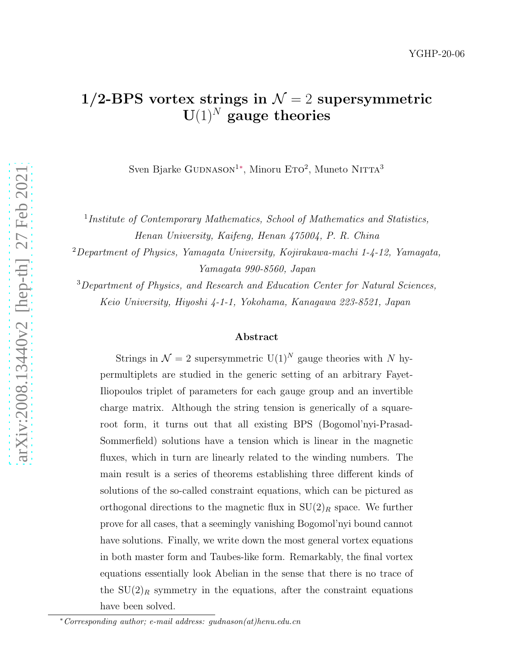# 1/2-BPS vortex strings in  $\mathcal{N}=2$  supersymmetric  $U(1)^N$  gauge theories

Sven Bjarke GUDNASON<sup>1</sup>\*, Minoru E $TO^2$ , Muneto NITTA<sup>3</sup>

1 *Institute of Contemporary Mathematics, School of Mathematics and Statistics,*

*Henan University, Kaifeng, Henan 475004, P. R. China*

<sup>2</sup>*Department of Physics, Yamagata University, Kojirakawa-machi 1-4-12, Yamagata, Yamagata 990-8560, Japan*

<sup>3</sup>*Department of Physics, and Research and Education Center for Natural Sciences, Keio University, Hiyoshi 4-1-1, Yokohama, Kanagawa 223-8521, Japan*

#### Abstract

Strings in  $\mathcal{N} = 2$  supersymmetric U(1)<sup>N</sup> gauge theories with N hypermultiplets are studied in the generic setting of an arbitrary Fayet-Iliopoulos triplet of parameters for each gauge group and an invertible charge matrix. Although the string tension is generically of a squareroot form, it turns out that all existing BPS (Bogomol'nyi-Prasad-Sommerfield) solutions have a tension which is linear in the magnetic fluxes, which in turn are linearly related to the winding numbers. The main result is a series of theorems establishing three different kinds of solutions of the so-called constraint equations, which can be pictured as orthogonal directions to the magnetic flux in  $SU(2)_R$  space. We further prove for all cases, that a seemingly vanishing Bogomol'nyi bound cannot have solutions. Finally, we write down the most general vortex equations in both master form and Taubes-like form. Remarkably, the final vortex equations essentially look Abelian in the sense that there is no trace of the  $SU(2)_R$  symmetry in the equations, after the constraint equations have been solved.

<span id="page-0-0"></span><sup>∗</sup>*Corresponding author; e-mail address: gudnason(at)henu.edu.cn*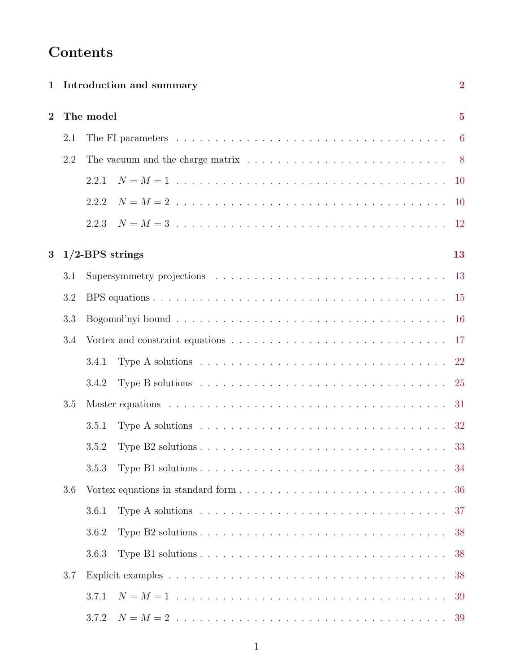# Contents

| $\mathbf{1}$                          | Introduction and summary |                                                                                                                    |    |  |  |  |  |  |  |  |  |  |  |  |
|---------------------------------------|--------------------------|--------------------------------------------------------------------------------------------------------------------|----|--|--|--|--|--|--|--|--|--|--|--|
| $\overline{2}$                        |                          | The model                                                                                                          |    |  |  |  |  |  |  |  |  |  |  |  |
|                                       | 2.1                      | The FI parameters $\ldots \ldots \ldots \ldots \ldots \ldots \ldots \ldots \ldots \ldots \ldots \ldots$            |    |  |  |  |  |  |  |  |  |  |  |  |
|                                       | 2.2                      | The vacuum and the charge matrix $\ldots \ldots \ldots \ldots \ldots \ldots \ldots \ldots \ldots 8$                |    |  |  |  |  |  |  |  |  |  |  |  |
|                                       |                          | 2.2.1                                                                                                              |    |  |  |  |  |  |  |  |  |  |  |  |
|                                       |                          | 2.2.2                                                                                                              |    |  |  |  |  |  |  |  |  |  |  |  |
|                                       |                          | 2.2.3                                                                                                              |    |  |  |  |  |  |  |  |  |  |  |  |
| $1/2$ -BPS strings<br>$3\overline{ }$ |                          |                                                                                                                    |    |  |  |  |  |  |  |  |  |  |  |  |
|                                       | 3.1                      |                                                                                                                    |    |  |  |  |  |  |  |  |  |  |  |  |
|                                       | 3.2                      |                                                                                                                    |    |  |  |  |  |  |  |  |  |  |  |  |
|                                       | 3.3                      |                                                                                                                    |    |  |  |  |  |  |  |  |  |  |  |  |
|                                       | 3.4                      | Vortex and constraint equations $\ldots \ldots \ldots \ldots \ldots \ldots \ldots \ldots \ldots \ldots 17$         |    |  |  |  |  |  |  |  |  |  |  |  |
|                                       |                          | Type A solutions $\ldots \ldots \ldots \ldots \ldots \ldots \ldots \ldots \ldots \ldots \ldots \ldots 22$<br>3.4.1 |    |  |  |  |  |  |  |  |  |  |  |  |
|                                       |                          | Type B solutions $\ldots \ldots \ldots \ldots \ldots \ldots \ldots \ldots \ldots \ldots \ldots$<br>3.4.2           |    |  |  |  |  |  |  |  |  |  |  |  |
|                                       | 3.5                      |                                                                                                                    |    |  |  |  |  |  |  |  |  |  |  |  |
|                                       |                          | Type A solutions $\ldots \ldots \ldots \ldots \ldots \ldots \ldots \ldots \ldots \ldots \ldots \ldots 32$<br>3.5.1 |    |  |  |  |  |  |  |  |  |  |  |  |
|                                       |                          | 3.5.2                                                                                                              |    |  |  |  |  |  |  |  |  |  |  |  |
|                                       |                          | 3.5.3                                                                                                              | 34 |  |  |  |  |  |  |  |  |  |  |  |
|                                       | 3.6                      |                                                                                                                    | 36 |  |  |  |  |  |  |  |  |  |  |  |
|                                       |                          | Type A solutions $\dots \dots \dots \dots \dots \dots \dots \dots \dots \dots \dots \dots \dots \dots$<br>3.6.1    | 37 |  |  |  |  |  |  |  |  |  |  |  |
|                                       |                          | 3.6.2                                                                                                              | 38 |  |  |  |  |  |  |  |  |  |  |  |
|                                       |                          | 3.6.3                                                                                                              | 38 |  |  |  |  |  |  |  |  |  |  |  |
|                                       | 3.7                      |                                                                                                                    | 38 |  |  |  |  |  |  |  |  |  |  |  |
|                                       |                          | 3.7.1                                                                                                              | 39 |  |  |  |  |  |  |  |  |  |  |  |
|                                       |                          | 3.7.2                                                                                                              | 39 |  |  |  |  |  |  |  |  |  |  |  |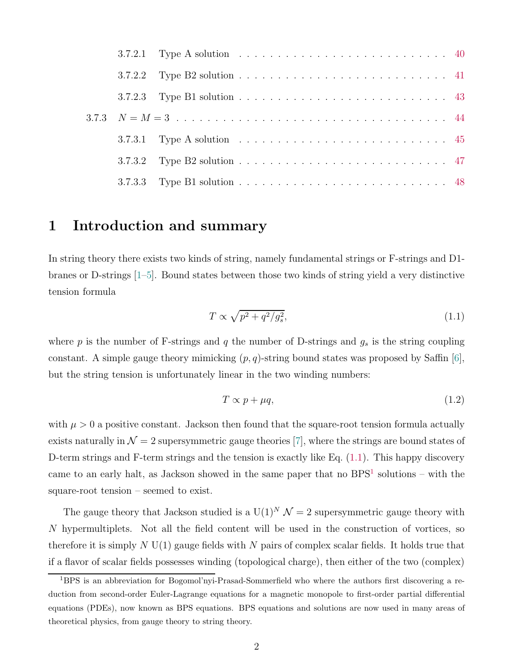|  | 3.7.2.1 Type A solution $\ldots \ldots \ldots \ldots \ldots \ldots \ldots \ldots \ldots \ldots$ |  |  |  |  |  |  |  |  |  |  |  |
|--|-------------------------------------------------------------------------------------------------|--|--|--|--|--|--|--|--|--|--|--|
|  |                                                                                                 |  |  |  |  |  |  |  |  |  |  |  |
|  |                                                                                                 |  |  |  |  |  |  |  |  |  |  |  |
|  |                                                                                                 |  |  |  |  |  |  |  |  |  |  |  |
|  | 3.7.3.1 Type A solution $\ldots \ldots \ldots \ldots \ldots \ldots \ldots \ldots \ldots \ldots$ |  |  |  |  |  |  |  |  |  |  |  |
|  |                                                                                                 |  |  |  |  |  |  |  |  |  |  |  |
|  |                                                                                                 |  |  |  |  |  |  |  |  |  |  |  |

## <span id="page-2-0"></span>1 Introduction and summary

In string theory there exists two kinds of string, namely fundamental strings or F-strings and D1 branes or D-strings [\[1](#page-51-0)[–5\]](#page-52-0). Bound states between those two kinds of string yield a very distinctive tension formula

<span id="page-2-1"></span>
$$
T \propto \sqrt{p^2 + q^2/g_s^2},\tag{1.1}
$$

where  $p$  is the number of F-strings and  $q$  the number of D-strings and  $g_s$  is the string coupling constant. A simple gauge theory mimicking  $(p, q)$ -string bound states was proposed by Saffin [\[6\]](#page-52-1), but the string tension is unfortunately linear in the two winding numbers:

<span id="page-2-3"></span>
$$
T \propto p + \mu q,\tag{1.2}
$$

with  $\mu > 0$  a positive constant. Jackson then found that the square-root tension formula actually exists naturally in  $\mathcal{N} = 2$  supersymmetric gauge theories [\[7\]](#page-52-2), where the strings are bound states of D-term strings and F-term strings and the tension is exactly like Eq. [\(1.1\)](#page-2-1). This happy discovery came to an early halt, as Jackson showed in the same paper that no  $BPS<sup>1</sup>$  $BPS<sup>1</sup>$  $BPS<sup>1</sup>$  solutions – with the square-root tension – seemed to exist.

The gauge theory that Jackson studied is a  $U(1)^N \mathcal{N} = 2$  supersymmetric gauge theory with N hypermultiplets. Not all the field content will be used in the construction of vortices, so therefore it is simply  $N U(1)$  gauge fields with  $N$  pairs of complex scalar fields. It holds true that if a flavor of scalar fields possesses winding (topological charge), then either of the two (complex)

<span id="page-2-2"></span><sup>1</sup>BPS is an abbreviation for Bogomol'nyi-Prasad-Sommerfield who where the authors first discovering a reduction from second-order Euler-Lagrange equations for a magnetic monopole to first-order partial differential equations (PDEs), now known as BPS equations. BPS equations and solutions are now used in many areas of theoretical physics, from gauge theory to string theory.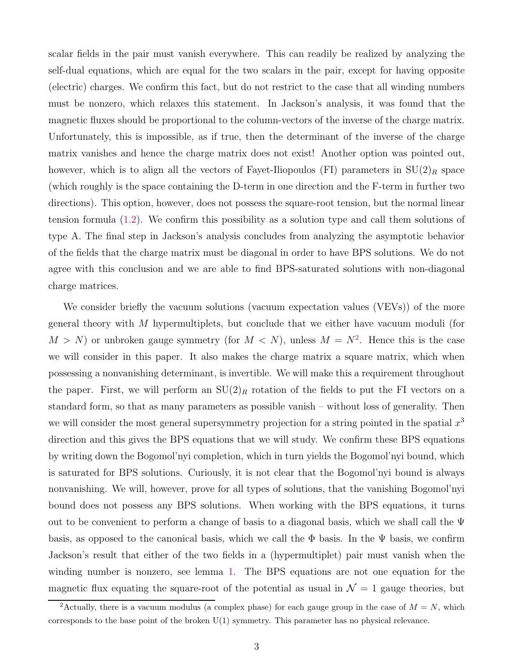scalar fields in the pair must vanish everywhere. This can readily be realized by analyzing the self-dual equations, which are equal for the two scalars in the pair, except for having opposite (electric) charges. We confirm this fact, but do not restrict to the case that all winding numbers must be nonzero, which relaxes this statement. In Jackson's analysis, it was found that the magnetic fluxes should be proportional to the column-vectors of the inverse of the charge matrix. Unfortunately, this is impossible, as if true, then the determinant of the inverse of the charge matrix vanishes and hence the charge matrix does not exist! Another option was pointed out, however, which is to align all the vectors of Fayet-Iliopoulos (FI) parameters in  $SU(2)_R$  space (which roughly is the space containing the D-term in one direction and the F-term in further two directions). This option, however, does not possess the square-root tension, but the normal linear tension formula [\(1.2\)](#page-2-3). We confirm this possibility as a solution type and call them solutions of type A. The final step in Jackson's analysis concludes from analyzing the asymptotic behavior of the fields that the charge matrix must be diagonal in order to have BPS solutions. We do not agree with this conclusion and we are able to find BPS-saturated solutions with non-diagonal charge matrices.

We consider briefly the vacuum solutions (vacuum expectation values (VEVs)) of the more general theory with M hypermultiplets, but conclude that we either have vacuum moduli (for  $M > N$ ) or unbroken gauge symmetry (for  $M < N$ ), unless  $M = N^2$  $M = N^2$ . Hence this is the case we will consider in this paper. It also makes the charge matrix a square matrix, which when possessing a nonvanishing determinant, is invertible. We will make this a requirement throughout the paper. First, we will perform an  $SU(2)_R$  rotation of the fields to put the FI vectors on a standard form, so that as many parameters as possible vanish – without loss of generality. Then we will consider the most general supersymmetry projection for a string pointed in the spatial  $x^3$ direction and this gives the BPS equations that we will study. We confirm these BPS equations by writing down the Bogomol'nyi completion, which in turn yields the Bogomol'nyi bound, which is saturated for BPS solutions. Curiously, it is not clear that the Bogomol'nyi bound is always nonvanishing. We will, however, prove for all types of solutions, that the vanishing Bogomol'nyi bound does not possess any BPS solutions. When working with the BPS equations, it turns out to be convenient to perform a change of basis to a diagonal basis, which we shall call the  $\Psi$ basis, as opposed to the canonical basis, which we call the  $\Phi$  basis. In the  $\Psi$  basis, we confirm Jackson's result that either of the two fields in a (hypermultiplet) pair must vanish when the winding number is nonzero, see lemma [1.](#page-20-0) The BPS equations are not one equation for the magnetic flux equating the square-root of the potential as usual in  $\mathcal{N}=1$  gauge theories, but

<span id="page-3-0"></span><sup>&</sup>lt;sup>2</sup>Actually, there is a vacuum modulus (a complex phase) for each gauge group in the case of  $M = N$ , which corresponds to the base point of the broken  $U(1)$  symmetry. This parameter has no physical relevance.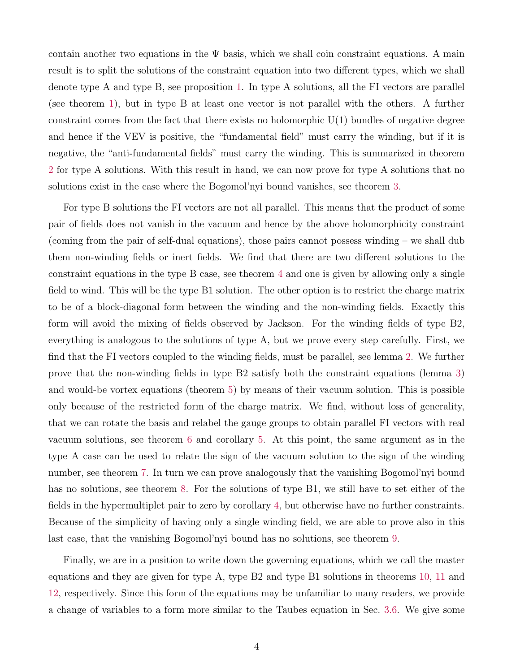contain another two equations in the  $\Psi$  basis, which we shall coin constraint equations. A main result is to split the solutions of the constraint equation into two different types, which we shall denote type A and type B, see proposition [1.](#page-21-0) In type A solutions, all the FI vectors are parallel (see theorem [1\)](#page-22-1), but in type B at least one vector is not parallel with the others. A further constraint comes from the fact that there exists no holomorphic  $U(1)$  bundles of negative degree and hence if the VEV is positive, the "fundamental field" must carry the winding, but if it is negative, the "anti-fundamental fields" must carry the winding. This is summarized in theorem [2](#page-24-0) for type A solutions. With this result in hand, we can now prove for type A solutions that no solutions exist in the case where the Bogomol'nyi bound vanishes, see theorem [3.](#page-24-1)

For type B solutions the FI vectors are not all parallel. This means that the product of some pair of fields does not vanish in the vacuum and hence by the above holomorphicity constraint (coming from the pair of self-dual equations), those pairs cannot possess winding – we shall dub them non-winding fields or inert fields. We find that there are two different solutions to the constraint equations in the type B case, see theorem [4](#page-26-0) and one is given by allowing only a single field to wind. This will be the type B1 solution. The other option is to restrict the charge matrix to be of a block-diagonal form between the winding and the non-winding fields. Exactly this form will avoid the mixing of fields observed by Jackson. For the winding fields of type B2, everything is analogous to the solutions of type A, but we prove every step carefully. First, we find that the FI vectors coupled to the winding fields, must be parallel, see lemma [2.](#page-25-1) We further prove that the non-winding fields in type B2 satisfy both the constraint equations (lemma [3\)](#page-27-0) and would-be vortex equations (theorem [5\)](#page-28-0) by means of their vacuum solution. This is possible only because of the restricted form of the charge matrix. We find, without loss of generality, that we can rotate the basis and relabel the gauge groups to obtain parallel FI vectors with real vacuum solutions, see theorem [6](#page-30-0) and corollary [5.](#page-30-1) At this point, the same argument as in the type A case can be used to relate the sign of the vacuum solution to the sign of the winding number, see theorem [7.](#page-30-2) In turn we can prove analogously that the vanishing Bogomol'nyi bound has no solutions, see theorem [8.](#page-30-3) For the solutions of type B1, we still have to set either of the fields in the hypermultiplet pair to zero by corollary [4,](#page-28-1) but otherwise have no further constraints. Because of the simplicity of having only a single winding field, we are able to prove also in this last case, that the vanishing Bogomol'nyi bound has no solutions, see theorem [9.](#page-31-1)

Finally, we are in a position to write down the governing equations, which we call the master equations and they are given for type A, type B2 and type B1 solutions in theorems [10,](#page-32-1) [11](#page-34-1) and [12,](#page-35-0) respectively. Since this form of the equations may be unfamiliar to many readers, we provide a change of variables to a form more similar to the Taubes equation in Sec. [3.6.](#page-36-0) We give some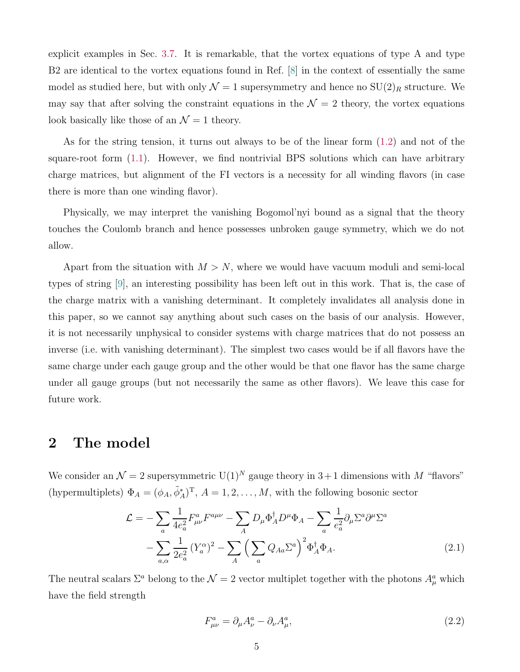explicit examples in Sec. [3.7.](#page-38-2) It is remarkable, that the vortex equations of type A and type B2 are identical to the vortex equations found in Ref. [\[8\]](#page-52-3) in the context of essentially the same model as studied here, but with only  $\mathcal{N} = 1$  supersymmetry and hence no  $SU(2)_R$  structure. We may say that after solving the constraint equations in the  $\mathcal{N}=2$  theory, the vortex equations look basically like those of an  $\mathcal{N}=1$  theory.

As for the string tension, it turns out always to be of the linear form [\(1.2\)](#page-2-3) and not of the square-root form [\(1.1\)](#page-2-1). However, we find nontrivial BPS solutions which can have arbitrary charge matrices, but alignment of the FI vectors is a necessity for all winding flavors (in case there is more than one winding flavor).

Physically, we may interpret the vanishing Bogomol'nyi bound as a signal that the theory touches the Coulomb branch and hence possesses unbroken gauge symmetry, which we do not allow.

Apart from the situation with  $M > N$ , where we would have vacuum moduli and semi-local types of string [\[9](#page-52-4)], an interesting possibility has been left out in this work. That is, the case of the charge matrix with a vanishing determinant. It completely invalidates all analysis done in this paper, so we cannot say anything about such cases on the basis of our analysis. However, it is not necessarily unphysical to consider systems with charge matrices that do not possess an inverse (i.e. with vanishing determinant). The simplest two cases would be if all flavors have the same charge under each gauge group and the other would be that one flavor has the same charge under all gauge groups (but not necessarily the same as other flavors). We leave this case for future work.

## <span id="page-5-0"></span>2 The model

We consider an  $\mathcal{N} = 2$  supersymmetric  $U(1)^N$  gauge theory in 3+1 dimensions with M "flavors" (hypermultiplets)  $\Phi_A = (\phi_A, \tilde{\phi}_A^*)^T$ ,  $A = 1, 2, ..., M$ , with the following bosonic sector

$$
\mathcal{L} = -\sum_{a} \frac{1}{4e_a^2} F_{\mu\nu}^a F^{a\mu\nu} - \sum_{A} D_{\mu} \Phi_A^{\dagger} D^{\mu} \Phi_A - \sum_{a} \frac{1}{e_a^2} \partial_{\mu} \Sigma^a \partial^{\mu} \Sigma^a
$$

$$
- \sum_{a,\alpha} \frac{1}{2e_a^2} \left( Y_a^{\alpha} \right)^2 - \sum_{A} \left( \sum_{a} Q_{Aa} \Sigma^a \right)^2 \Phi_A^{\dagger} \Phi_A.
$$
(2.1)

The neutral scalars  $\Sigma^a$  belong to the  $\mathcal{N}=2$  vector multiplet together with the photons  $A^a_\mu$  which have the field strength

<span id="page-5-1"></span>
$$
F_{\mu\nu}^a = \partial_\mu A_\nu^a - \partial_\nu A_\mu^a,\tag{2.2}
$$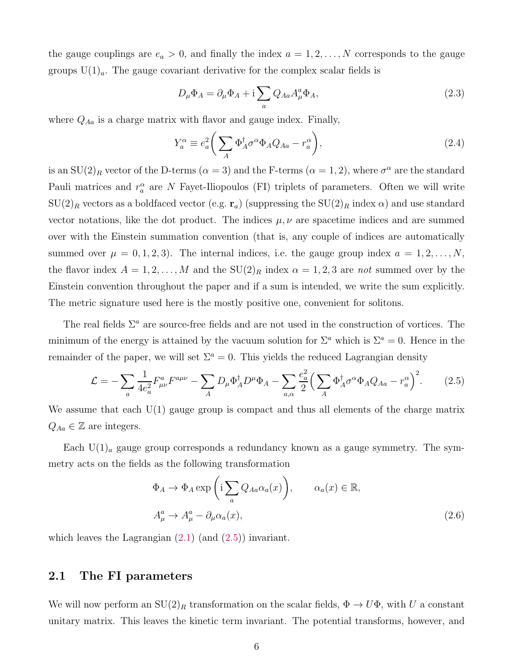the gauge couplings are  $e_a > 0$ , and finally the index  $a = 1, 2, ..., N$  corresponds to the gauge groups  $U(1)<sub>a</sub>$ . The gauge covariant derivative for the complex scalar fields is

$$
D_{\mu}\Phi_A = \partial_{\mu}\Phi_A + i \sum_a Q_{Aa} A^a_{\mu}\Phi_A, \qquad (2.3)
$$

where  $Q_{Aa}$  is a charge matrix with flavor and gauge index. Finally,

<span id="page-6-2"></span>
$$
Y_a^{\alpha} \equiv e_a^2 \bigg( \sum_A \Phi_A^{\dagger} \sigma^{\alpha} \Phi_A Q_{Aa} - r_a^{\alpha} \bigg), \tag{2.4}
$$

is an  $SU(2)_R$  vector of the D-terms ( $\alpha = 3$ ) and the F-terms ( $\alpha = 1, 2$ ), where  $\sigma^{\alpha}$  are the standard Pauli matrices and  $r_a^{\alpha}$  are N Fayet-Iliopoulos (FI) triplets of parameters. Often we will write  $SU(2)_R$  vectors as a boldfaced vector (e.g.  $r_a$ ) (suppressing the  $SU(2)_R$  index  $\alpha$ ) and use standard vector notations, like the dot product. The indices  $\mu, \nu$  are spacetime indices and are summed over with the Einstein summation convention (that is, any couple of indices are automatically summed over  $\mu = 0, 1, 2, 3$ . The internal indices, i.e. the gauge group index  $a = 1, 2, ..., N$ , the flavor index  $A = 1, 2, ..., M$  and the  $SU(2)_R$  index  $\alpha = 1, 2, 3$  are *not* summed over by the Einstein convention throughout the paper and if a sum is intended, we write the sum explicitly. The metric signature used here is the mostly positive one, convenient for solitons.

The real fields  $\Sigma^a$  are source-free fields and are not used in the construction of vortices. The minimum of the energy is attained by the vacuum solution for  $\Sigma^a$  which is  $\Sigma^a = 0$ . Hence in the remainder of the paper, we will set  $\Sigma^a = 0$ . This yields the reduced Lagrangian density

$$
\mathcal{L} = -\sum_{a} \frac{1}{4e_a^2} F^a_{\mu\nu} F^{a\mu\nu} - \sum_{A} D_{\mu} \Phi_A^{\dagger} D^{\mu} \Phi_A - \sum_{a,\alpha} \frac{e_a^2}{2} \Big( \sum_{A} \Phi_A^{\dagger} \sigma^{\alpha} \Phi_A Q_{Aa} - r_a^{\alpha} \Big)^2.
$$
 (2.5)

We assume that each U(1) gauge group is compact and thus all elements of the charge matrix  $Q_{Aa} \in \mathbb{Z}$  are integers.

Each  $U(1)_a$  gauge group corresponds a redundancy known as a gauge symmetry. The symmetry acts on the fields as the following transformation

<span id="page-6-1"></span>
$$
\Phi_A \to \Phi_A \exp\left(i \sum_a Q_{Aa} \alpha_a(x)\right), \qquad \alpha_a(x) \in \mathbb{R},
$$
  

$$
A^a_\mu \to A^a_\mu - \partial_\mu \alpha_a(x), \tag{2.6}
$$

<span id="page-6-0"></span>which leaves the Lagrangian  $(2.1)$  (and  $(2.5)$ ) invariant.

## 2.1 The FI parameters

We will now perform an  $SU(2)_R$  transformation on the scalar fields,  $\Phi \to U\Phi$ , with U a constant unitary matrix. This leaves the kinetic term invariant. The potential transforms, however, and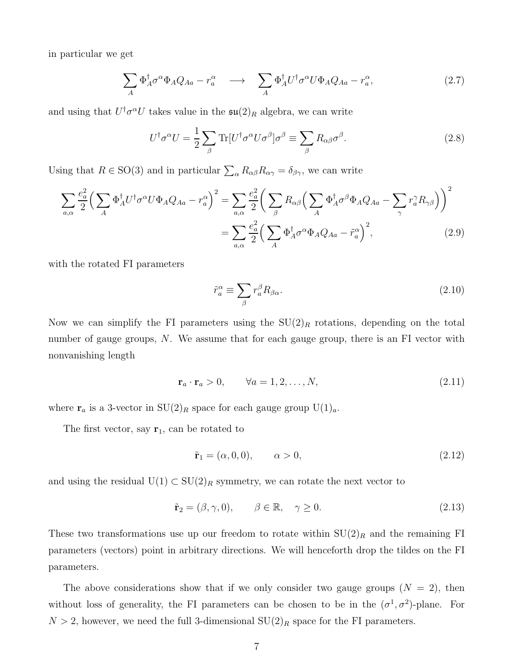in particular we get

$$
\sum_{A} \Phi_{A}^{\dagger} \sigma^{\alpha} \Phi_{A} Q_{Aa} - r_{a}^{\alpha} \longrightarrow \sum_{A} \Phi_{A}^{\dagger} U^{\dagger} \sigma^{\alpha} U \Phi_{A} Q_{Aa} - r_{a}^{\alpha}, \qquad (2.7)
$$

and using that  $U^{\dagger} \sigma^{\alpha} U$  takes value in the  $\mathfrak{su}(2)_R$  algebra, we can write

$$
U^{\dagger} \sigma^{\alpha} U = \frac{1}{2} \sum_{\beta} \text{Tr} [U^{\dagger} \sigma^{\alpha} U \sigma^{\beta}] \sigma^{\beta} \equiv \sum_{\beta} R_{\alpha \beta} \sigma^{\beta}.
$$
 (2.8)

Using that  $R \in SO(3)$  and in particular  $\sum_{\alpha} R_{\alpha\beta} R_{\alpha\gamma} = \delta_{\beta\gamma}$ , we can write

$$
\sum_{a,\alpha} \frac{e_a^2}{2} \Big( \sum_A \Phi_A^{\dagger} U^{\dagger} \sigma^{\alpha} U \Phi_A Q_{Aa} - r_a^{\alpha} \Big)^2 = \sum_{a,\alpha} \frac{e_a^2}{2} \Big( \sum_{\beta} R_{\alpha\beta} \Big( \sum_A \Phi_A^{\dagger} \sigma^{\beta} \Phi_A Q_{Aa} - \sum_{\gamma} r_a^{\gamma} R_{\gamma\beta} \Big) \Big)^2
$$

$$
= \sum_{a,\alpha} \frac{e_a^2}{2} \Big( \sum_A \Phi_A^{\dagger} \sigma^{\alpha} \Phi_A Q_{Aa} - \tilde{r}_a^{\alpha} \Big)^2, \tag{2.9}
$$

with the rotated FI parameters

$$
\tilde{r}_a^{\alpha} \equiv \sum_{\beta} r_a^{\beta} R_{\beta \alpha}.
$$
\n(2.10)

Now we can simplify the FI parameters using the  $SU(2)_R$  rotations, depending on the total number of gauge groups, N. We assume that for each gauge group, there is an FI vector with nonvanishing length

$$
\mathbf{r}_a \cdot \mathbf{r}_a > 0, \qquad \forall a = 1, 2, \dots, N,
$$
\n
$$
(2.11)
$$

where  $\mathbf{r}_a$  is a 3-vector in  $SU(2)_R$  space for each gauge group  $U(1)_a$ .

The first vector, say  $\mathbf{r}_1$ , can be rotated to

<span id="page-7-0"></span>
$$
\tilde{\mathbf{r}}_1 = (\alpha, 0, 0), \qquad \alpha > 0,
$$
\n
$$
(2.12)
$$

and using the residual  $U(1) \subset SU(2)_R$  symmetry, we can rotate the next vector to

<span id="page-7-1"></span>
$$
\tilde{\mathbf{r}}_2 = (\beta, \gamma, 0), \qquad \beta \in \mathbb{R}, \quad \gamma \ge 0.
$$
\n(2.13)

These two transformations use up our freedom to rotate within  $SU(2)_R$  and the remaining FI parameters (vectors) point in arbitrary directions. We will henceforth drop the tildes on the FI parameters.

The above considerations show that if we only consider two gauge groups  $(N = 2)$ , then without loss of generality, the FI parameters can be chosen to be in the  $(\sigma^1, \sigma^2)$ -plane. For  $N > 2$ , however, we need the full 3-dimensional  $SU(2)_R$  space for the FI parameters.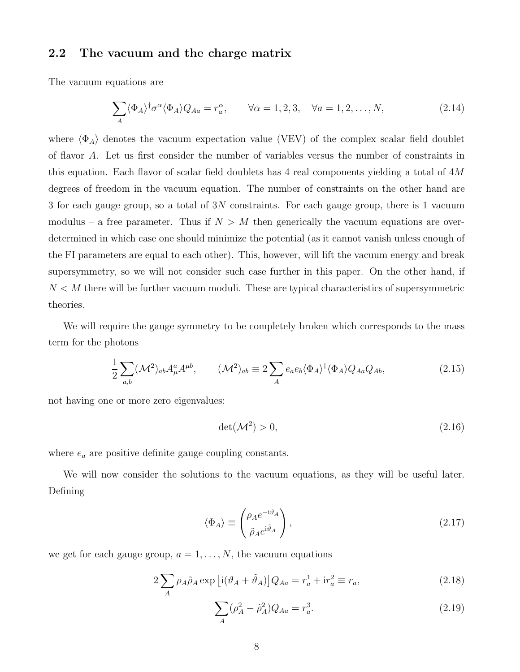## <span id="page-8-0"></span>2.2 The vacuum and the charge matrix

The vacuum equations are

$$
\sum_{A} \langle \Phi_A \rangle^{\dagger} \sigma^{\alpha} \langle \Phi_A \rangle Q_{Aa} = r_a^{\alpha}, \qquad \forall \alpha = 1, 2, 3, \quad \forall a = 1, 2, \dots, N,
$$
\n(2.14)

where  $\langle \Phi_A \rangle$  denotes the vacuum expectation value (VEV) of the complex scalar field doublet of flavor A. Let us first consider the number of variables versus the number of constraints in this equation. Each flavor of scalar field doublets has 4 real components yielding a total of 4M degrees of freedom in the vacuum equation. The number of constraints on the other hand are 3 for each gauge group, so a total of 3N constraints. For each gauge group, there is 1 vacuum modulus – a free parameter. Thus if  $N > M$  then generically the vacuum equations are overdetermined in which case one should minimize the potential (as it cannot vanish unless enough of the FI parameters are equal to each other). This, however, will lift the vacuum energy and break supersymmetry, so we will not consider such case further in this paper. On the other hand, if  $N < M$  there will be further vacuum moduli. These are typical characteristics of supersymmetric theories.

We will require the gauge symmetry to be completely broken which corresponds to the mass term for the photons

$$
\frac{1}{2} \sum_{a,b} (\mathcal{M}^2)_{ab} A^a_\mu A^{\mu b}, \qquad (\mathcal{M}^2)_{ab} \equiv 2 \sum_A e_a e_b \langle \Phi_A \rangle^\dagger \langle \Phi_A \rangle Q_{Aa} Q_{Ab}, \tag{2.15}
$$

not having one or more zero eigenvalues:

$$
\det(\mathcal{M}^2) > 0,\tag{2.16}
$$

where  $e_a$  are positive definite gauge coupling constants.

We will now consider the solutions to the vacuum equations, as they will be useful later. Defining

<span id="page-8-3"></span>
$$
\langle \Phi_A \rangle \equiv \begin{pmatrix} \rho_A e^{-i\vartheta_A} \\ \tilde{\rho}_A e^{i\tilde{\vartheta}_A} \end{pmatrix},\tag{2.17}
$$

we get for each gauge group,  $a = 1, \ldots, N$ , the vacuum equations

$$
2\sum_{A} \rho_A \tilde{\rho}_A \exp\left[i(\vartheta_A + \tilde{\vartheta}_A)\right] Q_{Aa} = r_a^1 + ir_a^2 \equiv r_a,\tag{2.18}
$$

<span id="page-8-2"></span><span id="page-8-1"></span>
$$
\sum_{A} (\rho_A^2 - \tilde{\rho}_A^2) Q_{Aa} = r_a^3.
$$
 (2.19)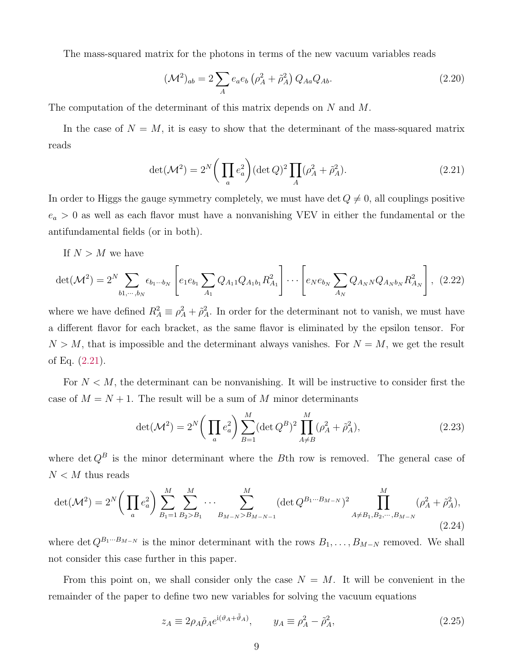The mass-squared matrix for the photons in terms of the new vacuum variables reads

$$
(\mathcal{M}^2)_{ab} = 2 \sum_{A} e_a e_b \left( \rho_A^2 + \tilde{\rho}_A^2 \right) Q_{Aa} Q_{Ab}.
$$
 (2.20)

The computation of the determinant of this matrix depends on N and M.

In the case of  $N = M$ , it is easy to show that the determinant of the mass-squared matrix reads

<span id="page-9-0"></span>
$$
\det(\mathcal{M}^2) = 2^N \bigg( \prod_a e_a^2 \bigg) (\det Q)^2 \prod_A (\rho_A^2 + \tilde{\rho}_A^2).
$$
 (2.21)

In order to Higgs the gauge symmetry completely, we must have det  $Q \neq 0$ , all couplings positive  $e_a > 0$  as well as each flavor must have a nonvanishing VEV in either the fundamental or the antifundamental fields (or in both).

If  $N > M$  we have

$$
\det(\mathcal{M}^2) = 2^N \sum_{b_1, \dots, b_N} \epsilon_{b_1 \dots b_N} \left[ e_1 e_{b_1} \sum_{A_1} Q_{A_1 1} Q_{A_1 b_1} R_{A_1}^2 \right] \dots \left[ e_N e_{b_N} \sum_{A_N} Q_{A_N N} Q_{A_N b_N} R_{A_N}^2 \right], \tag{2.22}
$$

where we have defined  $R_A^2 \equiv \rho_A^2 + \tilde{\rho}_A^2$ . In order for the determinant not to vanish, we must have a different flavor for each bracket, as the same flavor is eliminated by the epsilon tensor. For  $N > M$ , that is impossible and the determinant always vanishes. For  $N = M$ , we get the result of Eq. [\(2.21\)](#page-9-0).

For  $N < M$ , the determinant can be nonvanishing. It will be instructive to consider first the case of  $M = N + 1$ . The result will be a sum of M minor determinants

$$
\det(\mathcal{M}^2) = 2^N \bigg( \prod_a e_a^2 \bigg) \sum_{B=1}^M (\det Q^B)^2 \prod_{A \neq B}^M (\rho_A^2 + \tilde{\rho}_A^2), \tag{2.23}
$$

where det  $Q^B$  is the minor determinant where the Bth row is removed. The general case of  $N < M$  thus reads

$$
\det(\mathcal{M}^2) = 2^N \bigg( \prod_a e_a^2 \bigg) \sum_{B_1=1}^M \sum_{B_2 > B_1}^M \cdots \sum_{B_{M-N} > B_{M-N-1}}^M (\det Q^{B_1 \cdots B_{M-N}})^2 \prod_{A \neq B_1, B_2, \cdots, B_{M-N}}^M (\rho_A^2 + \tilde{\rho}_A^2),
$$
\n(2.24)

where det  $Q^{B_1\cdots B_{M-N}}$  is the minor determinant with the rows  $B_1, \ldots, B_{M-N}$  removed. We shall not consider this case further in this paper.

From this point on, we shall consider only the case  $N = M$ . It will be convenient in the remainder of the paper to define two new variables for solving the vacuum equations

$$
z_A \equiv 2\rho_A \tilde{\rho}_A e^{i(\vartheta_A + \tilde{\vartheta}_A)}, \qquad y_A \equiv \rho_A^2 - \tilde{\rho}_A^2,\tag{2.25}
$$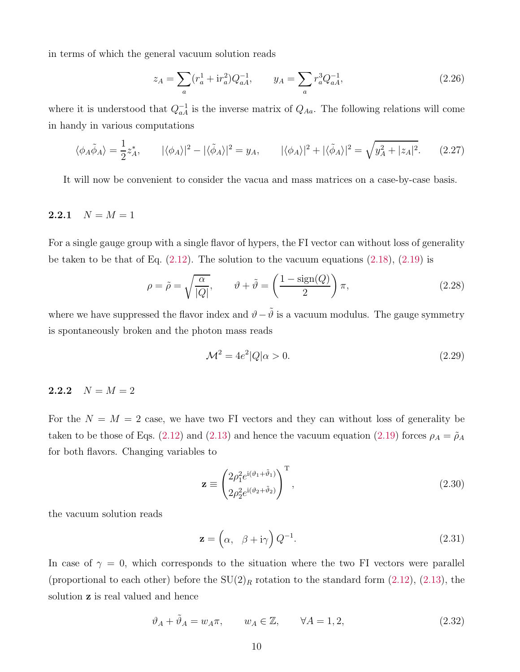in terms of which the general vacuum solution reads

<span id="page-10-3"></span>
$$
z_A = \sum_a (r_a^1 + \mathrm{i}r_a^2) Q_{aA}^{-1}, \qquad y_A = \sum_a r_a^3 Q_{aA}^{-1}, \tag{2.26}
$$

where it is understood that  $Q_{aA}^{-1}$  is the inverse matrix of  $Q_{Aa}$ . The following relations will come in handy in various computations

<span id="page-10-4"></span>
$$
\langle \phi_A \tilde{\phi}_A \rangle = \frac{1}{2} z_A^*, \qquad |\langle \phi_A \rangle|^2 - |\langle \tilde{\phi}_A \rangle|^2 = y_A, \qquad |\langle \phi_A \rangle|^2 + |\langle \tilde{\phi}_A \rangle|^2 = \sqrt{y_A^2 + |z_A|^2}. \tag{2.27}
$$

<span id="page-10-0"></span>It will now be convenient to consider the vacua and mass matrices on a case-by-case basis.

### 2.2.1  $N = M = 1$

For a single gauge group with a single flavor of hypers, the FI vector can without loss of generality be taken to be that of Eq.  $(2.12)$ . The solution to the vacuum equations  $(2.18)$ ,  $(2.19)$  is

<span id="page-10-5"></span>
$$
\rho = \tilde{\rho} = \sqrt{\frac{\alpha}{|Q|}}, \qquad \vartheta + \tilde{\vartheta} = \left(\frac{1 - \text{sign}(Q)}{2}\right)\pi,\tag{2.28}
$$

where we have suppressed the flavor index and  $\vartheta-\tilde{\vartheta}$  is a vacuum modulus. The gauge symmetry is spontaneously broken and the photon mass reads

$$
\mathcal{M}^2 = 4e^2|Q|\alpha > 0. \tag{2.29}
$$

#### <span id="page-10-1"></span>2.2.2  $N = M = 2$

For the  $N = M = 2$  case, we have two FI vectors and they can without loss of generality be taken to be those of Eqs. [\(2.12\)](#page-7-0) and [\(2.13\)](#page-7-1) and hence the vacuum equation [\(2.19\)](#page-8-2) forces  $\rho_A = \tilde{\rho}_A$ for both flavors. Changing variables to

$$
\mathbf{z} \equiv \begin{pmatrix} 2\rho_1^2 e^{i(\vartheta_1 + \tilde{\vartheta}_1)} \\ 2\rho_2^2 e^{i(\vartheta_2 + \tilde{\vartheta}_2)} \end{pmatrix}^{\mathrm{T}},
$$
\n(2.30)

the vacuum solution reads

<span id="page-10-2"></span>
$$
\mathbf{z} = \left(\alpha, \beta + i\gamma\right) Q^{-1}.\tag{2.31}
$$

In case of  $\gamma = 0$ , which corresponds to the situation where the two FI vectors were parallel (proportional to each other) before the  $SU(2)_R$  rotation to the standard form [\(2.12\)](#page-7-0), [\(2.13\)](#page-7-1), the solution z is real valued and hence

$$
\vartheta_A + \tilde{\vartheta}_A = w_A \pi, \qquad w_A \in \mathbb{Z}, \qquad \forall A = 1, 2,
$$
\n
$$
(2.32)
$$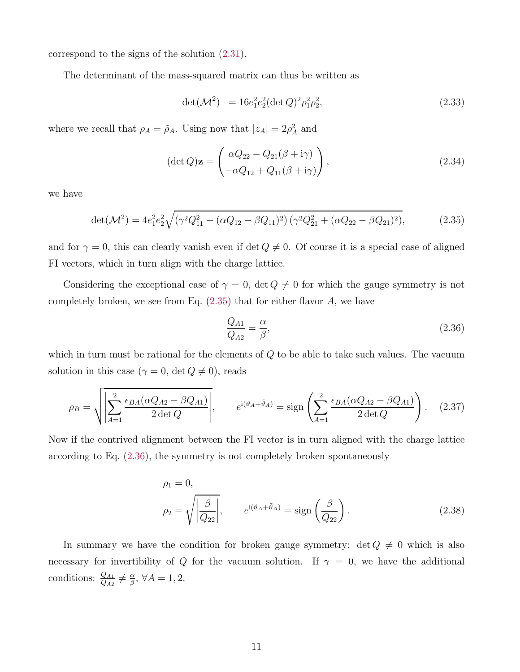correspond to the signs of the solution [\(2.31\)](#page-10-2).

The determinant of the mass-squared matrix can thus be written as

<span id="page-11-2"></span>
$$
\det(\mathcal{M}^2) = 16e_1^2e_2^2(\det Q)^2\rho_1^2\rho_2^2,
$$
\n(2.33)

where we recall that  $\rho_A = \tilde{\rho}_A$ . Using now that  $|z_A| = 2\rho_A^2$  and

$$
(\det Q)\mathbf{z} = \begin{pmatrix} \alpha Q_{22} - Q_{21}(\beta + i\gamma) \\ -\alpha Q_{12} + Q_{11}(\beta + i\gamma) \end{pmatrix},
$$
\n(2.34)

we have

<span id="page-11-0"></span>
$$
\det(\mathcal{M}^2) = 4e_1^2 e_2^2 \sqrt{(\gamma^2 Q_{11}^2 + (\alpha Q_{12} - \beta Q_{11})^2) (\gamma^2 Q_{21}^2 + (\alpha Q_{22} - \beta Q_{21})^2)},
$$
(2.35)

and for  $\gamma = 0$ , this can clearly vanish even if det  $Q \neq 0$ . Of course it is a special case of aligned FI vectors, which in turn align with the charge lattice.

Considering the exceptional case of  $\gamma = 0$ , det  $Q \neq 0$  for which the gauge symmetry is not completely broken, we see from Eq.  $(2.35)$  that for either flavor A, we have

<span id="page-11-1"></span>
$$
\frac{Q_{A1}}{Q_{A2}} = \frac{\alpha}{\beta},\tag{2.36}
$$

which in turn must be rational for the elements of  $Q$  to be able to take such values. The vacuum solution in this case ( $\gamma = 0$ , det  $Q \neq 0$ ), reads

$$
\rho_B = \sqrt{\left| \sum_{A=1}^2 \frac{\epsilon_{BA} (\alpha Q_{A2} - \beta Q_{A1})}{2 \det Q} \right|}, \qquad e^{i(\vartheta_A + \tilde{\vartheta}_A)} = \text{sign}\left( \sum_{A=1}^2 \frac{\epsilon_{BA} (\alpha Q_{A2} - \beta Q_{A1})}{2 \det Q} \right). \tag{2.37}
$$

Now if the contrived alignment between the FI vector is in turn aligned with the charge lattice according to Eq. [\(2.36\)](#page-11-1), the symmetry is not completely broken spontaneously

$$
\rho_1 = 0,
$$
  
\n
$$
\rho_2 = \sqrt{\left|\frac{\beta}{Q_{22}}\right|}, \qquad e^{i(\vartheta_A + \tilde{\vartheta}_A)} = \text{sign}\left(\frac{\beta}{Q_{22}}\right).
$$
\n(2.38)

In summary we have the condition for broken gauge symmetry:  $\det Q \neq 0$  which is also necessary for invertibility of Q for the vacuum solution. If  $\gamma = 0$ , we have the additional conditions:  $\frac{Q_{A1}}{Q_{A2}} \neq \frac{\alpha}{\beta}$  $\frac{\alpha}{\beta}$ ,  $\forall A = 1, 2$ .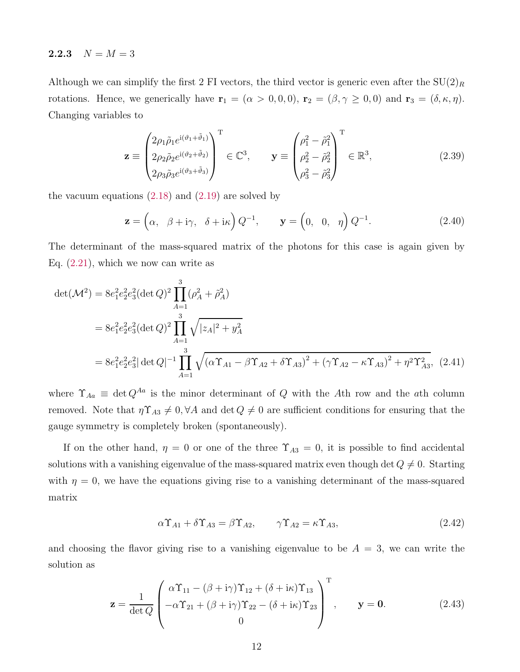#### <span id="page-12-0"></span>2.2.3  $N = M = 3$

Although we can simplify the first 2 FI vectors, the third vector is generic even after the  $SU(2)_R$ rotations. Hence, we generically have  $\mathbf{r}_1 = (\alpha > 0, 0, 0)$ ,  $\mathbf{r}_2 = (\beta, \gamma \ge 0, 0)$  and  $\mathbf{r}_3 = (\delta, \kappa, \eta)$ . Changing variables to

$$
\mathbf{z} \equiv \begin{pmatrix} 2\rho_1 \tilde{\rho}_1 e^{i(\vartheta_1 + \tilde{\vartheta}_1)} \\ 2\rho_2 \tilde{\rho}_2 e^{i(\vartheta_2 + \tilde{\vartheta}_2)} \\ 2\rho_3 \tilde{\rho}_3 e^{i(\vartheta_3 + \tilde{\vartheta}_3)} \end{pmatrix}^{\mathrm{T}} \in \mathbb{C}^3, \qquad \mathbf{y} \equiv \begin{pmatrix} \rho_1^2 - \tilde{\rho}_1^2 \\ \rho_2^2 - \tilde{\rho}_2^2 \\ \rho_3^2 - \tilde{\rho}_3^2 \end{pmatrix}^{\mathrm{T}} \in \mathbb{R}^3, \tag{2.39}
$$

the vacuum equations  $(2.18)$  and  $(2.19)$  are solved by

$$
\mathbf{z} = \left(\alpha, \beta + i\gamma, \delta + i\kappa\right) Q^{-1}, \qquad \mathbf{y} = \left(0, 0, \eta\right) Q^{-1}.
$$
 (2.40)

The determinant of the mass-squared matrix of the photons for this case is again given by Eq.  $(2.21)$ , which we now can write as

$$
\det(\mathcal{M}^2) = 8e_1^2 e_2^2 e_3^2 (\det Q)^2 \prod_{A=1}^3 (\rho_A^2 + \tilde{\rho}_A^2)
$$
  
=  $8e_1^2 e_2^2 e_3^2 (\det Q)^2 \prod_{A=1}^3 \sqrt{|z_A|^2 + y_A^2}$   
=  $8e_1^2 e_2^2 e_3^2 |\det Q|^{-1} \prod_{A=1}^3 \sqrt{(\alpha \Upsilon_{A1} - \beta \Upsilon_{A2} + \delta \Upsilon_{A3})^2 + (\gamma \Upsilon_{A2} - \kappa \Upsilon_{A3})^2 + \eta^2 \Upsilon_{A3}^2}$ , (2.41)

where  $\Upsilon_{Aa} \equiv \det Q^{Aa}$  is the minor determinant of Q with the Ath row and the ath column removed. Note that  $\eta \Upsilon_{A3} \neq 0, \forall A$  and  $\det Q \neq 0$  are sufficient conditions for ensuring that the gauge symmetry is completely broken (spontaneously).

If on the other hand,  $\eta = 0$  or one of the three  $\Upsilon_{A3} = 0$ , it is possible to find accidental solutions with a vanishing eigenvalue of the mass-squared matrix even though det  $Q \neq 0$ . Starting with  $\eta = 0$ , we have the equations giving rise to a vanishing determinant of the mass-squared matrix

<span id="page-12-1"></span>
$$
\alpha \Upsilon_{A1} + \delta \Upsilon_{A3} = \beta \Upsilon_{A2}, \qquad \gamma \Upsilon_{A2} = \kappa \Upsilon_{A3}, \tag{2.42}
$$

and choosing the flavor giving rise to a vanishing eigenvalue to be  $A = 3$ , we can write the solution as

$$
\mathbf{z} = \frac{1}{\det Q} \begin{pmatrix} \alpha \Upsilon_{11} - (\beta + i\gamma) \Upsilon_{12} + (\delta + i\kappa) \Upsilon_{13} \\ -\alpha \Upsilon_{21} + (\beta + i\gamma) \Upsilon_{22} - (\delta + i\kappa) \Upsilon_{23} \\ 0 \end{pmatrix}^{\mathrm{T}}, \qquad \mathbf{y} = \mathbf{0}.
$$
 (2.43)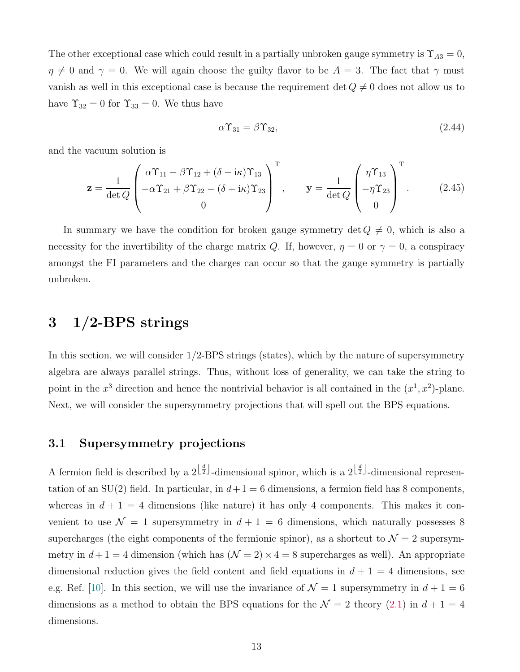The other exceptional case which could result in a partially unbroken gauge symmetry is  $\Upsilon_{A3} = 0$ ,  $\eta \neq 0$  and  $\gamma = 0$ . We will again choose the guilty flavor to be  $A = 3$ . The fact that  $\gamma$  must vanish as well in this exceptional case is because the requirement det  $Q \neq 0$  does not allow us to have  $\Upsilon_{32} = 0$  for  $\Upsilon_{33} = 0$ . We thus have

$$
\alpha \Upsilon_{31} = \beta \Upsilon_{32},\tag{2.44}
$$

and the vacuum solution is

$$
\mathbf{z} = \frac{1}{\det Q} \begin{pmatrix} \alpha \Upsilon_{11} - \beta \Upsilon_{12} + (\delta + i\kappa) \Upsilon_{13} \\ -\alpha \Upsilon_{21} + \beta \Upsilon_{22} - (\delta + i\kappa) \Upsilon_{23} \\ 0 \end{pmatrix}^{\mathrm{T}}, \qquad \mathbf{y} = \frac{1}{\det Q} \begin{pmatrix} \eta \Upsilon_{13} \\ -\eta \Upsilon_{23} \\ 0 \end{pmatrix}^{\mathrm{T}}.
$$
 (2.45)

In summary we have the condition for broken gauge symmetry det  $Q \neq 0$ , which is also a necessity for the invertibility of the charge matrix Q. If, however,  $\eta = 0$  or  $\gamma = 0$ , a conspiracy amongst the FI parameters and the charges can occur so that the gauge symmetry is partially unbroken.

# <span id="page-13-0"></span>3 1/2-BPS strings

In this section, we will consider 1/2-BPS strings (states), which by the nature of supersymmetry algebra are always parallel strings. Thus, without loss of generality, we can take the string to point in the  $x^3$  direction and hence the nontrivial behavior is all contained in the  $(x^1, x^2)$ -plane. Next, we will consider the supersymmetry projections that will spell out the BPS equations.

## <span id="page-13-1"></span>3.1 Supersymmetry projections

A fermion field is described by a  $2^{\lfloor \frac{d}{2} \rfloor}$ -dimensional spinor, which is a  $2^{\lfloor \frac{d}{2} \rfloor}$ -dimensional representation of an SU(2) field. In particular, in  $d+1=6$  dimensions, a fermion field has 8 components, whereas in  $d + 1 = 4$  dimensions (like nature) it has only 4 components. This makes it convenient to use  $\mathcal{N} = 1$  supersymmetry in  $d + 1 = 6$  dimensions, which naturally possesses 8 supercharges (the eight components of the fermionic spinor), as a shortcut to  $\mathcal{N}=2$  supersymmetry in  $d+1=4$  dimension (which has  $(\mathcal{N}=2) \times 4=8$  supercharges as well). An appropriate dimensional reduction gives the field content and field equations in  $d + 1 = 4$  dimensions, see e.g. Ref. [\[10\]](#page-52-5). In this section, we will use the invariance of  $\mathcal{N}=1$  supersymmetry in  $d+1=6$ dimensions as a method to obtain the BPS equations for the  $\mathcal{N} = 2$  theory [\(2.1\)](#page-5-1) in  $d + 1 = 4$ dimensions.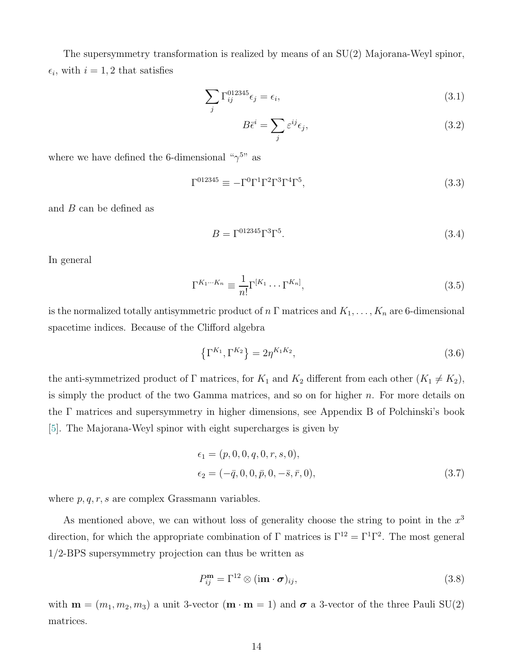The supersymmetry transformation is realized by means of an SU(2) Majorana-Weyl spinor,  $\epsilon_i$ , with  $i = 1, 2$  that satisfies

$$
\sum_{j} \Gamma_{ij}^{012345} \epsilon_j = \epsilon_i,\tag{3.1}
$$

$$
B\bar{\epsilon}^i = \sum_j \varepsilon^{ij} \epsilon_j,\tag{3.2}
$$

where we have defined the 6-dimensional  $\sqrt[6]{2}$ <sup>5</sup> as

$$
\Gamma^{012345} \equiv -\Gamma^0 \Gamma^1 \Gamma^2 \Gamma^3 \Gamma^4 \Gamma^5,\tag{3.3}
$$

and B can be defined as

$$
B = \Gamma^{012345} \Gamma^3 \Gamma^5. \tag{3.4}
$$

In general

$$
\Gamma^{K_1\cdots K_n} \equiv \frac{1}{n!} \Gamma^{[K_1} \cdots \Gamma^{K_n]},\tag{3.5}
$$

is the normalized totally antisymmetric product of  $n \Gamma$  matrices and  $K_1, \ldots, K_n$  are 6-dimensional spacetime indices. Because of the Clifford algebra

$$
\left\{\Gamma^{K_1}, \Gamma^{K_2}\right\} = 2\eta^{K_1 K_2},\tag{3.6}
$$

the anti-symmetrized product of  $\Gamma$  matrices, for  $K_1$  and  $K_2$  different from each other  $(K_1 \neq K_2)$ , is simply the product of the two Gamma matrices, and so on for higher  $n$ . For more details on the Γ matrices and supersymmetry in higher dimensions, see Appendix B of Polchinski's book [\[5](#page-52-0)]. The Majorana-Weyl spinor with eight supercharges is given by

$$
\epsilon_1 = (p, 0, 0, q, 0, r, s, 0), \n\epsilon_2 = (-\bar{q}, 0, 0, \bar{p}, 0, -\bar{s}, \bar{r}, 0),
$$
\n(3.7)

where  $p, q, r, s$  are complex Grassmann variables.

As mentioned above, we can without loss of generality choose the string to point in the  $x^3$ direction, for which the appropriate combination of  $\Gamma$  matrices is  $\Gamma^{12} = \Gamma^1 \Gamma^2$ . The most general 1/2-BPS supersymmetry projection can thus be written as

<span id="page-14-0"></span>
$$
P_{ij}^{\mathbf{m}} = \Gamma^{12} \otimes (\mathbf{im} \cdot \boldsymbol{\sigma})_{ij},\tag{3.8}
$$

with  $\mathbf{m} = (m_1, m_2, m_3)$  a unit 3-vector  $(\mathbf{m} \cdot \mathbf{m} = 1)$  and  $\sigma$  a 3-vector of the three Pauli SU(2) matrices.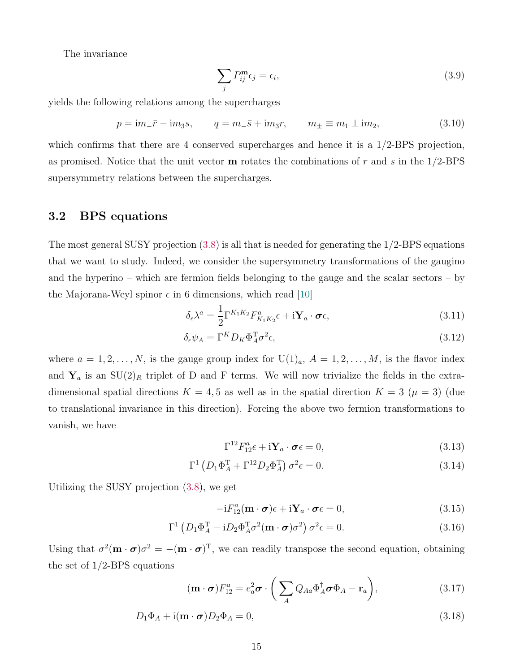The invariance

$$
\sum_{j} P_{ij}^{\mathbf{m}} \epsilon_j = \epsilon_i,\tag{3.9}
$$

yields the following relations among the supercharges

$$
p = im_{-}\bar{r} - im_{3}s, \qquad q = m_{-}\bar{s} + im_{3}r, \qquad m_{\pm} \equiv m_{1} \pm im_{2}, \tag{3.10}
$$

which confirms that there are 4 conserved supercharges and hence it is a  $1/2$ -BPS projection, as promised. Notice that the unit vector  **rotates the combinations of r and s in the**  $1/2$ **-BPS** supersymmetry relations between the supercharges.

## <span id="page-15-0"></span>3.2 BPS equations

The most general SUSY projection [\(3.8\)](#page-14-0) is all that is needed for generating the 1/2-BPS equations that we want to study. Indeed, we consider the supersymmetry transformations of the gaugino and the hyperino – which are fermion fields belonging to the gauge and the scalar sectors – by the Majorana-Weyl spinor  $\epsilon$  in 6 dimensions, which read [\[10\]](#page-52-5)

$$
\delta_{\epsilon} \lambda^{a} = \frac{1}{2} \Gamma^{K_{1} K_{2}} F_{K_{1} K_{2}}^{a} \epsilon + i \mathbf{Y}_{a} \cdot \boldsymbol{\sigma} \epsilon,
$$
\n(3.11)

$$
\delta_{\epsilon}\psi_A = \Gamma^K D_K \Phi_A^{\mathrm{T}} \sigma^2 \epsilon,\tag{3.12}
$$

where  $a = 1, 2, \ldots, N$ , is the gauge group index for  $U(1)<sub>a</sub>$ ,  $A = 1, 2, \ldots, M$ , is the flavor index and  $Y_a$  is an  $SU(2)_R$  triplet of D and F terms. We will now trivialize the fields in the extradimensional spatial directions  $K = 4, 5$  as well as in the spatial direction  $K = 3$  ( $\mu = 3$ ) (due to translational invariance in this direction). Forcing the above two fermion transformations to vanish, we have

$$
\Gamma^{12} F_{12}^a \epsilon + i \mathbf{Y}_a \cdot \boldsymbol{\sigma} \epsilon = 0, \qquad (3.13)
$$

$$
\Gamma^1 \left( D_1 \Phi_A^{\mathrm{T}} + \Gamma^{12} D_2 \Phi_A^{\mathrm{T}} \right) \sigma^2 \epsilon = 0. \tag{3.14}
$$

Utilizing the SUSY projection [\(3.8\)](#page-14-0), we get

<span id="page-15-2"></span><span id="page-15-1"></span>
$$
-iF_{12}^a(\mathbf{m}\cdot\boldsymbol{\sigma})\epsilon + i\mathbf{Y}_a\cdot\boldsymbol{\sigma}\epsilon = 0, \qquad (3.15)
$$

$$
\Gamma^{1} \left( D_{1} \Phi_{A}^{T} - i D_{2} \Phi_{A}^{T} \sigma^{2} (\mathbf{m} \cdot \boldsymbol{\sigma}) \sigma^{2} \right) \sigma^{2} \epsilon = 0.
$$
 (3.16)

Using that  $\sigma^2(\mathbf{m} \cdot \boldsymbol{\sigma})\sigma^2 = -(\mathbf{m} \cdot \boldsymbol{\sigma})^T$ , we can readily transpose the second equation, obtaining the set of 1/2-BPS equations

$$
(\mathbf{m} \cdot \boldsymbol{\sigma}) F_{12}^a = e_a^2 \boldsymbol{\sigma} \cdot \left( \sum_A Q_{Aa} \Phi_A^{\dagger} \boldsymbol{\sigma} \Phi_A - \mathbf{r}_a \right), \qquad (3.17)
$$

$$
D_1 \Phi_A + \mathrm{i}(\mathbf{m} \cdot \boldsymbol{\sigma}) D_2 \Phi_A = 0, \qquad (3.18)
$$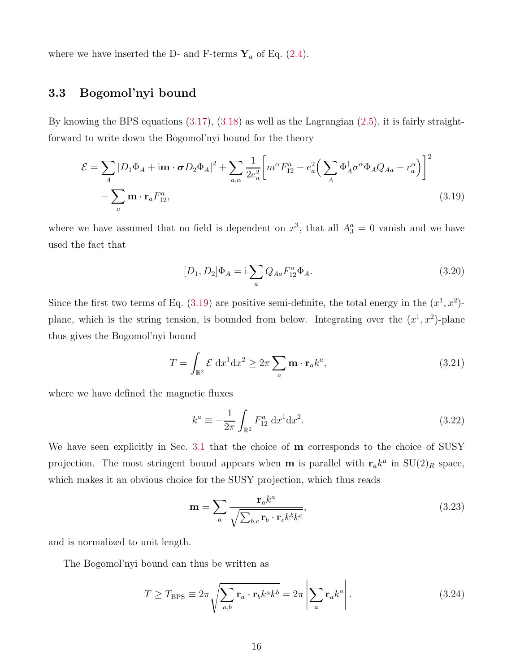<span id="page-16-0"></span>where we have inserted the D- and F-terms  $\mathbf{Y}_a$  of Eq. [\(2.4\)](#page-6-2).

## 3.3 Bogomol'nyi bound

By knowing the BPS equations  $(3.17), (3.18)$  $(3.17), (3.18)$  as well as the Lagrangian  $(2.5)$ , it is fairly straightforward to write down the Bogomol'nyi bound for the theory

$$
\mathcal{E} = \sum_{A} |D_1 \Phi_A + \mathbf{im} \cdot \boldsymbol{\sigma} D_2 \Phi_A|^2 + \sum_{a,\alpha} \frac{1}{2e_a^2} \bigg[ m^\alpha F_{12}^a - e_a^2 \bigg( \sum_A \Phi_A^\dagger \sigma^\alpha \Phi_A Q_{Aa} - r_a^\alpha \bigg) \bigg]^2 - \sum_a \mathbf{m} \cdot \mathbf{r}_a F_{12}^a,
$$
\n(3.19)

where we have assumed that no field is dependent on  $x^3$ , that all  $A_3^a = 0$  vanish and we have used the fact that

<span id="page-16-1"></span>
$$
[D_1, D_2]\Phi_A = \mathbf{i} \sum_a Q_{Aa} F_{12}^a \Phi_A.
$$
\n(3.20)

Since the first two terms of Eq.  $(3.19)$  are positive semi-definite, the total energy in the  $(x^1, x^2)$ plane, which is the string tension, is bounded from below. Integrating over the  $(x^1, x^2)$ -plane thus gives the Bogomol'nyi bound

$$
T = \int_{\mathbb{R}^2} \mathcal{E} \, dx^1 dx^2 \ge 2\pi \sum_a \mathbf{m} \cdot \mathbf{r}_a k^a,
$$
 (3.21)

where we have defined the magnetic fluxes

$$
k^{a} \equiv -\frac{1}{2\pi} \int_{\mathbb{R}^{2}} F_{12}^{a} dx^{1} dx^{2}.
$$
 (3.22)

We have seen explicitly in Sec. [3.1](#page-13-1) that the choice of **m** corresponds to the choice of SUSY projection. The most stringent bound appears when **m** is parallel with  $\mathbf{r}_a k^a$  in  $SU(2)_R$  space, which makes it an obvious choice for the SUSY projection, which thus reads

<span id="page-16-2"></span>
$$
\mathbf{m} = \sum_{a} \frac{\mathbf{r}_a k^a}{\sqrt{\sum_{b,c} \mathbf{r}_b \cdot \mathbf{r}_c k^b k^c}},\tag{3.23}
$$

and is normalized to unit length.

The Bogomol'nyi bound can thus be written as

<span id="page-16-3"></span>
$$
T \ge T_{\rm BPS} \equiv 2\pi \sqrt{\sum_{a,b} \mathbf{r}_a \cdot \mathbf{r}_b k^a k^b} = 2\pi \left| \sum_a \mathbf{r}_a k^a \right|.
$$
 (3.24)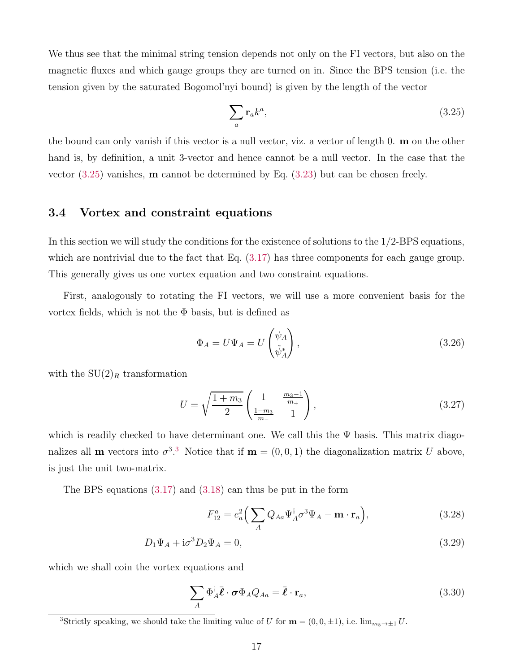We thus see that the minimal string tension depends not only on the FI vectors, but also on the magnetic fluxes and which gauge groups they are turned on in. Since the BPS tension (i.e. the tension given by the saturated Bogomol'nyi bound) is given by the length of the vector

<span id="page-17-1"></span>
$$
\sum_{a} \mathbf{r}_a k^a,\tag{3.25}
$$

the bound can only vanish if this vector is a null vector, viz. a vector of length 0. m on the other hand is, by definition, a unit 3-vector and hence cannot be a null vector. In the case that the vector [\(3.25\)](#page-17-1) vanishes, m cannot be determined by Eq. [\(3.23\)](#page-16-2) but can be chosen freely.

### <span id="page-17-0"></span>3.4 Vortex and constraint equations

In this section we will study the conditions for the existence of solutions to the 1/2-BPS equations, which are nontrivial due to the fact that Eq.  $(3.17)$  has three components for each gauge group. This generally gives us one vortex equation and two constraint equations.

First, analogously to rotating the FI vectors, we will use a more convenient basis for the vortex fields, which is not the  $\Phi$  basis, but is defined as

$$
\Phi_A = U\Psi_A = U \begin{pmatrix} \psi_A \\ \tilde{\psi}_A^* \end{pmatrix},\tag{3.26}
$$

with the  $SU(2)_R$  transformation

$$
U = \sqrt{\frac{1 + m_3}{2}} \begin{pmatrix} 1 & \frac{m_3 - 1}{m_+} \\ \frac{1 - m_3}{m_-} & 1 \end{pmatrix},
$$
\n(3.27)

which is readily checked to have determinant one. We call this the  $\Psi$  basis. This matrix diagonalizes all **m** vectors into  $\sigma^{3.3}$  $\sigma^{3.3}$  $\sigma^{3.3}$  Notice that if **m** =  $(0,0,1)$  the diagonalization matrix U above, is just the unit two-matrix.

The BPS equations [\(3.17\)](#page-15-1) and [\(3.18\)](#page-15-2) can thus be put in the form

<span id="page-17-4"></span><span id="page-17-3"></span>
$$
F_{12}^a = e_a^2 \left( \sum_A Q_{Aa} \Psi_A^{\dagger} \sigma^3 \Psi_A - \mathbf{m} \cdot \mathbf{r}_a \right), \tag{3.28}
$$

$$
D_1\Psi_A + \mathrm{i}\sigma^3 D_2\Psi_A = 0,\tag{3.29}
$$

which we shall coin the vortex equations and

<span id="page-17-5"></span>
$$
\sum_{A} \Phi_{A}^{\dagger} \bar{\ell} \cdot \boldsymbol{\sigma} \Phi_{A} Q_{Aa} = \bar{\ell} \cdot \mathbf{r}_{a}, \qquad (3.30)
$$

<span id="page-17-2"></span><sup>&</sup>lt;sup>3</sup>Strictly speaking, we should take the limiting value of U for  $\mathbf{m} = (0, 0, \pm 1)$ , i.e.  $\lim_{m_3 \to \pm 1} U$ .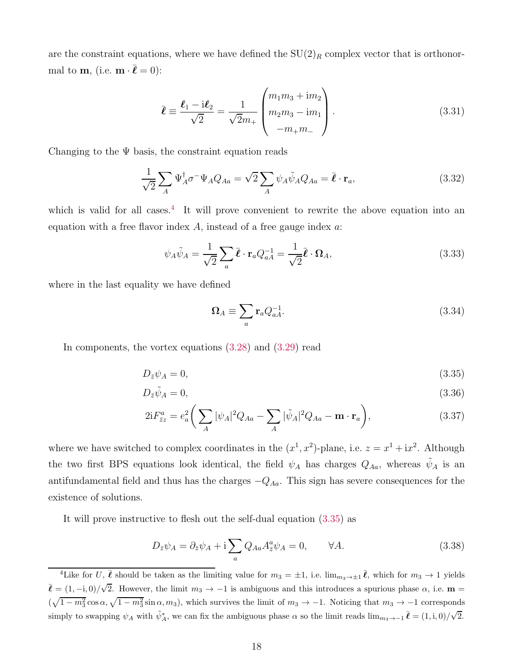are the constraint equations, where we have defined the  $SU(2)_R$  complex vector that is orthonormal to **m**, (i.e.  $\mathbf{m} \cdot \bar{\boldsymbol{\ell}} = 0$ ):

<span id="page-18-4"></span>
$$
\bar{\ell} \equiv \frac{\ell_1 - i\ell_2}{\sqrt{2}} = \frac{1}{\sqrt{2}m_+} \begin{pmatrix} m_1 m_3 + i m_2 \\ m_2 m_3 - i m_1 \\ -m_+ m_- \end{pmatrix} . \tag{3.31}
$$

Changing to the  $\Psi$  basis, the constraint equation reads

<span id="page-18-6"></span>
$$
\frac{1}{\sqrt{2}} \sum_{A} \Psi_{A}^{\dagger} \sigma^{-} \Psi_{A} Q_{Aa} = \sqrt{2} \sum_{A} \psi_{A} \tilde{\psi}_{A} Q_{Aa} = \bar{\boldsymbol{\ell}} \cdot \mathbf{r}_{a}, \qquad (3.32)
$$

which is valid for all cases.<sup>[4](#page-18-0)</sup> It will prove convenient to rewrite the above equation into an equation with a free flavor index  $A$ , instead of a free gauge index  $a$ .

<span id="page-18-3"></span>
$$
\psi_A \tilde{\psi}_A = \frac{1}{\sqrt{2}} \sum_a \bar{\boldsymbol{\ell}} \cdot \mathbf{r}_a Q_{aA}^{-1} = \frac{1}{\sqrt{2}} \bar{\boldsymbol{\ell}} \cdot \Omega_A,\tag{3.33}
$$

where in the last equality we have defined

<span id="page-18-5"></span><span id="page-18-2"></span><span id="page-18-1"></span>
$$
\Omega_A \equiv \sum_a \mathbf{r}_a Q_{aA}^{-1}.\tag{3.34}
$$

In components, the vortex equations [\(3.28\)](#page-17-3) and [\(3.29\)](#page-17-4) read

$$
D_{\bar{z}}\psi_A = 0,\tag{3.35}
$$

$$
D_{\bar{z}}\tilde{\psi}_A = 0,\tag{3.36}
$$

$$
2iF_{\bar{z}z}^a = e_a^2 \bigg(\sum_A |\psi_A|^2 Q_{Aa} - \sum_A |\tilde{\psi}_A|^2 Q_{Aa} - \mathbf{m} \cdot \mathbf{r}_a\bigg),\tag{3.37}
$$

where we have switched to complex coordinates in the  $(x^1, x^2)$ -plane, i.e.  $z = x^1 + ix^2$ . Although the two first BPS equations look identical, the field  $\psi_A$  has charges  $Q_{Aa}$ , whereas  $\tilde{\psi}_A$  is an antifundamental field and thus has the charges  $-Q_{Aa}$ . This sign has severe consequences for the existence of solutions.

It will prove instructive to flesh out the self-dual equation [\(3.35\)](#page-18-1) as

$$
D_{\bar{z}}\psi_A = \partial_{\bar{z}}\psi_A + i\sum_a Q_{Aa}A_{\bar{z}}^a\psi_A = 0, \qquad \forall A.
$$
 (3.38)

<span id="page-18-0"></span><sup>&</sup>lt;sup>4</sup>Like for U,  $\bar{\ell}$  should be taken as the limiting value for  $m_3 = \pm 1$ , i.e.  $\lim_{m_3 \to \pm 1} \bar{\ell}$ , which for  $m_3 \to 1$  yields  $\bar{\ell} = (1, -i, 0) / \sqrt{2}$ . However, the limit  $m_3 \to -1$  is ambiguous and this introduces a spurious phase  $\alpha$ , i.e.  $\mathbf{m} =$  $(\sqrt{1-m_3^2}\cos\alpha, \sqrt{1-m_3^2}\sin\alpha, m_3)$ , which survives the limit of  $m_3 \to -1$ . Noticing that  $m_3 \to -1$  corresponds simply to swapping  $\psi_A$  with  $\tilde{\psi}_A^*$ , we can fix the ambiguous phase  $\alpha$  so the limit reads  $\lim_{m_3 \to -1} \bar{\ell} = (1, i, 0)/\sqrt{2}$ .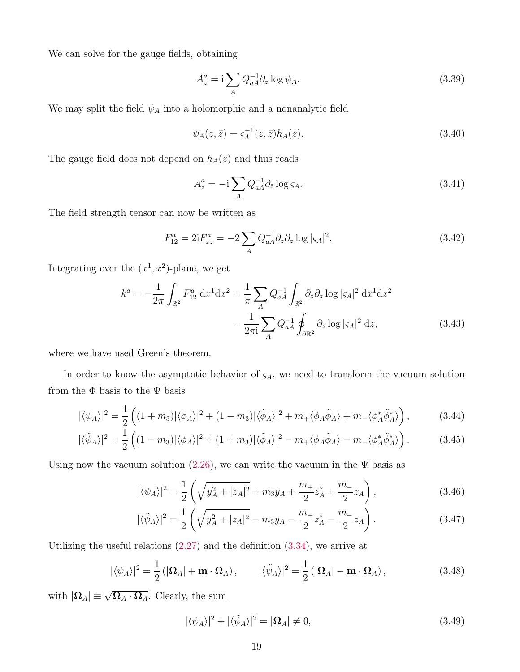We can solve for the gauge fields, obtaining

$$
A_{\bar{z}}^{a} = \mathbf{i} \sum_{A} Q_{aA}^{-1} \partial_{\bar{z}} \log \psi_{A}.
$$
 (3.39)

We may split the field  $\psi_A$  into a holomorphic and a nonanalytic field

$$
\psi_A(z,\bar{z}) = \varsigma_A^{-1}(z,\bar{z})h_A(z). \tag{3.40}
$$

The gauge field does not depend on  $h_A(z)$  and thus reads

<span id="page-19-0"></span>
$$
A_{\bar{z}}^{a} = -\mathrm{i} \sum_{A} Q_{aA}^{-1} \partial_{\bar{z}} \log \varsigma_{A}.
$$
 (3.41)

The field strength tensor can now be written as

$$
F_{12}^a = 2iF_{\bar{z}z}^a = -2\sum_A Q_{aA}^{-1} \partial_{\bar{z}} \partial_z \log |\varsigma_A|^2.
$$
 (3.42)

Integrating over the  $(x^1, x^2)$ -plane, we get

$$
k^{a} = -\frac{1}{2\pi} \int_{\mathbb{R}^{2}} F_{12}^{a} dx^{1} dx^{2} = \frac{1}{\pi} \sum_{A} Q_{aA}^{-1} \int_{\mathbb{R}^{2}} \partial_{\bar{z}} \partial_{z} \log |\varsigma_{A}|^{2} dx^{1} dx^{2}
$$

$$
= \frac{1}{2\pi i} \sum_{A} Q_{aA}^{-1} \oint_{\partial \mathbb{R}^{2}} \partial_{z} \log |\varsigma_{A}|^{2} dz, \qquad (3.43)
$$

where we have used Green's theorem.

In order to know the asymptotic behavior of  $\varsigma_A$ , we need to transform the vacuum solution from the  $\Phi$  basis to the  $\Psi$  basis

$$
|\langle \psi_A \rangle|^2 = \frac{1}{2} \left( (1 + m_3) |\langle \phi_A \rangle|^2 + (1 - m_3) |\langle \tilde{\phi}_A \rangle|^2 + m_+ \langle \phi_A \tilde{\phi}_A \rangle + m_- \langle \phi_A^* \tilde{\phi}_A^* \rangle \right), \tag{3.44}
$$

$$
|\langle \tilde{\psi}_A \rangle|^2 = \frac{1}{2} \left( (1 - m_3) |\langle \phi_A \rangle|^2 + (1 + m_3) |\langle \tilde{\phi}_A \rangle|^2 - m_+ \langle \phi_A \tilde{\phi}_A \rangle - m_- \langle \phi_A^* \tilde{\phi}_A^* \rangle \right). \tag{3.45}
$$

Using now the vacuum solution [\(2.26\)](#page-10-3), we can write the vacuum in the  $\Psi$  basis as

$$
|\langle \psi_A \rangle|^2 = \frac{1}{2} \left( \sqrt{y_A^2 + |z_A|^2} + m_3 y_A + \frac{m_+}{2} z_A^* + \frac{m_-}{2} z_A \right), \tag{3.46}
$$

$$
|\langle \tilde{\psi}_A \rangle|^2 = \frac{1}{2} \left( \sqrt{y_A^2 + |z_A|^2} - m_3 y_A - \frac{m_+}{2} z_A^* - \frac{m_-}{2} z_A \right). \tag{3.47}
$$

Utilizing the useful relations  $(2.27)$  and the definition  $(3.34)$ , we arrive at

<span id="page-19-1"></span>
$$
|\langle \psi_A \rangle|^2 = \frac{1}{2} \left( |\mathbf{\Omega}_A| + \mathbf{m} \cdot \mathbf{\Omega}_A \right), \qquad |\langle \tilde{\psi}_A \rangle|^2 = \frac{1}{2} \left( |\mathbf{\Omega}_A| - \mathbf{m} \cdot \mathbf{\Omega}_A \right), \tag{3.48}
$$

with  $|\Omega_A| \equiv \sqrt{\Omega_A \cdot \Omega_A}$ . Clearly, the sum

<span id="page-19-2"></span>
$$
|\langle \psi_A \rangle|^2 + |\langle \tilde{\psi}_A \rangle|^2 = |\Omega_A| \neq 0, \tag{3.49}
$$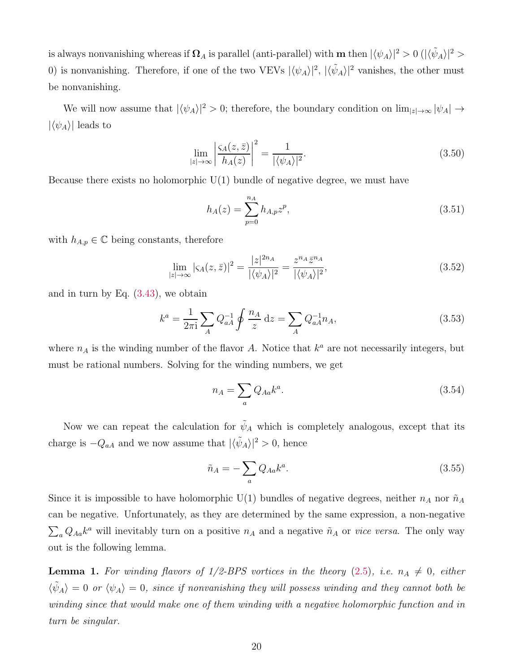is always nonvanishing whereas if  $\mathbf{\Omega}_A$  is parallel (anti-parallel) with  $\mathbf{m}$  then  $|\langle \psi_A \rangle|^2 > 0$  ( $|\langle \tilde{\psi}_A \rangle|^2 >$ 0) is nonvanishing. Therefore, if one of the two VEVs  $|\langle \psi_A \rangle|^2$ ,  $|\langle \tilde{\psi}_A \rangle|^2$  vanishes, the other must be nonvanishing.

We will now assume that  $|\langle \psi_A \rangle|^2 > 0$ ; therefore, the boundary condition on  $\lim_{|z| \to \infty} |\psi_A| \to$  $|\langle \psi_A \rangle|$  leads to

$$
\lim_{|z| \to \infty} \left| \frac{\varsigma_A(z, \bar{z})}{h_A(z)} \right|^2 = \frac{1}{|\langle \psi_A \rangle|^2}.
$$
\n(3.50)

Because there exists no holomorphic  $U(1)$  bundle of negative degree, we must have

$$
h_A(z) = \sum_{p=0}^{n_A} h_{A,p} z^p,
$$
\n(3.51)

with  $h_{A,p} \in \mathbb{C}$  being constants, therefore

$$
\lim_{|z| \to \infty} |\varsigma_A(z,\bar{z})|^2 = \frac{|z|^{2n_A}}{|\langle \psi_A \rangle|^2} = \frac{z^{n_A} \bar{z}^{n_A}}{|\langle \psi_A \rangle|^2},\tag{3.52}
$$

and in turn by Eq. [\(3.43\)](#page-19-0), we obtain

$$
k^{a} = \frac{1}{2\pi i} \sum_{A} Q_{aA}^{-1} \oint \frac{n_{A}}{z} dz = \sum_{A} Q_{aA}^{-1} n_{A},
$$
\n(3.53)

where  $n_A$  is the winding number of the flavor A. Notice that  $k^a$  are not necessarily integers, but must be rational numbers. Solving for the winding numbers, we get

$$
n_A = \sum_a Q_{Aa} k^a. \tag{3.54}
$$

Now we can repeat the calculation for  $\tilde{\psi}_A$  which is completely analogous, except that its charge is  $-Q_{aA}$  and we now assume that  $|\langle \tilde{\psi}_A \rangle|^2 > 0$ , hence

$$
\tilde{n}_A = -\sum_a Q_{Aa} k^a. \tag{3.55}
$$

Since it is impossible to have holomorphic U(1) bundles of negative degrees, neither  $n_A$  nor  $\tilde{n}_A$ can be negative. Unfortunately, as they are determined by the same expression, a non-negative  $\sum_a Q_{Aa} k^a$  will inevitably turn on a positive  $n_A$  and a negative  $\tilde{n}_A$  or *vice versa*. The only way out is the following lemma.

<span id="page-20-0"></span>**Lemma 1.** For winding flavors of  $1/2$ -BPS vortices in the theory [\(2.5\)](#page-6-1), i.e.  $n_A \neq 0$ , either  $\langle \tilde{\psi}_A \rangle = 0$  or  $\langle \psi_A \rangle = 0$ , since if nonvanishing they will possess winding and they cannot both be *winding since that would make one of them winding with a negative holomorphic function and in turn be singular.*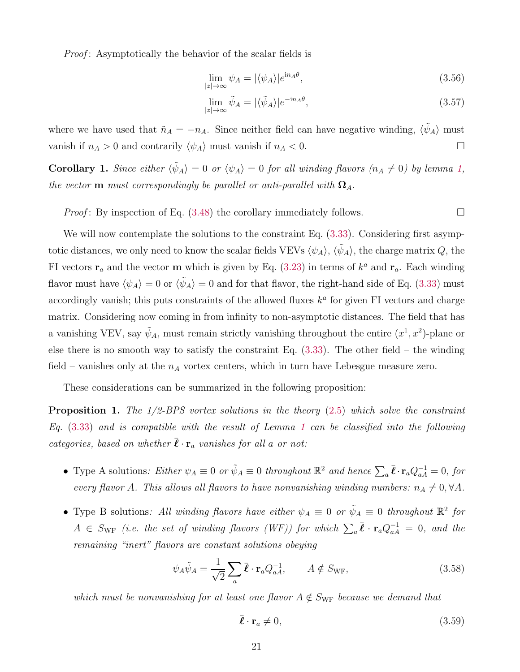*Proof* : Asymptotically the behavior of the scalar fields is

$$
\lim_{|z| \to \infty} \psi_A = |\langle \psi_A \rangle| e^{in_A \theta}, \tag{3.56}
$$

$$
\lim_{|z| \to \infty} \tilde{\psi}_A = |\langle \tilde{\psi}_A \rangle| e^{-\mathrm{i} n_A \theta},\tag{3.57}
$$

where we have used that  $\tilde{n}_A = -n_A$ . Since neither field can have negative winding,  $\langle \tilde{\psi}_A \rangle$  must vanish if  $n_A > 0$  and contrarily  $\langle \psi_A \rangle$  must vanish if  $n_A < 0$ .

<span id="page-21-1"></span>**Corollary 1.** *Since either*  $\langle \tilde{\psi}_A \rangle = 0$  *or*  $\langle \psi_A \rangle = 0$  *for all winding flavors*  $(n_A \neq 0)$  *by lemma [1,](#page-20-0) the vector* **m** *must correspondingly be parallel or anti-parallel with*  $\Omega_A$ .

*Proof*: By inspection of Eq.  $(3.48)$  the corollary immediately follows.

We will now contemplate the solutions to the constraint Eq.  $(3.33)$ . Considering first asymptotic distances, we only need to know the scalar fields VEVs  $\langle \psi_A \rangle$ ,  $\langle \tilde{\psi}_A \rangle$ , the charge matrix  $Q$ , the FI vectors  $\mathbf{r}_a$  and the vector **m** which is given by Eq. [\(3.23\)](#page-16-2) in terms of  $k^a$  and  $\mathbf{r}_a$ . Each winding flavor must have  $\langle \psi_A \rangle = 0$  or  $\langle \tilde{\psi}_A \rangle = 0$  and for that flavor, the right-hand side of Eq. [\(3.33\)](#page-18-3) must accordingly vanish; this puts constraints of the allowed fluxes  $k^a$  for given FI vectors and charge matrix. Considering now coming in from infinity to non-asymptotic distances. The field that has a vanishing VEV, say  $\tilde{\psi}_A$ , must remain strictly vanishing throughout the entire  $(x^1, x^2)$ -plane or else there is no smooth way to satisfy the constraint Eq.  $(3.33)$ . The other field – the winding field – vanishes only at the  $n_A$  vortex centers, which in turn have Lebesgue measure zero.

These considerations can be summarized in the following proposition:

<span id="page-21-0"></span>Proposition 1. *The 1/2-BPS vortex solutions in the theory* [\(2.5\)](#page-6-1) *which solve the constraint Eq.* [\(3.33\)](#page-18-3) *and is compatible with the result of Lemma [1](#page-20-0) can be classified into the following categories, based on whether*  $\bar{\ell} \cdot \mathbf{r}_a$  *vanishes for all a or not:* 

- Type A solutions: Either  $\psi_A \equiv 0$  or  $\tilde{\psi}_A \equiv 0$  throughout  $\mathbb{R}^2$  and hence  $\sum_a \bar{\ell} \cdot \mathbf{r}_a Q_{aA}^{-1} = 0$ , for *every flavor* A. This allows all flavors to have nonvanishing winding numbers:  $n_A \neq 0, \forall A$ .
- Type B solutions: All winding flavors have either  $\psi_A \equiv 0$  or  $\tilde{\psi}_A \equiv 0$  throughout  $\mathbb{R}^2$  for  $A \in S_{\rm WF}$  (i.e. the set of winding flavors (WF)) for which  $\sum_a \bar{\ell} \cdot {\bf r}_a Q_{aA}^{-1} = 0$ , and the *remaining "inert" flavors are constant solutions obeying*

$$
\psi_A \tilde{\psi}_A = \frac{1}{\sqrt{2}} \sum_a \bar{\boldsymbol{\ell}} \cdot \mathbf{r}_a Q_{aA}^{-1}, \qquad A \notin S_{\text{WF}}, \tag{3.58}
$$

*which must be nonvanishing for at least one flavor*  $A \notin S_{WF}$  *because we demand that* 

$$
\bar{\boldsymbol{\ell}} \cdot \mathbf{r}_a \neq 0,\tag{3.59}
$$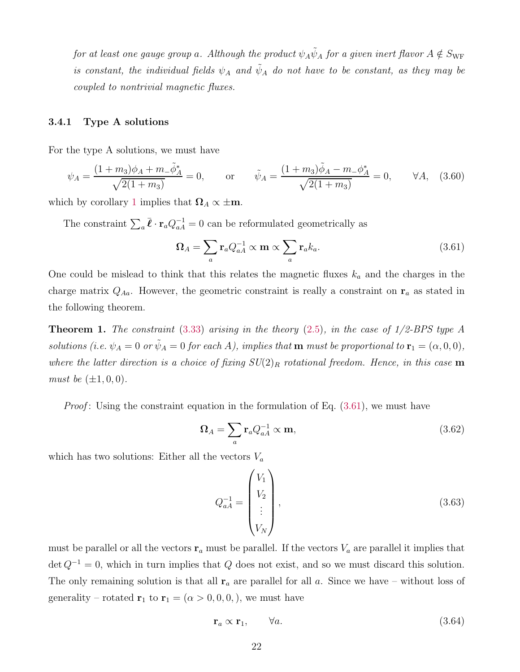$for~at~least~one~gauge~group~a.~Although~the~product~\psi_A\tilde{\psi}_A~for~a~given~inert~flavor~A \notin S_{\rm WF}$ *is constant, the individual fields*  $\psi_A$  *and*  $\tilde{\psi}_A$  *do not have to be constant, as they may be coupled to nontrivial magnetic fluxes.*

#### <span id="page-22-0"></span>3.4.1 Type A solutions

For the type A solutions, we must have

<span id="page-22-3"></span>
$$
\psi_A = \frac{(1+m_3)\phi_A + m_-\tilde{\phi}_A^*}{\sqrt{2(1+m_3)}} = 0, \qquad \text{or} \qquad \tilde{\psi}_A = \frac{(1+m_3)\tilde{\phi}_A - m_-\phi_A^*}{\sqrt{2(1+m_3)}} = 0, \qquad \forall A, \quad (3.60)
$$

which by corollary [1](#page-21-1) implies that  $\Omega_A \propto \pm \mathbf{m}$ .

The constraint  $\sum_a \bar{\ell} \cdot \mathbf{r}_a Q_{aA}^{-1} = 0$  can be reformulated geometrically as

<span id="page-22-2"></span>
$$
\Omega_A = \sum_a \mathbf{r}_a Q_{aA}^{-1} \propto \mathbf{m} \propto \sum_a \mathbf{r}_a k_a.
$$
 (3.61)

One could be mislead to think that this relates the magnetic fluxes  $k_a$  and the charges in the charge matrix  $Q_{Aa}$ . However, the geometric constraint is really a constraint on  $r_a$  as stated in the following theorem.

<span id="page-22-1"></span>Theorem 1. *The constraint* [\(3.33\)](#page-18-3) *arising in the theory* [\(2.5\)](#page-6-1)*, in the case of 1/2-BPS type A solutions (i.e.*  $\psi_A = 0$  *or*  $\tilde{\psi}_A = 0$  *for each A), implies that* **m** *must be proportional to*  $\mathbf{r}_1 = (\alpha, 0, 0)$ *, where the latter direction is a choice of fixing*  $SU(2)_R$  *rotational freedom. Hence, in this case* **m** *must be*  $(\pm 1, 0, 0)$ *.* 

*Proof*: Using the constraint equation in the formulation of Eq.  $(3.61)$ , we must have

$$
\Omega_A = \sum_a \mathbf{r}_a Q_{aA}^{-1} \propto \mathbf{m},\tag{3.62}
$$

which has two solutions: Either all the vectors  $V_a$ 

$$
Q_{aA}^{-1} = \begin{pmatrix} V_1 \\ V_2 \\ \vdots \\ V_N \end{pmatrix},
$$
\n(3.63)

must be parallel or all the vectors  $r_a$  must be parallel. If the vectors  $V_a$  are parallel it implies that  $\det Q^{-1} = 0$ , which in turn implies that Q does not exist, and so we must discard this solution. The only remaining solution is that all  $r_a$  are parallel for all a. Since we have – without loss of generality – rotated  $\mathbf{r}_1$  to  $\mathbf{r}_1 = (\alpha > 0, 0, 0, 0)$ , we must have

$$
\mathbf{r}_a \propto \mathbf{r}_1, \qquad \forall a. \tag{3.64}
$$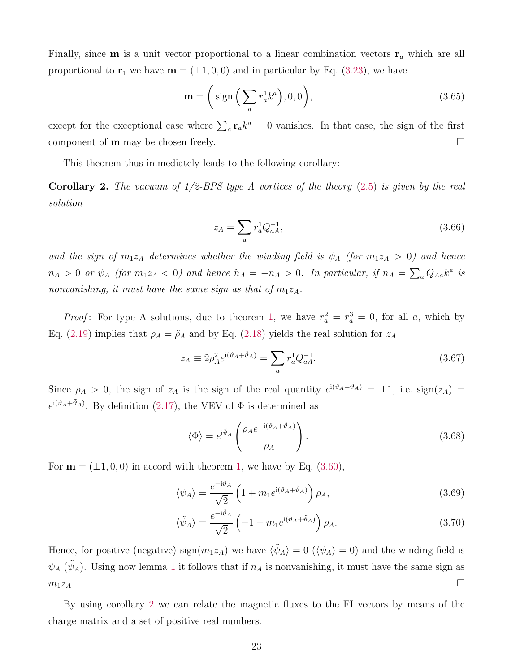Finally, since **m** is a unit vector proportional to a linear combination vectors  $\mathbf{r}_a$  which are all proportional to  $\mathbf{r}_1$  we have  $\mathbf{m} = (\pm 1, 0, 0)$  and in particular by Eq. [\(3.23\)](#page-16-2), we have

$$
\mathbf{m} = \left(\text{sign}\left(\sum_{a} r_a^1 k^a\right), 0, 0\right),\tag{3.65}
$$

except for the exceptional case where  $\sum_a \mathbf{r}_a k^a = 0$  vanishes. In that case, the sign of the first component of **m** may be chosen freely.

This theorem thus immediately leads to the following corollary:

<span id="page-23-0"></span>Corollary 2. *The vacuum of 1/2-BPS type A vortices of the theory* [\(2.5\)](#page-6-1) *is given by the real solution*

$$
z_A = \sum_a r_a^1 Q_{aA}^{-1},\tag{3.66}
$$

and the sign of  $m_1z_A$  determines whether the winding field is  $\psi_A$  (for  $m_1z_A > 0$ ) and hence  $n_A > 0$  or  $\tilde{\psi}_A$  (for  $m_1 z_A < 0$ ) and hence  $\tilde{n}_A = -n_A > 0$ . In particular, if  $n_A = \sum_a Q_{Aa} k^a$  is *nonvanishing, it must have the same sign as that of*  $m_1z_A$ .

*Proof*: For type A solutions, due to theorem [1,](#page-22-1) we have  $r_a^2 = r_a^3 = 0$ , for all a, which by Eq. [\(2.19\)](#page-8-2) implies that  $\rho_A = \tilde{\rho}_A$  and by Eq. [\(2.18\)](#page-8-1) yields the real solution for  $z_A$ 

$$
z_A \equiv 2\rho_A^2 e^{i(\vartheta_A + \tilde{\vartheta}_A)} = \sum_a r_a^1 Q_{aA}^{-1}.
$$
\n(3.67)

Since  $\rho_A > 0$ , the sign of  $z_A$  is the sign of the real quantity  $e^{i(\vartheta_A + \tilde{\vartheta}_A)} = \pm 1$ , i.e.  $sign(z_A) =$  $e^{i(\vartheta_A + \tilde{\vartheta}_A)}$ . By definition [\(2.17\)](#page-8-3), the VEV of  $\Phi$  is determined as

$$
\langle \Phi \rangle = e^{i\tilde{\vartheta}_A} \begin{pmatrix} \rho_A e^{-i(\vartheta_A + \tilde{\vartheta}_A)} \\ \rho_A \end{pmatrix} . \tag{3.68}
$$

For  $\mathbf{m} = (\pm 1, 0, 0)$  $\mathbf{m} = (\pm 1, 0, 0)$  $\mathbf{m} = (\pm 1, 0, 0)$  in accord with theorem 1, we have by Eq. [\(3.60\)](#page-22-3),

$$
\langle \psi_A \rangle = \frac{e^{-i\vartheta_A}}{\sqrt{2}} \left( 1 + m_1 e^{i(\vartheta_A + \tilde{\vartheta}_A)} \right) \rho_A,\tag{3.69}
$$

$$
\langle \tilde{\psi}_A \rangle = \frac{e^{-i\tilde{\vartheta}_A}}{\sqrt{2}} \left( -1 + m_1 e^{i(\vartheta_A + \tilde{\vartheta}_A)} \right) \rho_A.
$$
 (3.70)

Hence, for positive (negative)  $sign(m_1z_A)$  we have  $\langle \tilde{\psi}_A \rangle = 0$   $(\langle \psi_A \rangle = 0)$  and the winding field is  $\psi_A$  ( $\tilde{\psi}_A$ ). Using now lemma [1](#page-20-0) it follows that if  $n_A$  is nonvanishing, it must have the same sign as  $m_1z_A$ .

By using corollary [2](#page-23-0) we can relate the magnetic fluxes to the FI vectors by means of the charge matrix and a set of positive real numbers.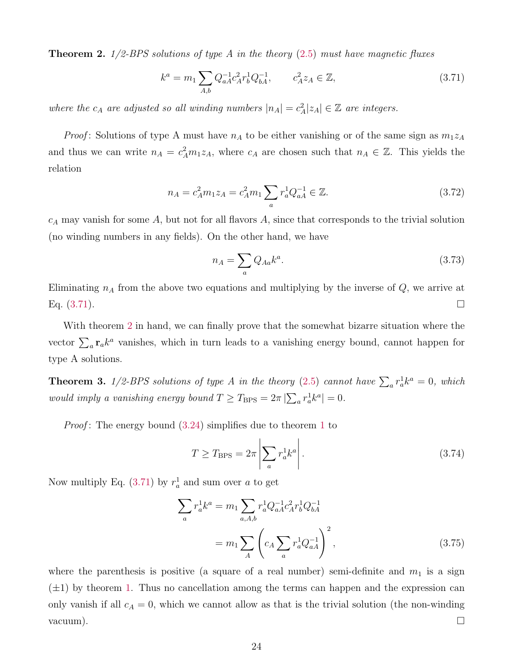<span id="page-24-0"></span>Theorem 2. *1/2-BPS solutions of type A in the theory* [\(2.5\)](#page-6-1) *must have magnetic fluxes*

<span id="page-24-2"></span>
$$
k^{a} = m_{1} \sum_{A,b} Q_{aA}^{-1} c_{A}^{2} r_{b}^{1} Q_{bA}^{-1}, \qquad c_{A}^{2} z_{A} \in \mathbb{Z}, \qquad (3.71)
$$

where the  $c_A$  are adjusted so all winding numbers  $|n_A| = c_A^2 |z_A| \in \mathbb{Z}$  are integers.

*Proof*: Solutions of type A must have  $n_A$  to be either vanishing or of the same sign as  $m_1z_A$ and thus we can write  $n_A = c_A^2 m_1 z_A$ , where  $c_A$  are chosen such that  $n_A \in \mathbb{Z}$ . This yields the relation

$$
n_A = c_A^2 m_1 z_A = c_A^2 m_1 \sum_a r_a^1 Q_{aA}^{-1} \in \mathbb{Z}.
$$
\n(3.72)

 $c_A$  may vanish for some A, but not for all flavors A, since that corresponds to the trivial solution (no winding numbers in any fields). On the other hand, we have

$$
n_A = \sum_a Q_{Aa} k^a. \tag{3.73}
$$

Eliminating  $n_A$  from the above two equations and multiplying by the inverse of  $Q$ , we arrive at Eq.  $(3.71)$ .

With theorem [2](#page-24-0) in hand, we can finally prove that the somewhat bizarre situation where the vector  $\sum_a \mathbf{r}_a k^a$  vanishes, which in turn leads to a vanishing energy bound, cannot happen for type A solutions.

<span id="page-24-1"></span>**Theorem 3.**  $1/2$ -BPS solutions of type A in the theory [\(2.5\)](#page-6-1) cannot have  $\sum_a r_a^1 k^a = 0$ , which *would imply a vanishing energy bound*  $T \geq T_{\text{BPS}} = 2\pi |\sum_{a} r_a^1 k^a| = 0$ .

*Proof* : The energy bound [\(3.24\)](#page-16-3) simplifies due to theorem [1](#page-22-1) to

$$
T \ge T_{\rm BPS} = 2\pi \left| \sum_{a} r_a^1 k^a \right|.
$$
 (3.74)

Now multiply Eq.  $(3.71)$  by  $r_a^1$  and sum over a to get

$$
\sum_{a} r_a^1 k^a = m_1 \sum_{a,A,b} r_a^1 Q_{aA}^{-1} c_A^2 r_b^1 Q_{bA}^{-1}
$$

$$
= m_1 \sum_{A} \left( c_A \sum_{a} r_a^1 Q_{aA}^{-1} \right)^2, \qquad (3.75)
$$

where the parenthesis is positive (a square of a real number) semi-definite and  $m_1$  is a sign  $(\pm 1)$  by theorem [1.](#page-22-1) Thus no cancellation among the terms can happen and the expression can only vanish if all  $c_A = 0$ , which we cannot allow as that is the trivial solution (the non-winding  $\Box$ vacuum).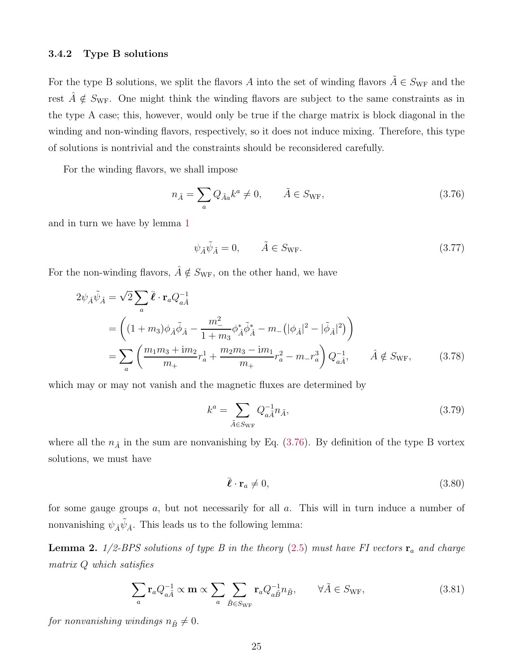#### <span id="page-25-0"></span>3.4.2 Type B solutions

For the type B solutions, we split the flavors A into the set of winding flavors  $\tilde{A} \in S_{\text{WF}}$  and the rest  $\tilde{A} \notin S_{\text{WF}}$ . One might think the winding flavors are subject to the same constraints as in the type A case; this, however, would only be true if the charge matrix is block diagonal in the winding and non-winding flavors, respectively, so it does not induce mixing. Therefore, this type of solutions is nontrivial and the constraints should be reconsidered carefully.

For the winding flavors, we shall impose

<span id="page-25-2"></span>
$$
n_{\tilde{A}} = \sum_{a} Q_{\tilde{A}a} k^a \neq 0, \qquad \tilde{A} \in S_{\text{WF}}, \tag{3.76}
$$

and in turn we have by lemma [1](#page-20-0)

$$
\psi_{\tilde{A}}\tilde{\psi}_{\tilde{A}} = 0, \qquad \tilde{A} \in S_{\text{WF}}.\tag{3.77}
$$

For the non-winding flavors,  $\hat{A} \notin S_{\text{WF}}$ , on the other hand, we have

$$
2\psi_{\hat{A}}\tilde{\psi}_{\hat{A}} = \sqrt{2} \sum_{a} \bar{\ell} \cdot \mathbf{r}_{a} Q_{a\hat{A}}^{-1}
$$
  
= 
$$
\left( (1 + m_{3})\phi_{\hat{A}}\tilde{\phi}_{\hat{A}} - \frac{m_{-}^{2}}{1 + m_{3}}\phi_{\hat{A}}^{*}\tilde{\phi}_{\hat{A}}^{*} - m_{-}(|\phi_{\hat{A}}|^{2} - |\tilde{\phi}_{\hat{A}}|^{2}) \right)
$$
  
= 
$$
\sum_{a} \left( \frac{m_{1}m_{3} + im_{2}}{m_{+}}r_{a}^{1} + \frac{m_{2}m_{3} - im_{1}}{m_{+}}r_{a}^{2} - m_{-}r_{a}^{3} \right) Q_{a\hat{A}}^{-1}, \qquad \hat{A} \notin S_{\text{WF}}, \qquad (3.78)
$$

which may or may not vanish and the magnetic fluxes are determined by

<span id="page-25-5"></span><span id="page-25-3"></span>
$$
k^a = \sum_{\tilde{A} \in S_{\text{WF}}} Q_{a\tilde{A}}^{-1} n_{\tilde{A}},\tag{3.79}
$$

where all the  $n_{\tilde{A}}$  in the sum are nonvanishing by Eq. [\(3.76\)](#page-25-2). By definition of the type B vortex solutions, we must have

$$
\bar{\boldsymbol{\ell}} \cdot \mathbf{r}_a \neq 0,\tag{3.80}
$$

for some gauge groups a, but not necessarily for all a. This will in turn induce a number of nonvanishing  $\psi_{\hat{A}}\tilde{\psi}_{\hat{A}}$ . This leads us to the following lemma:

<span id="page-25-1"></span>**Lemma 2.**  $1/2$ -BPS solutions of type B in the theory [\(2.5\)](#page-6-1) must have FI vectors  $\mathbf{r}_a$  and charge *matrix* Q *which satisfies*

<span id="page-25-4"></span>
$$
\sum_{a} \mathbf{r}_{a} Q_{a\tilde{A}}^{-1} \propto \mathbf{m} \propto \sum_{a} \sum_{\tilde{B} \in S_{\text{WF}}} \mathbf{r}_{a} Q_{a\tilde{B}}^{-1} n_{\tilde{B}}, \qquad \forall \tilde{A} \in S_{\text{WF}}, \tag{3.81}
$$

*for nonvanishing windings*  $n_{\tilde{B}} \neq 0$ *.*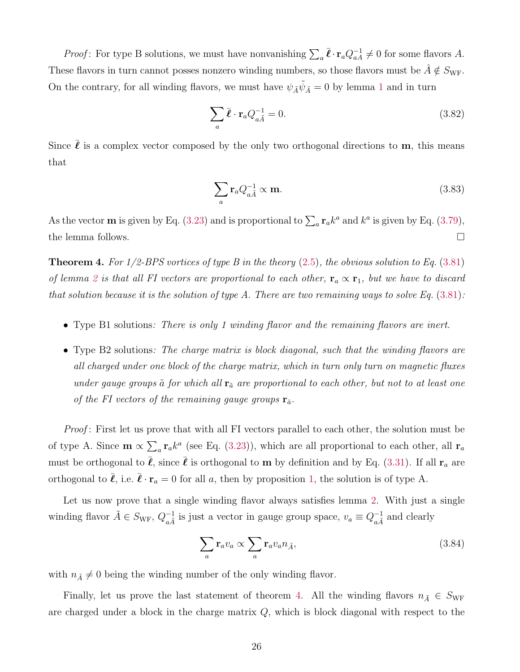*Proof*: For type B solutions, we must have nonvanishing  $\sum_a \bar{\ell} \cdot \mathbf{r}_a Q_{aA}^{-1} \neq 0$  for some flavors A. These flavors in turn cannot posses nonzero winding numbers, so those flavors must be  $\tilde{A} \notin S_{\text{WF}}$ . On the contrary, for all winding flavors, we must have  $\psi_{\tilde{A}}\tilde{\psi}_{\tilde{A}}=0$  by lemma [1](#page-20-0) and in turn

$$
\sum_{a} \bar{\ell} \cdot \mathbf{r}_{a} Q_{a\tilde{A}}^{-1} = 0. \tag{3.82}
$$

Since  $\bar{\ell}$  is a complex vector composed by the only two orthogonal directions to **m**, this means that

$$
\sum_{a} \mathbf{r}_a Q_{a\tilde{A}}^{-1} \propto \mathbf{m}.\tag{3.83}
$$

As the vector **m** is given by Eq. [\(3.23\)](#page-16-2) and is proportional to  $\sum_{a} \mathbf{r}_{a} k^{a}$  and  $k^{a}$  is given by Eq. [\(3.79\)](#page-25-3), the lemma follows.

<span id="page-26-0"></span>Theorem 4. *For 1/2-BPS vortices of type B in the theory* [\(2.5\)](#page-6-1)*, the obvious solution to Eq.* [\(3.81\)](#page-25-4) *of lemma* [2](#page-25-1) *is that all FI vectors are proportional to each other,*  $\mathbf{r}_a \propto \mathbf{r}_1$ *, but we have to discard that solution because it is the solution of type A. There are two remaining ways to solve Eq.* [\(3.81\)](#page-25-4)*:*

- Type B1 solutions*: There is only 1 winding flavor and the remaining flavors are inert.*
- Type B2 solutions*: The charge matrix is block diagonal, such that the winding flavors are all charged under one block of the charge matrix, which in turn only turn on magnetic fluxes under gauge groups*  $\tilde{a}$  *for which all*  $\mathbf{r}_{\tilde{a}}$  *are proportional to each other, but not to at least one of the FI vectors of the remaining gauge groups*  $\mathbf{r}_{\hat{a}}$ .

*Proof* : First let us prove that with all FI vectors parallel to each other, the solution must be of type A. Since  $\mathbf{m} \propto \sum_a \mathbf{r}_a k^a$  (see Eq. [\(3.23\)](#page-16-2)), which are all proportional to each other, all  $\mathbf{r}_a$ must be orthogonal to  $\bar{\ell}$ , since  $\bar{\ell}$  is orthogonal to **m** by definition and by Eq. [\(3.31\)](#page-18-4). If all  $\mathbf{r}_a$  are orthogonal to  $\bar{\ell}$ , i.e.  $\bar{\ell} \cdot \mathbf{r}_a = 0$  for all a, then by proposition [1,](#page-21-0) the solution is of type A.

Let us now prove that a single winding flavor always satisfies lemma [2.](#page-25-1) With just a single winding flavor  $\tilde{A} \in S_{\text{WF}}, Q_{a\tilde{A}}^{-1}$  $\frac{-1}{a\tilde{A}}$  is just a vector in gauge group space,  $v_a \equiv Q_{a\tilde{A}}^{-1}$  $_{a\tilde{A}}^{-1}$  and clearly

$$
\sum_{a} \mathbf{r}_a v_a \propto \sum_{a} \mathbf{r}_a v_a n_{\tilde{A}},\tag{3.84}
$$

with  $n_{\tilde{A}} \neq 0$  being the winding number of the only winding flavor.

Finally, let us prove the last statement of theorem [4.](#page-26-0) All the winding flavors  $n_{\tilde{A}} \in S_{\text{WF}}$ are charged under a block in the charge matrix Q, which is block diagonal with respect to the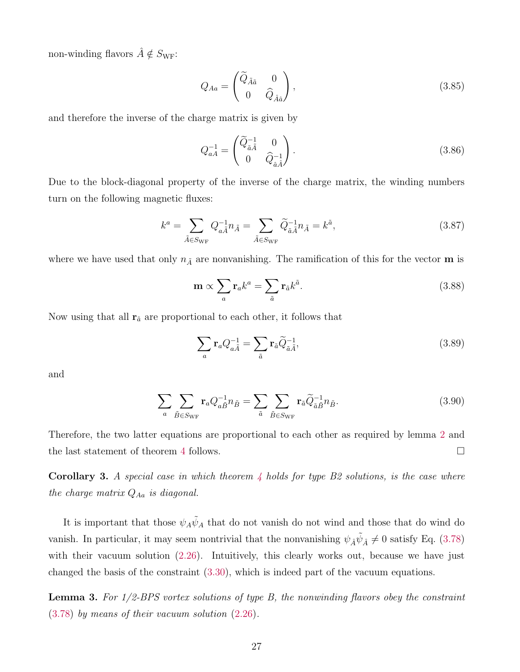non-winding flavors  $\hat{A} \notin S_{\rm WF}\colon$ 

<span id="page-27-1"></span>
$$
Q_{Aa} = \begin{pmatrix} \widetilde{Q}_{\tilde{A}\tilde{a}} & 0\\ 0 & \widehat{Q}_{\hat{A}\hat{a}} \end{pmatrix},\tag{3.85}
$$

and therefore the inverse of the charge matrix is given by

$$
Q_{aA}^{-1} = \begin{pmatrix} \widetilde{Q}_{\tilde{a}\tilde{A}}^{-1} & 0\\ 0 & \widehat{Q}_{\hat{a}\tilde{A}}^{-1} \end{pmatrix} . \tag{3.86}
$$

Due to the block-diagonal property of the inverse of the charge matrix, the winding numbers turn on the following magnetic fluxes:

$$
k^{a} = \sum_{\tilde{A}\in S_{\rm WF}} Q_{a\tilde{A}}^{-1} n_{\tilde{A}} = \sum_{\tilde{A}\in S_{\rm WF}} \tilde{Q}_{\tilde{a}\tilde{A}}^{-1} n_{\tilde{A}} = k^{\tilde{a}},\tag{3.87}
$$

where we have used that only  $n_{\tilde{A}}$  are nonvanishing. The ramification of this for the vector **m** is

$$
\mathbf{m} \propto \sum_{a} \mathbf{r}_{a} k^{a} = \sum_{\tilde{a}} \mathbf{r}_{\tilde{a}} k^{\tilde{a}}.
$$
 (3.88)

Now using that all  $\mathbf{r}_{\tilde{a}}$  are proportional to each other, it follows that

$$
\sum_{a} \mathbf{r}_a Q_{a\tilde{A}}^{-1} = \sum_{\tilde{a}} \mathbf{r}_{\tilde{a}} \widetilde{Q}_{\tilde{a}\tilde{A}}^{-1},\tag{3.89}
$$

and

$$
\sum_{a} \sum_{\tilde{B} \in S_{\text{WF}}} \mathbf{r}_{a} Q_{a\tilde{B}}^{-1} n_{\tilde{B}} = \sum_{\tilde{a}} \sum_{\tilde{B} \in S_{\text{WF}}} \mathbf{r}_{\tilde{a}} \tilde{Q}_{\tilde{a}\tilde{B}}^{-1} n_{\tilde{B}}.
$$
\n(3.90)

Therefore, the two latter equations are proportional to each other as required by lemma [2](#page-25-1) and the last statement of theorem [4](#page-26-0) follows.

Corollary 3. *A special case in which theorem [4](#page-26-0) holds for type B2 solutions, is the case where the charge matrix*  $Q_{Aa}$  *is diagonal.* 

It is important that those  $\psi_A \tilde{\psi}_A$  that do not vanish do not wind and those that do wind do vanish. In particular, it may seem nontrivial that the nonvanishing  $\psi_{\hat{A}}\tilde{\psi}_{\hat{A}} \neq 0$  satisfy Eq. [\(3.78\)](#page-25-5) with their vacuum solution [\(2.26\)](#page-10-3). Intuitively, this clearly works out, because we have just changed the basis of the constraint [\(3.30\)](#page-17-5), which is indeed part of the vacuum equations.

<span id="page-27-0"></span>Lemma 3. *For 1/2-BPS vortex solutions of type B, the nonwinding flavors obey the constraint* [\(3.78\)](#page-25-5) *by means of their vacuum solution* [\(2.26\)](#page-10-3)*.*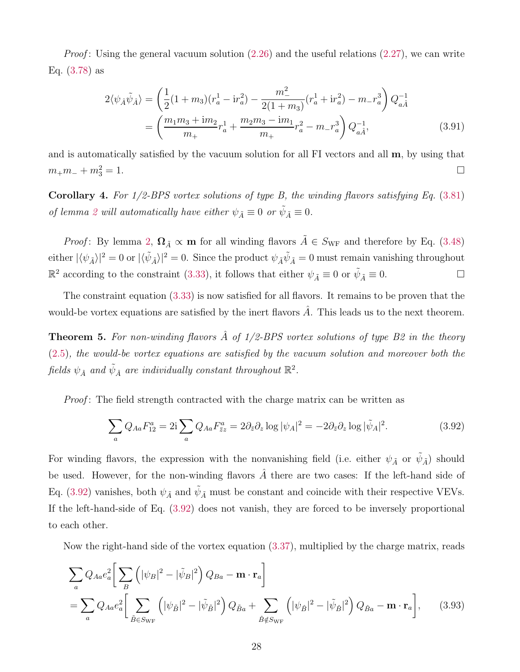*Proof*: Using the general vacuum solution [\(2.26\)](#page-10-3) and the useful relations [\(2.27\)](#page-10-4), we can write Eq. [\(3.78\)](#page-25-5) as

$$
2\langle \psi_{\hat{A}}\tilde{\psi}_{\hat{A}} \rangle = \left(\frac{1}{2}(1+m_3)(r_a^1 - ir_a^2) - \frac{m_-^2}{2(1+m_3)}(r_a^1 + ir_a^2) - m_-r_a^3\right)Q_{a\hat{A}}^{-1}
$$
  
= 
$$
\left(\frac{m_1m_3 + im_2}{m_+}r_a^1 + \frac{m_2m_3 - im_1}{m_+}r_a^2 - m_-r_a^3\right)Q_{a\hat{A}}^{-1},
$$
(3.91)

and is automatically satisfied by the vacuum solution for all  $\overline{FI}$  vectors and all  $\overline{m}$ , by using that  $m_+m_- + m_3^2 = 1.$  $\frac{2}{3} = 1.$ 

<span id="page-28-1"></span>Corollary 4. *For 1/2-BPS vortex solutions of type B, the winding flavors satisfying Eq.* [\(3.81\)](#page-25-4) *of lemma* [2](#page-25-1) *will automatically have either*  $\psi_{\tilde{A}} \equiv 0$  *or*  $\tilde{\psi}_{\tilde{A}} \equiv 0$ *.* 

*Proof*: By lemma [2,](#page-25-1)  $\Omega_{\tilde{A}} \propto \mathbf{m}$  for all winding flavors  $\tilde{A} \in S_{\text{WF}}$  and therefore by Eq. [\(3.48\)](#page-19-1) either  $|\langle \psi_{\tilde{A}} \rangle|^2 = 0$  or  $|\langle \tilde{\psi}_{\tilde{A}} \rangle|^2 = 0$ . Since the product  $\psi_{\tilde{A}} \tilde{\psi}_{\tilde{A}} = 0$  must remain vanishing throughout  $\mathbb{R}^2$  according to the constraint [\(3.33\)](#page-18-3), it follows that either  $\psi_{\tilde{A}} \equiv 0$  or  $\tilde{\psi}_{\tilde{A}} \equiv 0$ .

The constraint equation [\(3.33\)](#page-18-3) is now satisfied for all flavors. It remains to be proven that the would-be vortex equations are satisfied by the inert flavors  $\tilde{A}$ . This leads us to the next theorem.

<span id="page-28-0"></span>Theorem 5. *For non-winding flavors* Aˆ *of 1/2-BPS vortex solutions of type B2 in the theory* [\(2.5\)](#page-6-1)*, the would-be vortex equations are satisfied by the vacuum solution and moreover both the*  $\text{fields}~\psi_{\hat{A}}~\text{and}~\tilde{\psi}_{\hat{A}}~\text{are~individually~constant~throughout~}\mathbb{R}^2.$ 

*Proof* : The field strength contracted with the charge matrix can be written as

<span id="page-28-2"></span>
$$
\sum_{a} Q_{Aa} F_{12}^{a} = 2\mathbf{i} \sum_{a} Q_{Aa} F_{\bar{z}z}^{a} = 2\partial_{\bar{z}} \partial_{z} \log |\psi_{A}|^{2} = -2\partial_{\bar{z}} \partial_{z} \log |\tilde{\psi}_{A}|^{2}.
$$
 (3.92)

For winding flavors, the expression with the nonvanishing field (i.e. either  $\psi_{\tilde{A}}$  or  $\tilde{\psi}_{\tilde{A}}$ ) should be used. However, for the non-winding flavors  $\hat{A}$  there are two cases: If the left-hand side of Eq. [\(3.92\)](#page-28-2) vanishes, both  $\psi_{\tilde{A}}$  and  $\tilde{\psi}_{\tilde{A}}$  must be constant and coincide with their respective VEVs. If the left-hand-side of Eq. [\(3.92\)](#page-28-2) does not vanish, they are forced to be inversely proportional to each other.

Now the right-hand side of the vortex equation [\(3.37\)](#page-18-5), multiplied by the charge matrix, reads

$$
\sum_{a} Q_{Aa} e_{a}^{2} \left[ \sum_{B} \left( |\psi_{B}|^{2} - |\tilde{\psi}_{B}|^{2} \right) Q_{Ba} - \mathbf{m} \cdot \mathbf{r}_{a} \right]
$$
  
= 
$$
\sum_{a} Q_{Aa} e_{a}^{2} \left[ \sum_{\tilde{B} \in S_{\text{WF}}} \left( |\psi_{\tilde{B}}|^{2} - |\tilde{\psi}_{\tilde{B}}|^{2} \right) Q_{\tilde{B}a} + \sum_{\tilde{B} \notin S_{\text{WF}}} \left( |\psi_{\hat{B}}|^{2} - |\tilde{\psi}_{\tilde{B}}|^{2} \right) Q_{\hat{B}a} - \mathbf{m} \cdot \mathbf{r}_{a} \right], \quad (3.93)
$$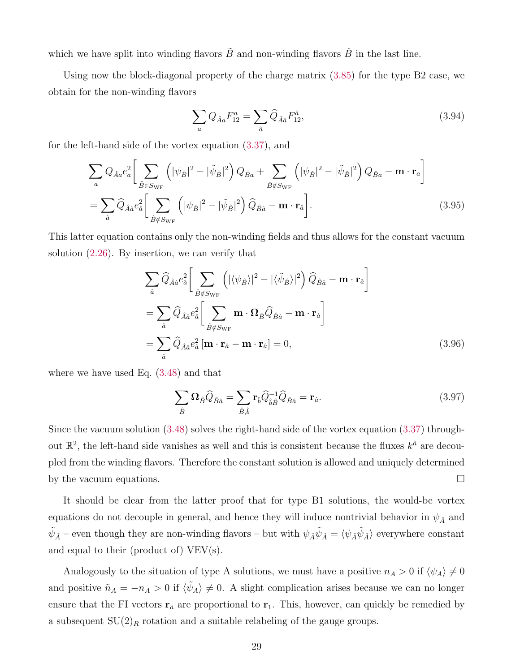which we have split into winding flavors  $\tilde{B}$  and non-winding flavors  $\hat{B}$  in the last line.

Using now the block-diagonal property of the charge matrix [\(3.85\)](#page-27-1) for the type B2 case, we obtain for the non-winding flavors

$$
\sum_{a} Q_{\hat{A}a} F_{12}^{a} = \sum_{\hat{a}} \hat{Q}_{\hat{A}\hat{a}} F_{12}^{\hat{a}}, \tag{3.94}
$$

for the left-hand side of the vortex equation [\(3.37\)](#page-18-5), and

$$
\sum_{a} Q_{\hat{A}a} e_a^2 \left[ \sum_{\tilde{B} \in S_{\text{WF}}} \left( |\psi_{\tilde{B}}|^2 - |\tilde{\psi}_{\tilde{B}}|^2 \right) Q_{\tilde{B}a} + \sum_{\hat{B} \notin S_{\text{WF}}} \left( |\psi_{\hat{B}}|^2 - |\tilde{\psi}_{\tilde{B}}|^2 \right) Q_{\hat{B}a} - \mathbf{m} \cdot \mathbf{r}_a \right]
$$
  
= 
$$
\sum_{\hat{a}} \hat{Q}_{\hat{A}\hat{a}} e_{\hat{a}}^2 \left[ \sum_{\hat{B} \notin S_{\text{WF}}} \left( |\psi_{\hat{B}}|^2 - |\tilde{\psi}_{\hat{B}}|^2 \right) \hat{Q}_{\hat{B}\hat{a}} - \mathbf{m} \cdot \mathbf{r}_{\hat{a}} \right].
$$
 (3.95)

This latter equation contains only the non-winding fields and thus allows for the constant vacuum solution [\(2.26\)](#page-10-3). By insertion, we can verify that

$$
\sum_{\hat{a}} \hat{Q}_{\hat{A}\hat{a}} e_{\hat{a}}^{2} \left[ \sum_{\hat{B} \notin S_{\text{WF}}} \left( |\langle \psi_{\hat{B}} \rangle|^{2} - |\langle \tilde{\psi}_{\hat{B}} \rangle|^{2} \right) \hat{Q}_{\hat{B}\hat{a}} - \mathbf{m} \cdot \mathbf{r}_{\hat{a}} \right]
$$

$$
= \sum_{\hat{a}} \hat{Q}_{\hat{A}\hat{a}} e_{\hat{a}}^{2} \left[ \sum_{\hat{B} \notin S_{\text{WF}}} \mathbf{m} \cdot \mathbf{\Omega}_{\hat{B}} \hat{Q}_{\hat{B}\hat{a}} - \mathbf{m} \cdot \mathbf{r}_{\hat{a}} \right]
$$

$$
= \sum_{\hat{a}} \hat{Q}_{\hat{A}\hat{a}} e_{\hat{a}}^{2} \left[ \mathbf{m} \cdot \mathbf{r}_{\hat{a}} - \mathbf{m} \cdot \mathbf{r}_{\hat{a}} \right] = 0, \tag{3.96}
$$

where we have used Eq. [\(3.48\)](#page-19-1) and that

$$
\sum_{\hat{B}} \Omega_{\hat{B}} \hat{Q}_{\hat{B}\hat{a}} = \sum_{\hat{B},\hat{b}} \mathbf{r}_{\hat{b}} \hat{Q}_{\hat{b}\hat{B}}^{-1} \hat{Q}_{\hat{B}\hat{a}} = \mathbf{r}_{\hat{a}}.
$$
\n(3.97)

Since the vacuum solution [\(3.48\)](#page-19-1) solves the right-hand side of the vortex equation [\(3.37\)](#page-18-5) throughout  $\mathbb{R}^2$ , the left-hand side vanishes as well and this is consistent because the fluxes  $k^{\hat{a}}$  are decoupled from the winding flavors. Therefore the constant solution is allowed and uniquely determined by the vacuum equations.  $\square$ 

It should be clear from the latter proof that for type B1 solutions, the would-be vortex equations do not decouple in general, and hence they will induce nontrivial behavior in  $\psi_{\hat{A}}$  and  $\tilde\psi_{\hat A}$  – even though they are non-winding flavors – but with  $\psi_{\hat A}\tilde\psi_{\hat A}=\langle\psi_{\hat A}\tilde\psi_{\hat A}\rangle$  everywhere constant and equal to their (product of) VEV(s).

Analogously to the situation of type A solutions, we must have a positive  $n_A > 0$  if  $\langle \psi_A \rangle \neq 0$ and positive  $\tilde{n}_A = -n_A > 0$  if  $\langle \tilde{\psi}_A \rangle \neq 0$ . A slight complication arises because we can no longer ensure that the FI vectors  $\mathbf{r}_{\tilde{a}}$  are proportional to  $\mathbf{r}_1$ . This, however, can quickly be remedied by a subsequent  $SU(2)_R$  rotation and a suitable relabeling of the gauge groups.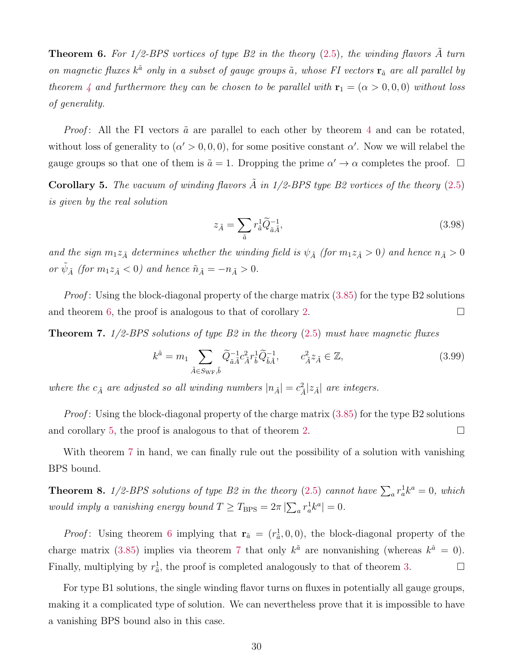<span id="page-30-0"></span>**Theorem 6.** For  $1/2$ -BPS vortices of type B2 in the theory  $(2.5)$ , the winding flavors  $\tilde{A}$  turn *on magnetic fluxes*  $k^{\tilde{a}}$  *only in a subset of gauge groups*  $\tilde{a}$ *, whose FI vectors*  $\mathbf{r}_{\tilde{a}}$  *are all parallel by theorem* [4](#page-26-0) *and furthermore they can be chosen to be parallel with*  $\mathbf{r}_1 = (\alpha > 0, 0, 0)$  *without loss of generality.*

*Proof*: All the FI vectors  $\tilde{a}$  are parallel to each other by theorem [4](#page-26-0) and can be rotated, without loss of generality to  $(\alpha' > 0, 0, 0)$ , for some positive constant  $\alpha'$ . Now we will relabel the gauge groups so that one of them is  $\tilde{a} = 1$ . Dropping the prime  $\alpha' \to \alpha$  completes the proof.  $\Box$ 

<span id="page-30-1"></span>**Corollary 5.** The vacuum of winding flavors  $\tilde{A}$  in 1/2-BPS type B2 vortices of the theory [\(2.5\)](#page-6-1) *is given by the real solution*

$$
z_{\tilde{A}} = \sum_{\tilde{a}} r_{\tilde{a}}^1 \tilde{Q}_{\tilde{a}\tilde{A}}^{-1},\tag{3.98}
$$

and the sign  $m_1z_{\tilde{A}}$  determines whether the winding field is  $\psi_{\tilde{A}}$  (for  $m_1z_{\tilde{A}} > 0$ ) and hence  $n_{\tilde{A}} > 0$ *or*  $\tilde{\psi}_{\tilde{A}}$  (for  $m_1 z_{\tilde{A}} < 0$ ) and hence  $\tilde{n}_{\tilde{A}} = -n_{\tilde{A}} > 0$ .

*Proof*: Using the block-diagonal property of the charge matrix [\(3.85\)](#page-27-1) for the type B2 solutions and theorem [6,](#page-30-0) the proof is analogous to that of corollary [2.](#page-23-0)

<span id="page-30-2"></span>Theorem 7. *1/2-BPS solutions of type B2 in the theory* [\(2.5\)](#page-6-1) *must have magnetic fluxes*

$$
k^{\tilde{a}} = m_1 \sum_{\tilde{A} \in S_{\text{WF}}, \tilde{b}} \tilde{Q}_{\tilde{a}\tilde{A}}^{-1} c_{\tilde{A}}^2 r_{\tilde{b}}^1 \tilde{Q}_{\tilde{b}\tilde{A}}^{-1}, \qquad c_{\tilde{A}}^2 z_{\tilde{A}} \in \mathbb{Z}, \tag{3.99}
$$

where the  $c_{\tilde{A}}$  are adjusted so all winding numbers  $|n_{\tilde{A}}| = c_{\tilde{A}}^2 |z_{\tilde{A}}|$  are integers.

*Proof*: Using the block-diagonal property of the charge matrix [\(3.85\)](#page-27-1) for the type B2 solutions and corollary [5,](#page-30-1) the proof is analogous to that of theorem [2.](#page-24-0)

With theorem [7](#page-30-2) in hand, we can finally rule out the possibility of a solution with vanishing BPS bound.

<span id="page-30-3"></span>**Theorem 8.**  $1/2$ -BPS solutions of type B2 in the theory [\(2.5\)](#page-6-1) cannot have  $\sum_a r_a^1 k^a = 0$ , which *would imply a vanishing energy bound*  $T \geq T_{\text{BPS}} = 2\pi |\sum_{a} r_a^1 k^a| = 0$ .

*Proof*: Using theorem [6](#page-30-0) implying that  $\mathbf{r}_{\tilde{a}} = (r_{\tilde{a}}^1, 0, 0)$ , the block-diagonal property of the charge matrix [\(3.85\)](#page-27-1) implies via theorem [7](#page-30-2) that only  $k^{\tilde{a}}$  are nonvanishing (whereas  $k^{\hat{a}} = 0$ ). Finally, multiplying by  $r_{\tilde{a}}^1$ , the proof is completed analogously to that of theorem [3.](#page-24-1)

For type B1 solutions, the single winding flavor turns on fluxes in potentially all gauge groups, making it a complicated type of solution. We can nevertheless prove that it is impossible to have a vanishing BPS bound also in this case.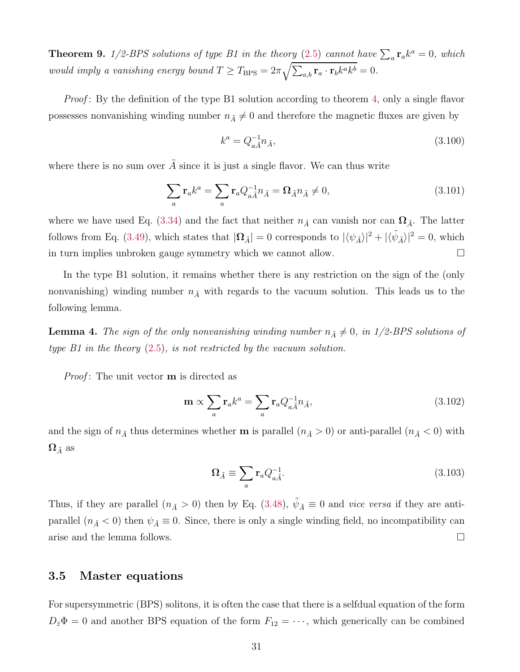<span id="page-31-1"></span>**Theorem 9.**  $1/2$ -BPS solutions of type B1 in the theory [\(2.5\)](#page-6-1) cannot have  $\sum_a \mathbf{r}_a k^a = 0$ , which *would imply a vanishing energy bound*  $T \geq T_{\text{BPS}} = 2\pi \sqrt{\sum_{a,b} \mathbf{r}_a \cdot \mathbf{r}_b k^a k^b} = 0$ .

*Proof*: By the definition of the type B1 solution according to theorem [4,](#page-26-0) only a single flavor possesses nonvanishing winding number  $n_{\tilde{A}} \neq 0$  and therefore the magnetic fluxes are given by

$$
k^a = Q_{a\tilde{A}}^{-1} n_{\tilde{A}},\tag{3.100}
$$

where there is no sum over  $\tilde{A}$  since it is just a single flavor. We can thus write

$$
\sum_{a} \mathbf{r}_{a} k^{a} = \sum_{a} \mathbf{r}_{a} Q_{a\tilde{A}}^{-1} n_{\tilde{A}} = \Omega_{\tilde{A}} n_{\tilde{A}} \neq 0, \qquad (3.101)
$$

where we have used Eq. [\(3.34\)](#page-18-2) and the fact that neither  $n_{\tilde{A}}$  can vanish nor can  $\Omega_{\tilde{A}}$ . The latter follows from Eq. [\(3.49\)](#page-19-2), which states that  $|\Omega_{\tilde{A}}| = 0$  corresponds to  $|\langle \psi_{\tilde{A}} \rangle|^2 + |\langle \tilde{\psi}_{\tilde{A}} \rangle|^2 = 0$ , which in turn implies unbroken gauge symmetry which we cannot allow.  $\square$ 

In the type B1 solution, it remains whether there is any restriction on the sign of the (only nonvanishing) winding number  $n_{\tilde{A}}$  with regards to the vacuum solution. This leads us to the following lemma.

<span id="page-31-2"></span>**Lemma 4.** *The sign of the only nonvanishing winding number*  $n_{\tilde{A}} \neq 0$ *, in 1/2-BPS solutions of type B1 in the theory* [\(2.5\)](#page-6-1)*, is not restricted by the vacuum solution.*

*Proof*: The unit vector **m** is directed as

$$
\mathbf{m} \propto \sum_{a} \mathbf{r}_{a} k^{a} = \sum_{a} \mathbf{r}_{a} Q_{a\tilde{A}}^{-1} n_{\tilde{A}}, \qquad (3.102)
$$

and the sign of  $n_{\tilde{A}}$  thus determines whether **m** is parallel  $(n_{\tilde{A}} > 0)$  or anti-parallel  $(n_{\tilde{A}} < 0)$  with  $\Omega_{\tilde{A}}$  as

$$
\Omega_{\tilde{A}} \equiv \sum_{a} \mathbf{r}_a Q_{a\tilde{A}}^{-1}.
$$
\n(3.103)

Thus, if they are parallel  $(n_{\tilde{A}} > 0)$  then by Eq. [\(3.48\)](#page-19-1),  $\tilde{\psi}_{\tilde{A}} \equiv 0$  and *vice versa* if they are antiparallel  $(n_{\tilde{A}} < 0)$  then  $\psi_{\tilde{A}} \equiv 0$ . Since, there is only a single winding field, no incompatibility can arise and the lemma follows.

## <span id="page-31-0"></span>3.5 Master equations

For supersymmetric (BPS) solitons, it is often the case that there is a selfdual equation of the form  $D_{\bar{z}}\Phi = 0$  and another BPS equation of the form  $F_{12} = \cdots$ , which generically can be combined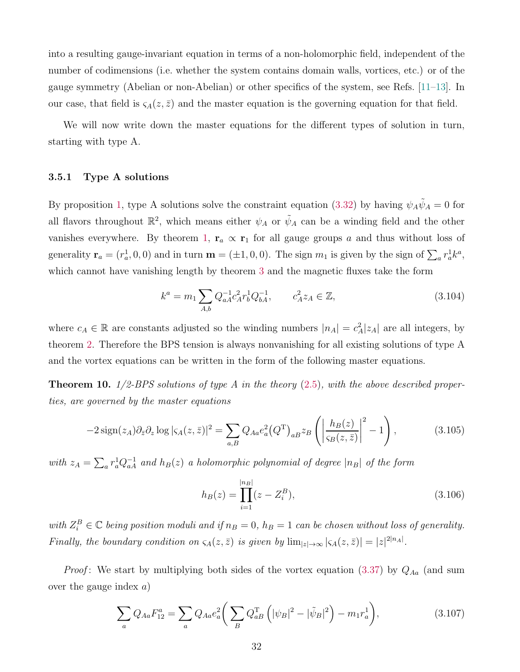into a resulting gauge-invariant equation in terms of a non-holomorphic field, independent of the number of codimensions (i.e. whether the system contains domain walls, vortices, etc.) or of the gauge symmetry (Abelian or non-Abelian) or other specifics of the system, see Refs. [\[11](#page-52-6)[–13\]](#page-52-7). In our case, that field is  $\varsigma_A(z,\bar{z})$  and the master equation is the governing equation for that field.

<span id="page-32-0"></span>We will now write down the master equations for the different types of solution in turn, starting with type A.

#### 3.5.1 Type A solutions

By proposition [1,](#page-21-0) type A solutions solve the constraint equation [\(3.32\)](#page-18-6) by having  $\psi_A \tilde{\psi}_A = 0$  for all flavors throughout  $\mathbb{R}^2$ , which means either  $\psi_A$  or  $\tilde{\psi}_A$  can be a winding field and the other vanishes everywhere. By theorem [1,](#page-22-1)  $\mathbf{r}_a \propto \mathbf{r}_1$  for all gauge groups a and thus without loss of generality  $\mathbf{r}_a = (r_a^1, 0, 0)$  and in turn  $\mathbf{m} = (\pm 1, 0, 0)$ . The sign  $m_1$  is given by the sign of  $\sum_a r_a^1 k^a$ , which cannot have vanishing length by theorem [3](#page-24-1) and the magnetic fluxes take the form

$$
k^{a} = m_{1} \sum_{A,b} Q_{aA}^{-1} c_{A}^{2} r_{b}^{1} Q_{bA}^{-1}, \qquad c_{A}^{2} z_{A} \in \mathbb{Z}, \qquad (3.104)
$$

where  $c_A \in \mathbb{R}$  are constants adjusted so the winding numbers  $|n_A| = c_A^2 |z_A|$  are all integers, by theorem [2.](#page-24-0) Therefore the BPS tension is always nonvanishing for all existing solutions of type A and the vortex equations can be written in the form of the following master equations.

<span id="page-32-1"></span>Theorem 10. *1/2-BPS solutions of type A in the theory* [\(2.5\)](#page-6-1)*, with the above described properties, are governed by the master equations*

$$
-2\operatorname{sign}(z_A)\partial_{\bar{z}}\partial_z \log|\varsigma_A(z,\bar{z})|^2 = \sum_{a,B} Q_{Aa}e_a^2(Q^{\mathrm{T}})_{aB}z_B\left(\left|\frac{h_B(z)}{\varsigma_B(z,\bar{z})}\right|^2 - 1\right),\tag{3.105}
$$

with  $z_A = \sum_a r_a^1 Q_{aA}^{-1}$  and  $h_B(z)$  a holomorphic polynomial of degree  $|n_B|$  of the form

<span id="page-32-2"></span>
$$
h_B(z) = \prod_{i=1}^{|n_B|} (z - Z_i^B),
$$
\n(3.106)

 $with Z_i^B \in \mathbb{C}$  *being position moduli and if*  $n_B = 0$ *,*  $h_B = 1$  *can be chosen without loss of generality. Finally, the boundary condition on*  $\zeta_A(z,\bar{z})$  *is given by*  $\lim_{|z|\to\infty} |\zeta_A(z,\bar{z})| = |z|^{2|n_A|}$ *.* 

*Proof*: We start by multiplying both sides of the vortex equation  $(3.37)$  by  $Q_{Aa}$  (and sum over the gauge index  $a$ )

<span id="page-32-3"></span>
$$
\sum_{a} Q_{Aa} F_{12}^{a} = \sum_{a} Q_{Aa} e_{a}^{2} \left( \sum_{B} Q_{aB}^{T} \left( |\psi_{B}|^{2} - |\tilde{\psi}_{B}|^{2} \right) - m_{1} r_{a}^{1} \right), \tag{3.107}
$$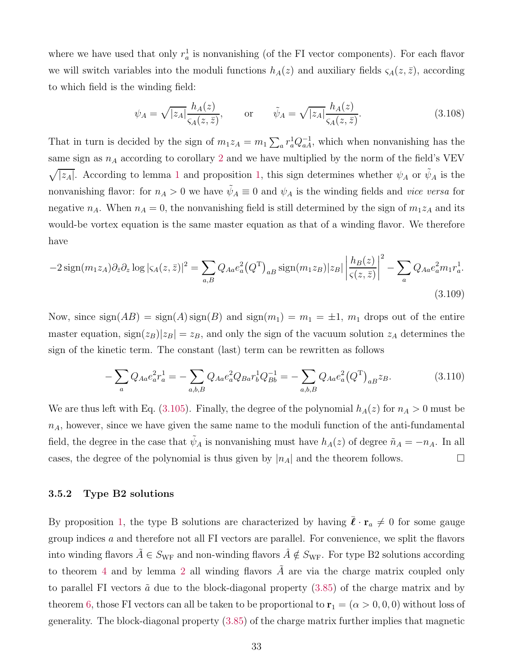where we have used that only  $r_a^1$  is nonvanishing (of the FI vector components). For each flavor we will switch variables into the moduli functions  $h_A(z)$  and auxiliary fields  $\varsigma_A(z, \bar{z})$ , according to which field is the winding field:

$$
\psi_A = \sqrt{|z_A|} \frac{h_A(z)}{\varsigma_A(z,\bar{z})}, \qquad \text{or} \qquad \tilde{\psi}_A = \sqrt{|z_A|} \frac{h_A(z)}{\varsigma_A(z,\bar{z})}.
$$
\n(3.108)

That in turn is decided by the sign of  $m_1z_A = m_1\sum_a r_a^1Q_{aA}^{-1}$ , which when nonvanishing has the same sign as  $n_A$  according to corollary [2](#page-23-0) and we have multiplied by the norm of the field's VEV  $\sqrt{|z_A|}$ . According to lemma [1](#page-20-0) and proposition [1,](#page-21-0) this sign determines whether  $\psi_A$  or  $\tilde{\psi}_A$  is the nonvanishing flavor: for  $n_A > 0$  we have  $\tilde{\psi}_A \equiv 0$  and  $\psi_A$  is the winding fields and *vice versa* for negative  $n_A$ . When  $n_A = 0$ , the nonvanishing field is still determined by the sign of  $m_1z_A$  and its would-be vortex equation is the same master equation as that of a winding flavor. We therefore have

$$
-2\operatorname{sign}(m_1 z_A)\partial_{\bar{z}}\partial_z \log|\varsigma_A(z,\bar{z})|^2 = \sum_{a,B} Q_{Aa} e_a^2 (Q^{\mathrm{T}})_{aB} \operatorname{sign}(m_1 z_B)|z_B|\left|\frac{h_B(z)}{\varsigma(z,\bar{z})}\right|^2 - \sum_a Q_{Aa} e_a^2 m_1 r_a^1.
$$
\n(3.109)

Now, since  $sign(AB) = sign(A) sign(B)$  and  $sign(m_1) = m_1 = \pm 1$ ,  $m_1$  drops out of the entire master equation,  $\text{sign}(z_B)|z_B| = z_B$ , and only the sign of the vacuum solution  $z_A$  determines the sign of the kinetic term. The constant (last) term can be rewritten as follows

$$
-\sum_{a} Q_{Aa} e_a^2 r_a^1 = -\sum_{a,b,B} Q_{Aa} e_a^2 Q_{Ba} r_b^1 Q_{Bb}^{-1} = -\sum_{a,b,B} Q_{Aa} e_a^2 (Q^T)_{aB} z_B. \tag{3.110}
$$

We are thus left with Eq. [\(3.105\)](#page-32-2). Finally, the degree of the polynomial  $h_A(z)$  for  $n_A > 0$  must be  $n_A$ , however, since we have given the same name to the moduli function of the anti-fundamental field, the degree in the case that  $\tilde{\psi}_A$  is nonvanishing must have  $h_A(z)$  of degree  $\tilde{n}_A = -n_A$ . In all cases, the degree of the polynomial is thus given by  $|n_A|$  and the theorem follows.

### <span id="page-33-0"></span>3.5.2 Type B2 solutions

By proposition [1,](#page-21-0) the type B solutions are characterized by having  $\bar{\ell} \cdot \mathbf{r}_a \neq 0$  for some gauge group indices  $a$  and therefore not all FI vectors are parallel. For convenience, we split the flavors into winding flavors  $\tilde{A} \in S_{\text{WF}}$  and non-winding flavors  $\hat{A} \notin S_{\text{WF}}$ . For type B2 solutions according to theorem [4](#page-26-0) and by lemma [2](#page-25-1) all winding flavors  $\tilde{A}$  are via the charge matrix coupled only to parallel FI vectors  $\tilde{a}$  due to the block-diagonal property  $(3.85)$  of the charge matrix and by theorem [6,](#page-30-0) those FI vectors can all be taken to be proportional to  $r_1 = (\alpha > 0, 0, 0)$  without loss of generality. The block-diagonal property [\(3.85\)](#page-27-1) of the charge matrix further implies that magnetic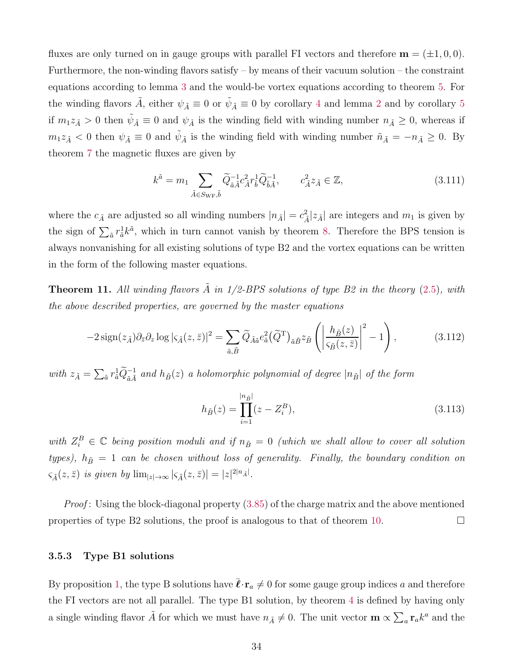fluxes are only turned on in gauge groups with parallel FI vectors and therefore  $\mathbf{m} = (\pm 1, 0, 0)$ . Furthermore, the non-winding flavors satisfy – by means of their vacuum solution – the constraint equations according to lemma [3](#page-27-0) and the would-be vortex equations according to theorem [5.](#page-28-0) For the winding flavors  $\tilde{A}$ , either  $\psi_{\tilde{A}} \equiv 0$  or  $\tilde{\psi}_{\tilde{A}} \equiv 0$  by corollary [4](#page-28-1) and lemma [2](#page-25-1) and by corollary [5](#page-30-1) if  $m_1z_{\tilde{A}}>0$  then  $\tilde{\psi}_{\tilde{A}}\equiv 0$  and  $\psi_{\tilde{A}}$  is the winding field with winding number  $n_{\tilde{A}}\geq 0$ , whereas if  $m_1z_{\tilde{A}} < 0$  then  $\psi_{\tilde{A}} \equiv 0$  and  $\tilde{\psi}_{\tilde{A}}$  is the winding field with winding number  $\tilde{n}_{\tilde{A}} = -n_{\tilde{A}} \ge 0$ . By theorem [7](#page-30-2) the magnetic fluxes are given by

$$
k^{\tilde{a}} = m_1 \sum_{\tilde{A} \in S_{\text{WF}}, \tilde{b}} \tilde{Q}_{\tilde{a}\tilde{A}}^{-1} c_{\tilde{A}}^2 r_{\tilde{b}}^1 \tilde{Q}_{\tilde{b}\tilde{A}}^{-1}, \qquad c_{\tilde{A}}^2 z_{\tilde{A}} \in \mathbb{Z}, \tag{3.111}
$$

where the  $c_{\tilde{A}}$  are adjusted so all winding numbers  $|n_{\tilde{A}}| = c_{\tilde{A}}^2 |z_{\tilde{A}}|$  are integers and  $m_1$  is given by the sign of  $\sum_{\tilde{a}} r_{\tilde{a}}^1 k^{\tilde{a}}$ , which in turn cannot vanish by theorem [8.](#page-30-3) Therefore the BPS tension is always nonvanishing for all existing solutions of type B2 and the vortex equations can be written in the form of the following master equations.

<span id="page-34-1"></span>**Theorem 11.** All winding flavors  $\tilde{A}$  in 1/2-BPS solutions of type B2 in the theory [\(2.5\)](#page-6-1), with *the above described properties, are governed by the master equations*

$$
-2\operatorname{sign}(z_{\tilde{A}})\partial_{\bar{z}}\partial_z \log|\varsigma_{\tilde{A}}(z,\bar{z})|^2 = \sum_{\tilde{a},\tilde{B}} \widetilde{Q}_{\tilde{A}\tilde{a}} e_{\tilde{a}}^2 (\widetilde{Q}^{\mathrm{T}})_{\tilde{a}\tilde{B}} z_{\tilde{B}} \left( \left| \frac{h_{\tilde{B}}(z)}{\varsigma_{\tilde{B}}(z,\bar{z})} \right|^2 - 1 \right), \tag{3.112}
$$

with  $z_{\tilde{A}} = \sum_{\tilde{a}} r_{\tilde{a}}^1 \widetilde{Q}_{\tilde{a}\tilde{A}}^{-1}$  and  $h_{\tilde{B}}(z)$  a holomorphic polynomial of degree  $|n_{\tilde{B}}|$  of the form

$$
h_{\tilde{B}}(z) = \prod_{i=1}^{|n_{\tilde{B}}|} (z - Z_i^B),
$$
\n(3.113)

 $with Z_i^B \in \mathbb{C}$  *being position moduli and if*  $n_{\tilde{B}} = 0$  *(which we shall allow to cover all solution types),*  $h_{\tilde{B}} = 1$  *can be chosen without loss of generality. Finally, the boundary condition on*  $\varsigma_{\tilde{A}}(z,\bar{z})$  *is given by*  $\lim_{|z|\to\infty} |\varsigma_{\tilde{A}}(z,\bar{z})| = |z|^{2|n_{\tilde{A}}|}.$ 

*Proof* : Using the block-diagonal property [\(3.85\)](#page-27-1) of the charge matrix and the above mentioned properties of type B2 solutions, the proof is analogous to that of theorem [10.](#page-32-1)

### <span id="page-34-0"></span>3.5.3 Type B1 solutions

By proposition [1,](#page-21-0) the type B solutions have  $\bar{\ell} \cdot \mathbf{r}_a \neq 0$  for some gauge group indices a and therefore the FI vectors are not all parallel. The type B1 solution, by theorem [4](#page-26-0) is defined by having only a single winding flavor  $\tilde{A}$  for which we must have  $n_{\tilde{A}} \neq 0$ . The unit vector  $\mathbf{m} \propto \sum_a \mathbf{r}_a k^a$  and the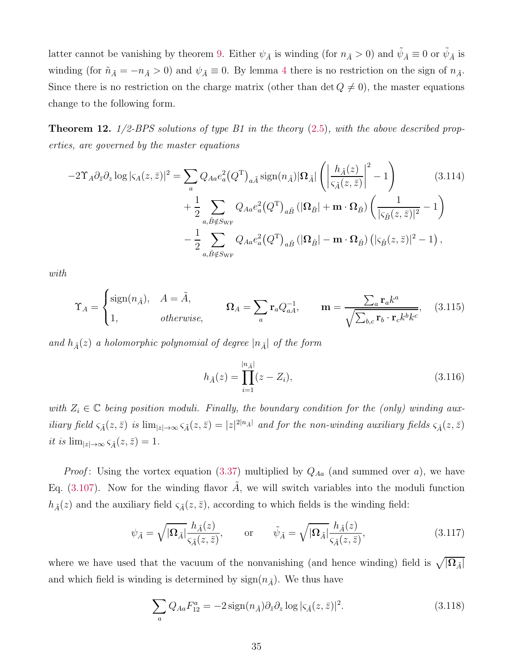latter cannot be vanishing by theorem [9.](#page-31-1) Either  $\psi_{\tilde{A}}$  is winding (for  $n_{\tilde{A}} > 0$ ) and  $\tilde{\psi}_{\tilde{A}} \equiv 0$  or  $\tilde{\psi}_{\tilde{A}}$  is winding (for  $\tilde{n}_{\tilde{A}} = -n_{\tilde{A}} > 0$ ) and  $\psi_{\tilde{A}} \equiv 0$ . By lemma [4](#page-31-2) there is no restriction on the sign of  $n_{\tilde{A}}$ . Since there is no restriction on the charge matrix (other than  $\det Q \neq 0$ ), the master equations change to the following form.

<span id="page-35-0"></span>Theorem 12. *1/2-BPS solutions of type B1 in the theory* [\(2.5\)](#page-6-1)*, with the above described properties, are governed by the master equations*

$$
-2\Upsilon_A \partial_{\bar{z}} \partial_z \log |\varsigma_A(z,\bar{z})|^2 = \sum_a Q_{Aa} e_a^2 (Q^{\mathrm{T}})_{a\tilde{A}} \operatorname{sign}(n_{\tilde{A}}) |\Omega_{\tilde{A}}| \left( \left| \frac{h_{\tilde{A}}(z)}{\varsigma_{\tilde{A}}(z,\bar{z})} \right|^2 - 1 \right) \qquad (3.114)
$$
  
+ 
$$
\frac{1}{2} \sum_{a,\hat{B} \notin S_{\mathrm{WF}}} Q_{Aa} e_a^2 (Q^{\mathrm{T}})_{a\hat{B}} (|\Omega_{\hat{B}}| + \mathbf{m} \cdot \Omega_{\hat{B}}) \left( \frac{1}{|\varsigma_{\hat{B}}(z,\bar{z})|^2} - 1 \right)
$$

$$
- \frac{1}{2} \sum_{a,\hat{B} \notin S_{\mathrm{WF}}} Q_{Aa} e_a^2 (Q^{\mathrm{T}})_{a\hat{B}} (|\Omega_{\hat{B}}| - \mathbf{m} \cdot \Omega_{\hat{B}}) (|\varsigma_{\hat{B}}(z,\bar{z})|^2 - 1),
$$

*with*

$$
\Upsilon_A = \begin{cases} \text{sign}(n_{\tilde{A}}), & A = \tilde{A}, \\ 1, & otherwise, \end{cases} \qquad \Omega_A = \sum_a \mathbf{r}_a Q_{aA}^{-1}, \qquad \mathbf{m} = \frac{\sum_a \mathbf{r}_a k^a}{\sqrt{\sum_{b,c} \mathbf{r}_b \cdot \mathbf{r}_c k^b k^c}}, \quad (3.115)
$$

and  $h_{\tilde{A}}(z)$  *a holomorphic polynomial of degree*  $|n_{\tilde{A}}|$  *of the form* 

<span id="page-35-2"></span>
$$
h_{\tilde{A}}(z) = \prod_{i=1}^{|n_{\tilde{A}}|} (z - Z_i),
$$
\n(3.116)

with  $Z_i \in \mathbb{C}$  being position moduli. Finally, the boundary condition for the (only) winding aux*iliary field*  $\varsigma_{\tilde{A}}(z,\bar{z})$  *is*  $\lim_{|z|\to\infty} \varsigma_{\tilde{A}}(z,\bar{z}) = |z|^{2|n_{\tilde{A}}|}$  *and for the non-winding auxiliary fields*  $\varsigma_{\hat{A}}(z,\bar{z})$ *it is*  $\lim_{|z| \to \infty} \varsigma_{\hat{A}}(z, \bar{z}) = 1$ .

*Proof*: Using the vortex equation [\(3.37\)](#page-18-5) multiplied by  $Q_{Aa}$  (and summed over a), we have Eq. [\(3.107\)](#page-32-3). Now for the winding flavor  $\tilde{A}$ , we will switch variables into the moduli function  $h_{\tilde{A}}(z)$  and the auxiliary field  $\varsigma_{\tilde{A}}(z,\bar{z})$ , according to which fields is the winding field:

<span id="page-35-1"></span>
$$
\psi_{\tilde{A}} = \sqrt{|\Omega_{\tilde{A}}|} \frac{h_{\tilde{A}}(z)}{\varsigma_{\tilde{A}}(z,\bar{z})}, \quad \text{or} \quad \tilde{\psi}_{\tilde{A}} = \sqrt{|\Omega_{\tilde{A}}|} \frac{h_{\tilde{A}}(z)}{\varsigma_{\tilde{A}}(z,\bar{z})}, \tag{3.117}
$$

where we have used that the vacuum of the nonvanishing (and hence winding) field is  $\sqrt{|\Omega_{\tilde{A}}|}$ and which field is winding is determined by  $sign(n_{\tilde{A}})$ . We thus have

$$
\sum_{a} Q_{Aa} F_{12}^{a} = -2 \operatorname{sign}(n_{\tilde{A}}) \partial_{\tilde{z}} \partial_{z} \log |\varsigma_{\tilde{A}}(z, \bar{z})|^{2}.
$$
 (3.118)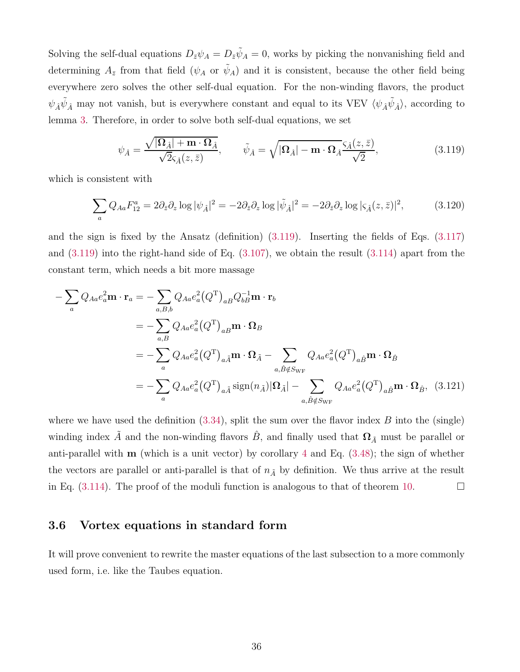Solving the self-dual equations  $D_{\bar{z}}\psi_A = D_{\bar{z}}\tilde{\psi}_A = 0$ , works by picking the nonvanishing field and determining  $A_{\bar{z}}$  from that field  $(\psi_A \text{ or } \tilde{\psi}_A)$  and it is consistent, because the other field being everywhere zero solves the other self-dual equation. For the non-winding flavors, the product  $\psi_{\hat{A}}\tilde{\psi}_{\hat{A}}$  may not vanish, but is everywhere constant and equal to its VEV  $\langle\psi_{\hat{A}}\tilde{\psi}_{\hat{A}}\rangle$ , according to lemma [3.](#page-27-0) Therefore, in order to solve both self-dual equations, we set

<span id="page-36-1"></span>
$$
\psi_{\hat{A}} = \frac{\sqrt{|\Omega_{\hat{A}}| + \mathbf{m} \cdot \Omega_{\hat{A}}}}{\sqrt{2}\varsigma_{\hat{A}}(z,\bar{z})}, \qquad \tilde{\psi}_{\hat{A}} = \sqrt{|\Omega_{\hat{A}}| - \mathbf{m} \cdot \Omega_{\hat{A}}}\frac{\varsigma_{\hat{A}}(z,\bar{z})}{\sqrt{2}},
$$
\n(3.119)

which is consistent with

$$
\sum_{a} Q_{Aa} F_{12}^{a} = 2 \partial_{\bar{z}} \partial_{z} \log |\psi_{\hat{A}}|^{2} = -2 \partial_{\bar{z}} \partial_{z} \log |\tilde{\psi}_{\hat{A}}|^{2} = -2 \partial_{\bar{z}} \partial_{z} \log |\varsigma_{\hat{A}}(z, \bar{z})|^{2}, \tag{3.120}
$$

and the sign is fixed by the Ansatz (definition) [\(3.119\)](#page-36-1). Inserting the fields of Eqs. [\(3.117\)](#page-35-1) and  $(3.119)$  into the right-hand side of Eq.  $(3.107)$ , we obtain the result  $(3.114)$  apart from the constant term, which needs a bit more massage

$$
- \sum_{a} Q_{Aa} e_{a}^{2} \mathbf{m} \cdot \mathbf{r}_{a} = - \sum_{a,B,b} Q_{Aa} e_{a}^{2} (Q^{T})_{aB} Q_{bB}^{-1} \mathbf{m} \cdot \mathbf{r}_{b}
$$
  
\n
$$
= - \sum_{a,B} Q_{Aa} e_{a}^{2} (Q^{T})_{aB} \mathbf{m} \cdot \mathbf{\Omega}_{B}
$$
  
\n
$$
= - \sum_{a} Q_{Aa} e_{a}^{2} (Q^{T})_{a\tilde{A}} \mathbf{m} \cdot \mathbf{\Omega}_{\tilde{A}} - \sum_{a,\tilde{B} \notin S_{\text{WF}}} Q_{Aa} e_{a}^{2} (Q^{T})_{a\hat{B}} \mathbf{m} \cdot \mathbf{\Omega}_{\hat{B}}
$$
  
\n
$$
= - \sum_{a} Q_{Aa} e_{a}^{2} (Q^{T})_{a\tilde{A}} \text{sign}(n_{\tilde{A}}) |\mathbf{\Omega}_{\tilde{A}}| - \sum_{a,\tilde{B} \notin S_{\text{WF}}} Q_{Aa} e_{a}^{2} (Q^{T})_{a\hat{B}} \mathbf{m} \cdot \mathbf{\Omega}_{\hat{B}}, \quad (3.121)
$$

where we have used the definition  $(3.34)$ , split the sum over the flavor index B into the (single) winding index  $\tilde{A}$  and the non-winding flavors  $\hat{B}$ , and finally used that  $\Omega_{\tilde{A}}$  must be parallel or anti-parallel with  $m$  (which is a unit vector) by corollary [4](#page-28-1) and Eq.  $(3.48)$ ; the sign of whether the vectors are parallel or anti-parallel is that of  $n_{\tilde{A}}$  by definition. We thus arrive at the result in Eq.  $(3.114)$ . The proof of the moduli function is analogous to that of theorem [10.](#page-32-1)

## <span id="page-36-0"></span>3.6 Vortex equations in standard form

It will prove convenient to rewrite the master equations of the last subsection to a more commonly used form, i.e. like the Taubes equation.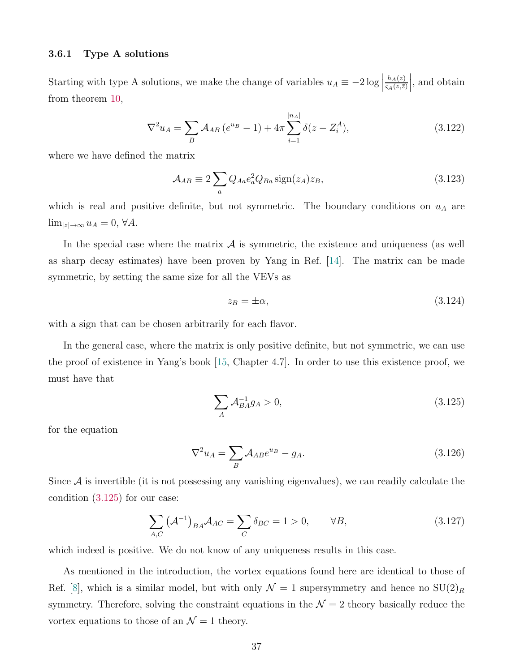#### <span id="page-37-0"></span>3.6.1 Type A solutions

Starting with type A solutions, we make the change of variables  $u_A \equiv -2 \log |$  $h_A(z)$  $\varsigma_A(z,\bar{z})$  $\Big\vert,$  and obtain from theorem [10,](#page-32-1)

<span id="page-37-2"></span>
$$
\nabla^2 u_A = \sum_B \mathcal{A}_{AB} \left( e^{u_B} - 1 \right) + 4\pi \sum_{i=1}^{|n_A|} \delta(z - Z_i^A), \tag{3.122}
$$

where we have defined the matrix

$$
\mathcal{A}_{AB} \equiv 2 \sum_{a} Q_{Aa} e_a^2 Q_{Ba} \operatorname{sign}(z_A) z_B, \tag{3.123}
$$

which is real and positive definite, but not symmetric. The boundary conditions on  $u_A$  are  $\lim_{|z|\to\infty} u_A = 0, \forall A.$ 

In the special case where the matrix  $A$  is symmetric, the existence and uniqueness (as well as sharp decay estimates) have been proven by Yang in Ref. [\[14](#page-52-8)]. The matrix can be made symmetric, by setting the same size for all the VEVs as

$$
z_B = \pm \alpha,\tag{3.124}
$$

with a sign that can be chosen arbitrarily for each flavor.

In the general case, where the matrix is only positive definite, but not symmetric, we can use the proof of existence in Yang's book [\[15](#page-52-9), Chapter 4.7]. In order to use this existence proof, we must have that

<span id="page-37-1"></span>
$$
\sum_{A} \mathcal{A}_{BA}^{-1} g_A > 0,\tag{3.125}
$$

for the equation

$$
\nabla^2 u_A = \sum_B \mathcal{A}_{AB} e^{u_B} - g_A. \tag{3.126}
$$

Since  $A$  is invertible (it is not possessing any vanishing eigenvalues), we can readily calculate the condition [\(3.125\)](#page-37-1) for our case:

$$
\sum_{A,C} \left(\mathcal{A}^{-1}\right)_{BA} \mathcal{A}_{AC} = \sum_{C} \delta_{BC} = 1 > 0, \qquad \forall B,
$$
\n(3.127)

which indeed is positive. We do not know of any uniqueness results in this case.

As mentioned in the introduction, the vortex equations found here are identical to those of Ref. [\[8](#page-52-3)], which is a similar model, but with only  $\mathcal{N} = 1$  supersymmetry and hence no  $SU(2)_R$ symmetry. Therefore, solving the constraint equations in the  $\mathcal{N}=2$  theory basically reduce the vortex equations to those of an  $\mathcal{N}=1$  theory.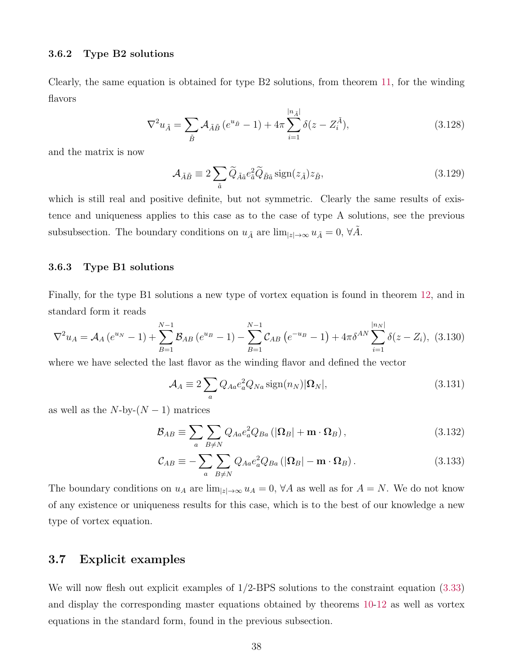#### <span id="page-38-0"></span>3.6.2 Type B2 solutions

Clearly, the same equation is obtained for type B2 solutions, from theorem [11,](#page-34-1) for the winding flavors

$$
\nabla^2 u_{\tilde{A}} = \sum_{\tilde{B}} \mathcal{A}_{\tilde{A}\tilde{B}} \left( e^{u_{\tilde{B}}} - 1 \right) + 4\pi \sum_{i=1}^{|n_{\tilde{A}}|} \delta(z - Z_i^{\tilde{A}}), \tag{3.128}
$$

and the matrix is now

$$
\mathcal{A}_{\tilde{A}\tilde{B}} \equiv 2 \sum_{\tilde{a}} \tilde{Q}_{\tilde{A}\tilde{a}} e_{\tilde{a}}^2 \tilde{Q}_{\tilde{B}\tilde{a}} \operatorname{sign}(z_{\tilde{A}}) z_{\tilde{B}},
$$
\n(3.129)

which is still real and positive definite, but not symmetric. Clearly the same results of existence and uniqueness applies to this case as to the case of type A solutions, see the previous subsubsection. The boundary conditions on  $u_{\tilde{A}}$  are  $\lim_{|z|\to\infty} u_{\tilde{A}} = 0$ ,  $\forall A$ .

## <span id="page-38-1"></span>3.6.3 Type B1 solutions

Finally, for the type B1 solutions a new type of vortex equation is found in theorem [12,](#page-35-0) and in standard form it reads

<span id="page-38-3"></span>
$$
\nabla^2 u_A = \mathcal{A}_A (e^{u_N} - 1) + \sum_{B=1}^{N-1} \mathcal{B}_{AB} (e^{u_B} - 1) - \sum_{B=1}^{N-1} \mathcal{C}_{AB} (e^{-u_B} - 1) + 4\pi \delta^{AN} \sum_{i=1}^{|n_N|} \delta(z - Z_i), \tag{3.130}
$$

where we have selected the last flavor as the winding flavor and defined the vector

$$
\mathcal{A}_A \equiv 2 \sum_a Q_{Aa} e_a^2 Q_{Na} \operatorname{sign}(n_N) |\mathbf{\Omega}_N|, \tag{3.131}
$$

as well as the  $N$ -by- $(N-1)$  matrices

$$
\mathcal{B}_{AB} \equiv \sum_{a} \sum_{B \neq N} Q_{Aa} e_a^2 Q_{Ba} \left( |\Omega_B| + \mathbf{m} \cdot \Omega_B \right), \tag{3.132}
$$

$$
\mathcal{C}_{AB} \equiv -\sum_{a} \sum_{B \neq N} Q_{Aa} e_a^2 Q_{Ba} \left( |\mathbf{\Omega}_B| - \mathbf{m} \cdot \mathbf{\Omega}_B \right). \tag{3.133}
$$

The boundary conditions on  $u_A$  are  $\lim_{|z|\to\infty} u_A = 0$ ,  $\forall A$  as well as for  $A = N$ . We do not know of any existence or uniqueness results for this case, which is to the best of our knowledge a new type of vortex equation.

## <span id="page-38-2"></span>3.7 Explicit examples

We will now flesh out explicit examples of  $1/2$ -BPS solutions to the constraint equation [\(3.33\)](#page-18-3) and display the corresponding master equations obtained by theorems [10-](#page-32-1)[12](#page-35-0) as well as vortex equations in the standard form, found in the previous subsection.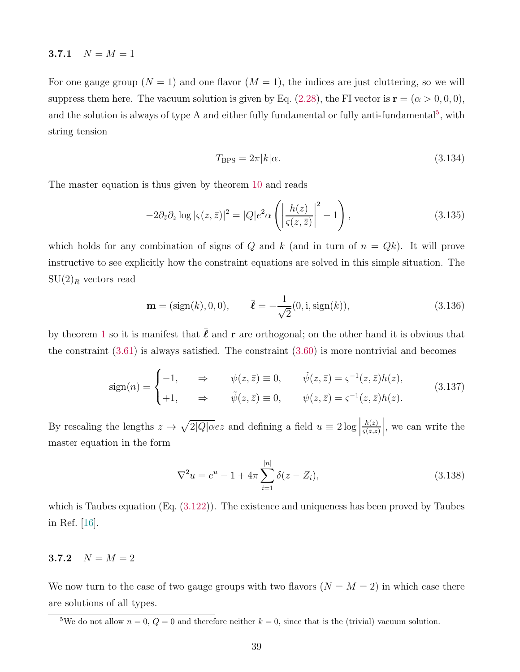#### <span id="page-39-0"></span>3.7.1  $N = M = 1$

For one gauge group  $(N = 1)$  and one flavor  $(M = 1)$ , the indices are just cluttering, so we will suppress them here. The vacuum solution is given by Eq. [\(2.28\)](#page-10-5), the FI vector is  $\mathbf{r} = (\alpha > 0, 0, 0)$ , and the solution is always of type A and either fully fundamental or fully anti-fundamental<sup>[5](#page-39-2)</sup>, with string tension

$$
T_{\rm BPS} = 2\pi |k|\alpha. \tag{3.134}
$$

The master equation is thus given by theorem [10](#page-32-1) and reads

<span id="page-39-3"></span>
$$
-2\partial_{\bar{z}}\partial_z \log |\varsigma(z,\bar{z})|^2 = |Q|e^{2}\alpha \left( \left| \frac{h(z)}{\varsigma(z,\bar{z})} \right|^2 - 1 \right),\tag{3.135}
$$

which holds for any combination of signs of Q and k (and in turn of  $n = Qk$ ). It will prove instructive to see explicitly how the constraint equations are solved in this simple situation. The  $SU(2)_R$  vectors read

$$
\mathbf{m} = (\text{sign}(k), 0, 0), \qquad \bar{\boldsymbol{\ell}} = -\frac{1}{\sqrt{2}}(0, \mathbf{i}, \text{sign}(k)), \tag{3.136}
$$

by theorem [1](#page-22-1) so it is manifest that  $\bar{\ell}$  and  $\bf{r}$  are orthogonal; on the other hand it is obvious that the constraint  $(3.61)$  is always satisfied. The constraint  $(3.60)$  is more nontrivial and becomes

$$
\text{sign}(n) = \begin{cases}\n-1, & \Rightarrow \qquad \psi(z, \bar{z}) \equiv 0, \\
+1, & \Rightarrow \qquad \tilde{\psi}(z, \bar{z}) \equiv 0, \\
\end{cases} \qquad \tilde{\psi}(z, \bar{z}) = \varsigma^{-1}(z, \bar{z})h(z),
$$
\n
$$
(3.137)
$$

By rescaling the lengths  $z \to \sqrt{2|Q| \alpha} e z$  and defining a field  $u \equiv 2 \log |\alpha|$  $h(z)$  $\varsigma(z,\bar{z})$  $\Big\vert$ , we can write the master equation in the form

$$
\nabla^2 u = e^u - 1 + 4\pi \sum_{i=1}^{|n|} \delta(z - Z_i), \tag{3.138}
$$

which is Taubes equation  $(Eq. (3.122))$  $(Eq. (3.122))$  $(Eq. (3.122))$ . The existence and uniqueness has been proved by Taubes in Ref. [\[16](#page-52-10)].

## <span id="page-39-1"></span>3.7.2  $N = M = 2$

We now turn to the case of two gauge groups with two flavors  $(N = M = 2)$  in which case there are solutions of all types.

<span id="page-39-2"></span><sup>&</sup>lt;sup>5</sup>We do not allow  $n = 0$ ,  $Q = 0$  and therefore neither  $k = 0$ , since that is the (trivial) vacuum solution.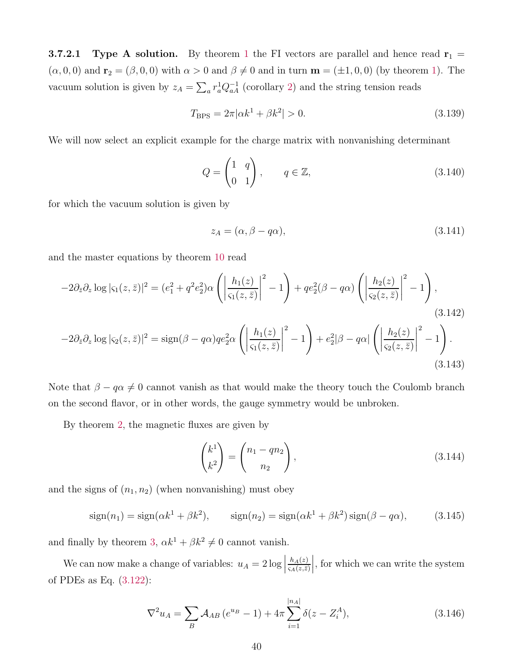<span id="page-40-0"></span>**3.7.2.[1](#page-22-1) Type A solution.** By theorem 1 the FI vectors are parallel and hence read  $\mathbf{r}_1$  =  $(\alpha, 0, 0)$  and  $\mathbf{r}_2 = (\beta, 0, 0)$  with  $\alpha > 0$  and  $\beta \neq 0$  and in turn  $\mathbf{m} = (\pm 1, 0, 0)$  (by theorem [1\)](#page-22-1). The vacuum solution is given by  $z_A = \sum_a r_a^1 Q_{aA}^{-1}$  (corollary [2\)](#page-23-0) and the string tension reads

$$
T_{\rm BPS} = 2\pi |\alpha k^1 + \beta k^2| > 0. \tag{3.139}
$$

We will now select an explicit example for the charge matrix with nonvanishing determinant

$$
Q = \begin{pmatrix} 1 & q \\ 0 & 1 \end{pmatrix}, \qquad q \in \mathbb{Z}, \tag{3.140}
$$

for which the vacuum solution is given by

<span id="page-40-1"></span>
$$
z_A = (\alpha, \beta - q\alpha), \tag{3.141}
$$

and the master equations by theorem [10](#page-32-1) read

$$
-2\partial_{\bar{z}}\partial_z \log |\varsigma_1(z,\bar{z})|^2 = (e_1^2 + q^2 e_2^2) \alpha \left( \left| \frac{h_1(z)}{\varsigma_1(z,\bar{z})} \right|^2 - 1 \right) + qe_2^2 (\beta - q\alpha) \left( \left| \frac{h_2(z)}{\varsigma_2(z,\bar{z})} \right|^2 - 1 \right),
$$
\n(3.142)

$$
-2\partial_{\bar{z}}\partial_z \log |\varsigma_2(z,\bar{z})|^2 = \text{sign}(\beta - q\alpha)qe_2^2\alpha \left( \left| \frac{h_1(z)}{\varsigma_1(z,\bar{z})} \right|^2 - 1 \right) + e_2^2|\beta - q\alpha| \left( \left| \frac{h_2(z)}{\varsigma_2(z,\bar{z})} \right|^2 - 1 \right).
$$
\n(3.143)

Note that  $\beta - q\alpha \neq 0$  cannot vanish as that would make the theory touch the Coulomb branch on the second flavor, or in other words, the gauge symmetry would be unbroken.

By theorem [2,](#page-24-0) the magnetic fluxes are given by

<span id="page-40-2"></span>
$$
\begin{pmatrix} k^1 \\ k^2 \end{pmatrix} = \begin{pmatrix} n_1 - qn_2 \\ n_2 \end{pmatrix},
$$
\n(3.144)

and the signs of  $(n_1, n_2)$  (when nonvanishing) must obey

$$
\text{sign}(n_1) = \text{sign}(\alpha k^1 + \beta k^2), \qquad \text{sign}(n_2) = \text{sign}(\alpha k^1 + \beta k^2) \text{sign}(\beta - q\alpha), \tag{3.145}
$$

and finally by theorem [3,](#page-24-1)  $\alpha k^1 + \beta k^2 \neq 0$  cannot vanish.

We can now make a change of variables:  $u_A = 2 \log |$  $h_A(z)$  $\varsigma_A(z,\bar{z})$ , for which we can write the system of PDEs as Eq. [\(3.122\)](#page-37-2):

$$
\nabla^2 u_A = \sum_B \mathcal{A}_{AB} \left( e^{u_B} - 1 \right) + 4\pi \sum_{i=1}^{|n_A|} \delta(z - Z_i^A), \tag{3.146}
$$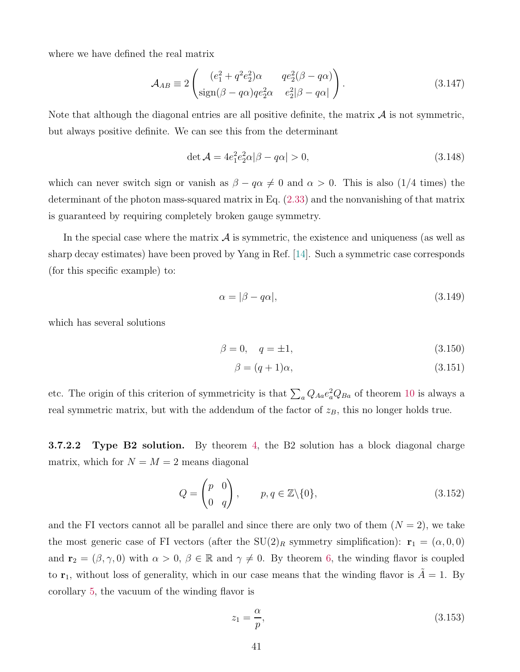where we have defined the real matrix

$$
\mathcal{A}_{AB} \equiv 2 \begin{pmatrix} (e_1^2 + q^2 e_2^2) \alpha & q e_2^2 (\beta - q \alpha) \\ \text{sign}(\beta - q \alpha) q e_2^2 \alpha & e_2^2 |\beta - q \alpha| \end{pmatrix} . \tag{3.147}
$$

Note that although the diagonal entries are all positive definite, the matrix  $A$  is not symmetric, but always positive definite. We can see this from the determinant

$$
\det \mathcal{A} = 4e_1^2 e_2^2 \alpha |\beta - q\alpha| > 0, \tag{3.148}
$$

which can never switch sign or vanish as  $\beta - q\alpha \neq 0$  and  $\alpha > 0$ . This is also (1/4 times) the determinant of the photon mass-squared matrix in Eq. [\(2.33\)](#page-11-2) and the nonvanishing of that matrix is guaranteed by requiring completely broken gauge symmetry.

In the special case where the matrix  $A$  is symmetric, the existence and uniqueness (as well as sharp decay estimates) have been proved by Yang in Ref. [\[14\]](#page-52-8). Such a symmetric case corresponds (for this specific example) to:

$$
\alpha = |\beta - q\alpha|,\tag{3.149}
$$

which has several solutions

$$
\beta = 0, \quad q = \pm 1,\tag{3.150}
$$

$$
\beta = (q+1)\alpha, \tag{3.151}
$$

etc. The origin of this criterion of symmetricity is that  $\sum_a Q_{Aa}e_a^2Q_{Ba}$  of theorem [10](#page-32-1) is always a real symmetric matrix, but with the addendum of the factor of  $z_B$ , this no longer holds true.

<span id="page-41-0"></span>**3.7.2.2** Type B2 solution. By theorem [4,](#page-26-0) the B2 solution has a block diagonal charge matrix, which for  $N = M = 2$  means diagonal

<span id="page-41-1"></span>
$$
Q = \begin{pmatrix} p & 0 \\ 0 & q \end{pmatrix}, \qquad p, q \in \mathbb{Z} \setminus \{0\}, \tag{3.152}
$$

and the FI vectors cannot all be parallel and since there are only two of them  $(N = 2)$ , we take the most generic case of FI vectors (after the  $SU(2)_R$  symmetry simplification):  $\mathbf{r}_1 = (\alpha, 0, 0)$ and  $\mathbf{r}_2 = (\beta, \gamma, 0)$  with  $\alpha > 0$ ,  $\beta \in \mathbb{R}$  and  $\gamma \neq 0$ . By theorem [6,](#page-30-0) the winding flavor is coupled to  $r_1$ , without loss of generality, which in our case means that the winding flavor is  $\tilde{A} = 1$ . By corollary [5,](#page-30-1) the vacuum of the winding flavor is

$$
z_1 = \frac{\alpha}{p},\tag{3.153}
$$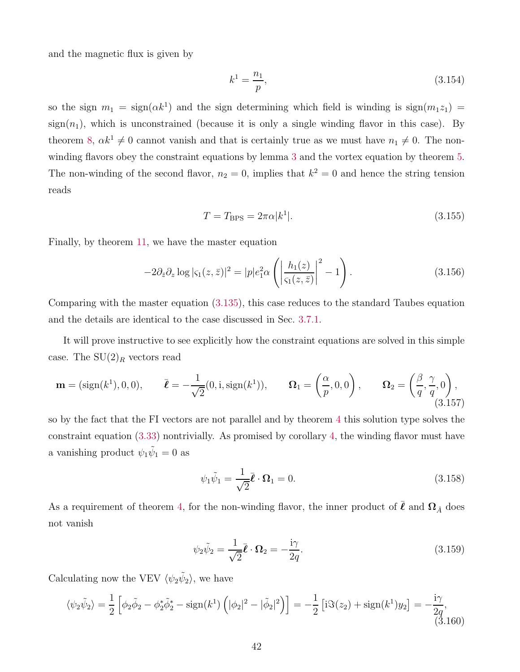and the magnetic flux is given by

$$
k^1 = \frac{n_1}{p},\tag{3.154}
$$

so the sign  $m_1 = \text{sign}(\alpha k^1)$  and the sign determining which field is winding is  $\text{sign}(m_1z_1) =$  $sign(n_1)$ , which is unconstrained (because it is only a single winding flavor in this case). By theorem [8,](#page-30-3)  $\alpha k^1 \neq 0$  cannot vanish and that is certainly true as we must have  $n_1 \neq 0$ . The nonwinding flavors obey the constraint equations by lemma [3](#page-27-0) and the vortex equation by theorem [5.](#page-28-0) The non-winding of the second flavor,  $n_2 = 0$ , implies that  $k^2 = 0$  and hence the string tension reads

$$
T = T_{\rm BPS} = 2\pi\alpha |k^1|.
$$
\n
$$
(3.155)
$$

Finally, by theorem [11,](#page-34-1) we have the master equation

$$
-2\partial_{\bar{z}}\partial_z \log |\varsigma_1(z,\bar{z})|^2 = |p|e_1^2 \alpha \left( \left| \frac{h_1(z)}{\varsigma_1(z,\bar{z})} \right|^2 - 1 \right). \tag{3.156}
$$

Comparing with the master equation [\(3.135\)](#page-39-3), this case reduces to the standard Taubes equation and the details are identical to the case discussed in Sec. [3.7.1.](#page-39-0)

It will prove instructive to see explicitly how the constraint equations are solved in this simple case. The  $SU(2)_R$  vectors read

$$
\mathbf{m} = (\text{sign}(k^1), 0, 0), \qquad \bar{\boldsymbol{\ell}} = -\frac{1}{\sqrt{2}}(0, \mathbf{i}, \text{sign}(k^1)), \qquad \mathbf{\Omega}_1 = \left(\frac{\alpha}{p}, 0, 0\right), \qquad \mathbf{\Omega}_2 = \left(\frac{\beta}{q}, \frac{\gamma}{q}, 0\right),\tag{3.157}
$$

so by the fact that the FI vectors are not parallel and by theorem [4](#page-26-0) this solution type solves the constraint equation [\(3.33\)](#page-18-3) nontrivially. As promised by corollary [4,](#page-28-1) the winding flavor must have a vanishing product  $\psi_1 \tilde{\psi}_1 = 0$  as

$$
\psi_1 \tilde{\psi}_1 = \frac{1}{\sqrt{2}} \bar{\boldsymbol{\ell}} \cdot \boldsymbol{\Omega}_1 = 0. \tag{3.158}
$$

As a requirement of theorem [4,](#page-26-0) for the non-winding flavor, the inner product of  $\bar{\ell}$  and  $\Omega_{\hat{A}}$  does not vanish

$$
\psi_2 \tilde{\psi}_2 = \frac{1}{\sqrt{2}} \bar{\ell} \cdot \Omega_2 = -\frac{i\gamma}{2q}.\tag{3.159}
$$

Calculating now the VEV  $\langle \psi_2 \tilde{\psi}_2 \rangle$ , we have

$$
\langle \psi_2 \tilde{\psi}_2 \rangle = \frac{1}{2} \left[ \phi_2 \tilde{\phi}_2 - \phi_2^* \tilde{\phi}_2^* - \text{sign}(k^1) \left( |\phi_2|^2 - |\tilde{\phi}_2|^2 \right) \right] = -\frac{1}{2} \left[ i \Im(z_2) + \text{sign}(k^1) y_2 \right] = -\frac{i\gamma}{2q},\tag{3.160}
$$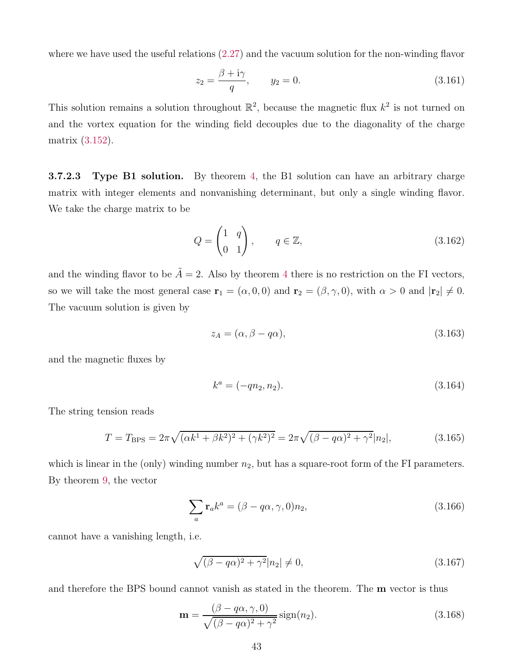where we have used the useful relations [\(2.27\)](#page-10-4) and the vacuum solution for the non-winding flavor

$$
z_2 = \frac{\beta + i\gamma}{q}, \qquad y_2 = 0. \tag{3.161}
$$

This solution remains a solution throughout  $\mathbb{R}^2$ , because the magnetic flux  $k^2$  is not turned on and the vortex equation for the winding field decouples due to the diagonality of the charge matrix [\(3.152\)](#page-41-1).

<span id="page-43-0"></span>**3.7.2.3** Type B1 solution. By theorem [4,](#page-26-0) the B1 solution can have an arbitrary charge matrix with integer elements and nonvanishing determinant, but only a single winding flavor. We take the charge matrix to be

$$
Q = \begin{pmatrix} 1 & q \\ 0 & 1 \end{pmatrix}, \qquad q \in \mathbb{Z}, \tag{3.162}
$$

and the winding flavor to be  $\tilde{A} = 2$ . Also by theorem [4](#page-26-0) there is no restriction on the FI vectors, so we will take the most general case  $\mathbf{r}_1 = (\alpha, 0, 0)$  and  $\mathbf{r}_2 = (\beta, \gamma, 0)$ , with  $\alpha > 0$  and  $|\mathbf{r}_2| \neq 0$ . The vacuum solution is given by

$$
z_A = (\alpha, \beta - q\alpha), \tag{3.163}
$$

and the magnetic fluxes by

$$
k^a = (-qn_2, n_2). \tag{3.164}
$$

The string tension reads

$$
T = T_{\rm BPS} = 2\pi \sqrt{(\alpha k^1 + \beta k^2)^2 + (\gamma k^2)^2} = 2\pi \sqrt{(\beta - q\alpha)^2 + \gamma^2} |n_2|,
$$
\n(3.165)

which is linear in the (only) winding number  $n_2$ , but has a square-root form of the FI parameters. By theorem [9,](#page-31-1) the vector

$$
\sum_{a} \mathbf{r}_{a} k^{a} = (\beta - q\alpha, \gamma, 0) n_{2}, \qquad (3.166)
$$

cannot have a vanishing length, i.e.

$$
\sqrt{(\beta - q\alpha)^2 + \gamma^2}|n_2| \neq 0,
$$
\n(3.167)

and therefore the BPS bound cannot vanish as stated in the theorem. The **m** vector is thus

$$
\mathbf{m} = \frac{(\beta - q\alpha, \gamma, 0)}{\sqrt{(\beta - q\alpha)^2 + \gamma^2}} \operatorname{sign}(n_2).
$$
 (3.168)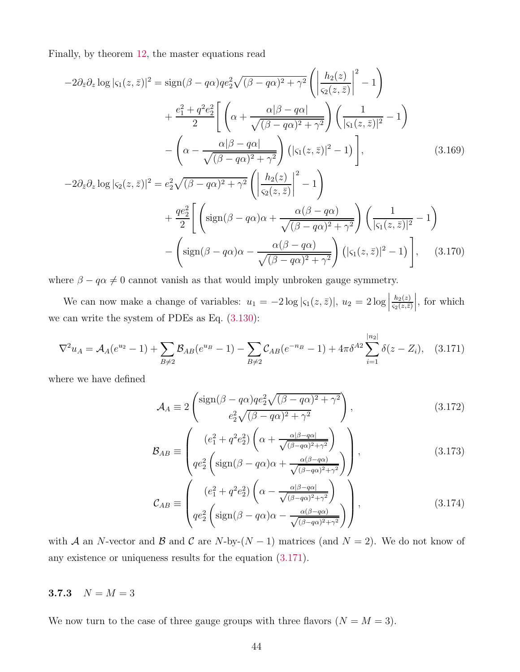Finally, by theorem [12,](#page-35-0) the master equations read

$$
-2\partial_{\bar{z}}\partial_{z}\log|\varsigma_{1}(z,\bar{z})|^{2} = \text{sign}(\beta - q\alpha)qe_{2}^{2}\sqrt{(\beta - q\alpha)^{2} + \gamma^{2}}\left(\left|\frac{h_{2}(z)}{\varsigma_{2}(z,\bar{z})}\right|^{2} - 1\right)
$$

$$
+ \frac{e_{1}^{2} + q^{2}e_{2}^{2}}{2}\left[\left(\alpha + \frac{\alpha|\beta - q\alpha|}{\sqrt{(\beta - q\alpha)^{2} + \gamma^{2}}}\right)\left(\frac{1}{|\varsigma_{1}(z,\bar{z})|^{2}} - 1\right)\right]
$$

$$
- \left(\alpha - \frac{\alpha|\beta - q\alpha|}{\sqrt{(\beta - q\alpha)^{2} + \gamma^{2}}}\right)(|\varsigma_{1}(z,\bar{z})|^{2} - 1)\right], \qquad (3.169)
$$

$$
-2\partial_{\bar{z}}\partial_{z}\log|\varsigma_{2}(z,\bar{z})|^{2} = e_{2}^{2}\sqrt{(\beta - q\alpha)^{2} + \gamma^{2}}\left(\left|\frac{h_{2}(z)}{\varsigma_{2}(z,\bar{z})}\right|^{2} - 1\right)
$$

$$
+ \frac{qe_{2}^{2}}{2}\left[\left(\text{sign}(\beta - q\alpha)\alpha + \frac{\alpha(\beta - q\alpha)}{\sqrt{(\beta - q\alpha)^{2} + \gamma^{2}}}\right)\left(\frac{1}{|\varsigma_{1}(z,\bar{z})|^{2}} - 1\right)\right]
$$

$$
- \left(\text{sign}(\beta - q\alpha)\alpha - \frac{\alpha(\beta - q\alpha)}{\sqrt{(\beta - q\alpha)^{2} + \gamma^{2}}}\right)(|\varsigma_{1}(z,\bar{z})|^{2} - 1)\right], \qquad (3.170)
$$

where  $\beta - q\alpha \neq 0$  cannot vanish as that would imply unbroken gauge symmetry.

We can now make a change of variables:  $u_1 = -2 \log |\varsigma_1(z, \bar{z})|, u_2 = 2 \log |\varsigma_2(z, \bar{z})|$  $h_2(z)$  $\varsigma_2(z,\bar{z})$  $\Big\vert,$  for which we can write the system of PDEs as Eq. [\(3.130\)](#page-38-3):

$$
\nabla^2 u_A = \mathcal{A}_A(e^{u_2} - 1) + \sum_{B \neq 2} \mathcal{B}_{AB}(e^{u_B} - 1) - \sum_{B \neq 2} \mathcal{C}_{AB}(e^{-n_B} - 1) + 4\pi \delta^{A2} \sum_{i=1}^{|n_2|} \delta(z - Z_i), \quad (3.171)
$$

where we have defined

<span id="page-44-1"></span>
$$
\mathcal{A}_A \equiv 2 \begin{pmatrix} \text{sign}(\beta - q\alpha)q e_2^2 \sqrt{(\beta - q\alpha)^2 + \gamma^2} \\ e_2^2 \sqrt{(\beta - q\alpha)^2 + \gamma^2} \end{pmatrix},
$$
\n(3.172)

$$
\mathcal{B}_{AB} \equiv \begin{pmatrix} (e_1^2 + q^2 e_2^2) \left( \alpha + \frac{\alpha |\beta - q\alpha|}{\sqrt{(\beta - q\alpha)^2 + \gamma^2}} \right) \\ q e_2^2 \left( \text{sign}(\beta - q\alpha)\alpha + \frac{\alpha(\beta - q\alpha)}{\sqrt{(\beta - q\alpha)^2 + \gamma^2}} \right) \end{pmatrix},
$$
(3.173)

$$
\mathcal{C}_{AB} \equiv \begin{pmatrix} (e_1^2 + q^2 e_2^2) \left( \alpha - \frac{\alpha |\beta - q\alpha|}{\sqrt{(\beta - q\alpha)^2 + \gamma^2}} \right) \\ q e_2^2 \left( \text{sign}(\beta - q\alpha) \alpha - \frac{\alpha (\beta - q\alpha)}{\sqrt{(\beta - q\alpha)^2 + \gamma^2}} \right) \end{pmatrix},
$$
(3.174)

with A an N-vector and B and C are N-by- $(N-1)$  matrices (and  $N=2$ ). We do not know of any existence or uniqueness results for the equation [\(3.171\)](#page-44-1).

### <span id="page-44-0"></span>3.7.3  $N = M = 3$

We now turn to the case of three gauge groups with three flavors  $(N = M = 3)$ .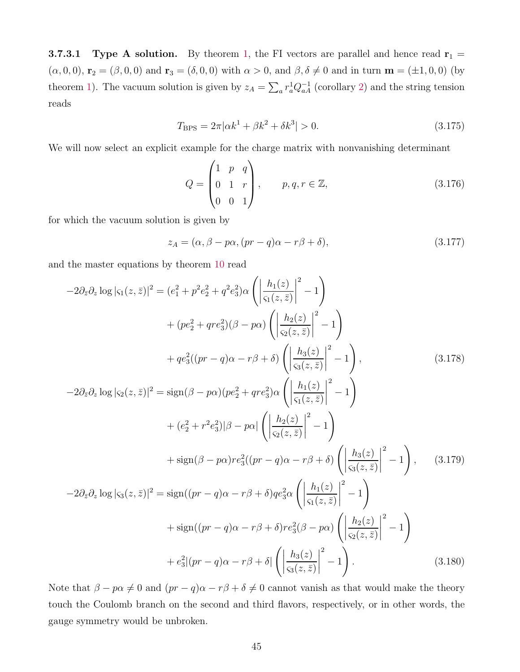<span id="page-45-0"></span>**3.7.3.1 Type A solution.** By theorem [1,](#page-22-1) the FI vectors are parallel and hence read  $\mathbf{r}_1 =$  $(\alpha, 0, 0)$ ,  $\mathbf{r}_2 = (\beta, 0, 0)$  and  $\mathbf{r}_3 = (\delta, 0, 0)$  with  $\alpha > 0$ , and  $\beta, \delta \neq 0$  and in turn  $\mathbf{m} = (\pm 1, 0, 0)$  (by theorem [1\)](#page-22-1). The vacuum solution is given by  $z_A = \sum_a r_a^1 Q_{aA}^{-1}$  (corollary [2\)](#page-23-0) and the string tension reads

$$
T_{\rm BPS} = 2\pi |\alpha k^1 + \beta k^2 + \delta k^3| > 0. \tag{3.175}
$$

We will now select an explicit example for the charge matrix with nonvanishing determinant

$$
Q = \begin{pmatrix} 1 & p & q \\ 0 & 1 & r \\ 0 & 0 & 1 \end{pmatrix}, \qquad p, q, r \in \mathbb{Z}, \tag{3.176}
$$

for which the vacuum solution is given by

$$
z_A = (\alpha, \beta - p\alpha, (pr - q)\alpha - r\beta + \delta), \qquad (3.177)
$$

and the master equations by theorem [10](#page-32-1) read

$$
-2\partial_{\bar{z}}\partial_{z}\log|\varsigma_{1}(z,\bar{z})|^{2} = (e_{1}^{2} + p^{2}e_{2}^{2} + q^{2}e_{3}^{2})\alpha \left( \left| \frac{h_{1}(z)}{\varsigma_{1}(z,\bar{z})} \right|^{2} - 1 \right)
$$
  
+  $(pe_{2}^{2} + qre_{3}^{2})(\beta - p\alpha) \left( \left| \frac{h_{2}(z)}{\varsigma_{2}(z,\bar{z})} \right|^{2} - 1 \right)$   
+  $qe_{3}^{2}((pr - q)\alpha - r\beta + \delta) \left( \left| \frac{h_{3}(z)}{\varsigma_{3}(z,\bar{z})} \right|^{2} - 1 \right)$ , (3.178)  
-  $2\partial_{\bar{z}}\partial_{z}\log|\varsigma_{2}(z,\bar{z})|^{2} = \text{sign}(\beta - p\alpha)(pe_{2}^{2} + qre_{3}^{2})\alpha \left( \left| \frac{h_{1}(z)}{\varsigma_{1}(z,\bar{z})} \right|^{2} - 1 \right)$   
+  $(e_{2}^{2} + r^{2}e_{3}^{2})|\beta - p\alpha| \left( \left| \frac{h_{2}(z)}{\varsigma_{2}(z,\bar{z})} \right|^{2} - 1 \right)$   
+  $\text{sign}(\beta - p\alpha)re_{3}^{2}((pr - q)\alpha - r\beta + \delta) \left( \left| \frac{h_{3}(z)}{\varsigma_{3}(z,\bar{z})} \right|^{2} - 1 \right)$ , (3.179)  
-  $2\partial_{\bar{z}}\partial_{z}\log|\varsigma_{3}(z,\bar{z})|^{2} = \text{sign}((pr - q)\alpha - r\beta + \delta)qe_{3}^{2}\alpha \left( \left| \frac{h_{1}(z)}{\varsigma_{1}(z,\bar{z})} \right|^{2} - 1 \right)$   
+  $\text{sign}((pr - q)\alpha - r\beta + \delta)re_{3}^{2}(\beta - p\alpha) \left( \left| \frac{h_{2}(z)}{\varsigma_{2}(z,\bar{z})} \right|^{2} - 1 \right)$   
+  $e_{3}^{2}|(pr - q)\alpha - r\beta + \delta| \left( \left| \frac{h_{3}(z)}{\varsigma_{3}(z,\bar{z})$ 

Note that  $\beta - p\alpha \neq 0$  and  $(pr - q)\alpha - r\beta + \delta \neq 0$  cannot vanish as that would make the theory touch the Coulomb branch on the second and third flavors, respectively, or in other words, the gauge symmetry would be unbroken.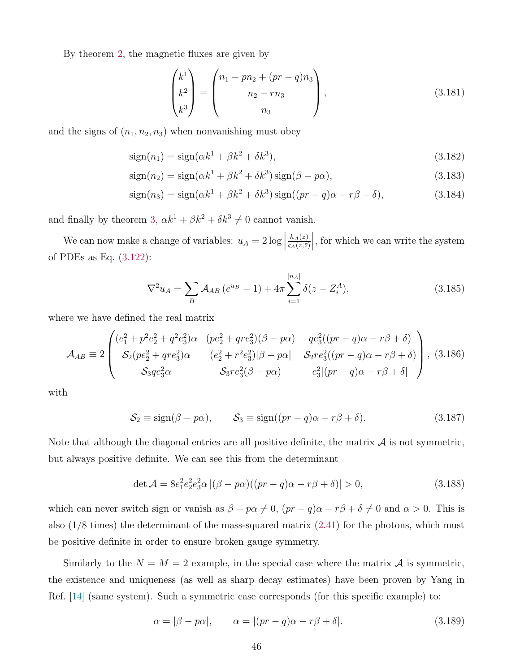By theorem [2,](#page-24-0) the magnetic fluxes are given by

$$
\begin{pmatrix} k^1 \\ k^2 \\ k^3 \end{pmatrix} = \begin{pmatrix} n_1 - pn_2 + (pr - q)n_3 \\ n_2 - rn_3 \\ n_3 \end{pmatrix},
$$
\n(3.181)

and the signs of  $(n_1, n_2, n_3)$  when nonvanishing must obey

$$
\text{sign}(n_1) = \text{sign}(\alpha k^1 + \beta k^2 + \delta k^3),\tag{3.182}
$$

$$
sign(n_2) = sign(\alpha k^1 + \beta k^2 + \delta k^3) sign(\beta - p\alpha),
$$
\n(3.183)

$$
\text{sign}(n_3) = \text{sign}(\alpha k^1 + \beta k^2 + \delta k^3) \text{sign}((pr - q)\alpha - r\beta + \delta), \tag{3.184}
$$

and finally by theorem [3,](#page-24-1)  $\alpha k^1 + \beta k^2 + \delta k^3 \neq 0$  cannot vanish.

We can now make a change of variables:  $u_A = 2 \log |$  $h_A(z)$  $\varsigma_A(z,\bar{z})$ , for which we can write the system of PDEs as Eq. [\(3.122\)](#page-37-2):

$$
\nabla^2 u_A = \sum_B \mathcal{A}_{AB} \left( e^{u_B} - 1 \right) + 4\pi \sum_{i=1}^{|n_A|} \delta(z - Z_i^A), \tag{3.185}
$$

where we have defined the real matrix

$$
\mathcal{A}_{AB} \equiv 2 \begin{pmatrix} (e_1^2 + p^2 e_2^2 + q^2 e_3^2) \alpha & (pe_2^2 + q r e_3^2) (\beta - p \alpha) & q e_3^2 ((pr - q) \alpha - r \beta + \delta) \\ S_2 (pe_2^2 + q r e_3^2) \alpha & (e_2^2 + r^2 e_3^2) |\beta - p \alpha| & S_2 r e_3^2 ((pr - q) \alpha - r \beta + \delta) \\ S_3 q e_3^2 \alpha & S_3 r e_3^2 (\beta - p \alpha) & e_3^2 |(pr - q) \alpha - r \beta + \delta| \end{pmatrix}, (3.186)
$$

with

$$
S_2 \equiv \text{sign}(\beta - p\alpha), \qquad S_3 \equiv \text{sign}((pr - q)\alpha - r\beta + \delta). \tag{3.187}
$$

Note that although the diagonal entries are all positive definite, the matrix  $\mathcal A$  is not symmetric, but always positive definite. We can see this from the determinant

$$
\det \mathcal{A} = 8e_1^2 e_2^2 e_3^2 \alpha |(\beta - p\alpha)((pr - q)\alpha - r\beta + \delta)| > 0,
$$
\n(3.188)

which can never switch sign or vanish as  $\beta - p\alpha \neq 0$ ,  $(pr - q)\alpha - r\beta + \delta \neq 0$  and  $\alpha > 0$ . This is also  $(1/8 \text{ times})$  the determinant of the mass-squared matrix  $(2.41)$  for the photons, which must be positive definite in order to ensure broken gauge symmetry.

Similarly to the  $N = M = 2$  example, in the special case where the matrix A is symmetric, the existence and uniqueness (as well as sharp decay estimates) have been proven by Yang in Ref. [\[14\]](#page-52-8) (same system). Such a symmetric case corresponds (for this specific example) to:

$$
\alpha = |\beta - p\alpha|, \qquad \alpha = |(pr - q)\alpha - r\beta + \delta|.
$$
\n(3.189)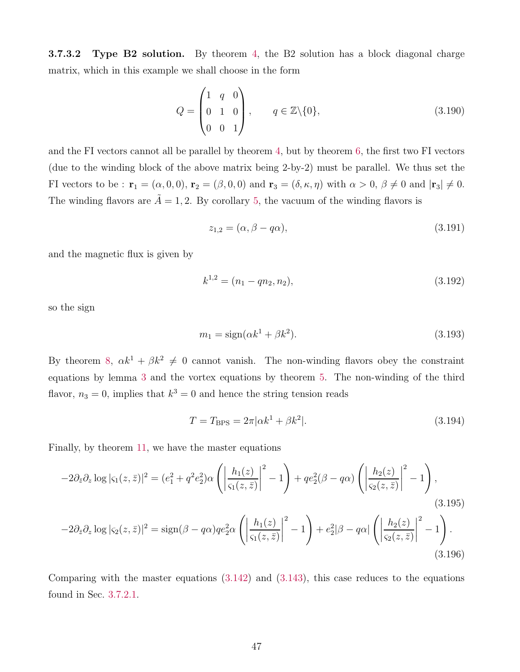<span id="page-47-0"></span>3.7.3.2 Type B2 solution. By theorem [4,](#page-26-0) the B2 solution has a block diagonal charge matrix, which in this example we shall choose in the form

$$
Q = \begin{pmatrix} 1 & q & 0 \\ 0 & 1 & 0 \\ 0 & 0 & 1 \end{pmatrix}, \qquad q \in \mathbb{Z} \setminus \{0\}, \tag{3.190}
$$

and the FI vectors cannot all be parallel by theorem [4,](#page-26-0) but by theorem [6,](#page-30-0) the first two FI vectors (due to the winding block of the above matrix being 2-by-2) must be parallel. We thus set the FI vectors to be :  $\mathbf{r}_1 = (\alpha, 0, 0), \mathbf{r}_2 = (\beta, 0, 0)$  and  $\mathbf{r}_3 = (\delta, \kappa, \eta)$  with  $\alpha > 0, \beta \neq 0$  and  $|\mathbf{r}_3| \neq 0$ . The winding flavors are  $\tilde{A} = 1, 2$ . By corollary [5,](#page-30-1) the vacuum of the winding flavors is

$$
z_{1,2} = (\alpha, \beta - q\alpha), \tag{3.191}
$$

and the magnetic flux is given by

$$
k^{1,2} = (n_1 - qn_2, n_2), \tag{3.192}
$$

so the sign

$$
m_1 = \text{sign}(\alpha k^1 + \beta k^2). \tag{3.193}
$$

By theorem [8,](#page-30-3)  $\alpha k^1 + \beta k^2 \neq 0$  cannot vanish. The non-winding flavors obey the constraint equations by lemma [3](#page-27-0) and the vortex equations by theorem [5.](#page-28-0) The non-winding of the third flavor,  $n_3 = 0$ , implies that  $k^3 = 0$  and hence the string tension reads

$$
T = T_{\rm BPS} = 2\pi |\alpha k^1 + \beta k^2|.
$$
\n(3.194)

Finally, by theorem [11,](#page-34-1) we have the master equations

$$
-2\partial_{\bar{z}}\partial_z \log|\varsigma_1(z,\bar{z})|^2 = (e_1^2 + q^2 e_2^2)\alpha \left( \left| \frac{h_1(z)}{\varsigma_1(z,\bar{z})} \right|^2 - 1 \right) + qe_2^2(\beta - q\alpha) \left( \left| \frac{h_2(z)}{\varsigma_2(z,\bar{z})} \right|^2 - 1 \right),
$$
\n
$$
-2\partial_{\bar{z}}\partial_z \log|\varsigma_2(z,\bar{z})|^2 = \text{sign}(\beta - q\alpha)qe_2^2\alpha \left( \left| \frac{h_1(z)}{\varsigma_1(z,\bar{z})} \right|^2 - 1 \right) + e_2^2|\beta - q\alpha| \left( \left| \frac{h_2(z)}{\varsigma_2(z,\bar{z})} \right|^2 - 1 \right).
$$
\n(3.196)

Comparing with the master equations  $(3.142)$  and  $(3.143)$ , this case reduces to the equations found in Sec. [3.7.2.1.](#page-40-0)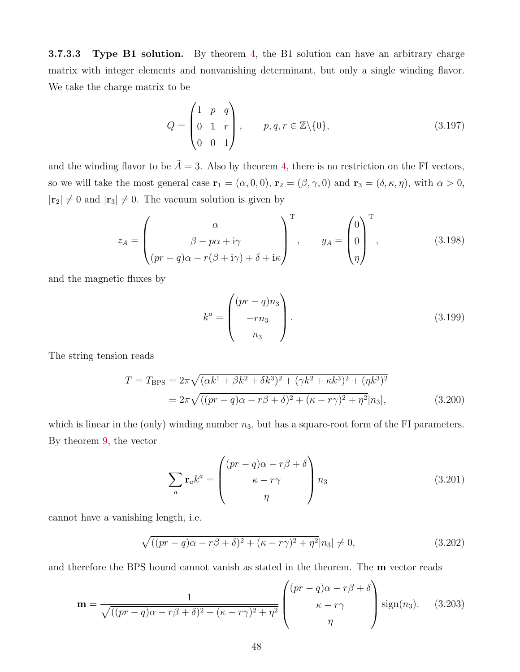<span id="page-48-0"></span>3.7.3.3 Type B1 solution. By theorem [4,](#page-26-0) the B1 solution can have an arbitrary charge matrix with integer elements and nonvanishing determinant, but only a single winding flavor. We take the charge matrix to be

$$
Q = \begin{pmatrix} 1 & p & q \\ 0 & 1 & r \\ 0 & 0 & 1 \end{pmatrix}, \qquad p, q, r \in \mathbb{Z} \setminus \{0\}, \tag{3.197}
$$

and the winding flavor to be  $\tilde{A} = 3$ . Also by theorem [4,](#page-26-0) there is no restriction on the FI vectors, so we will take the most general case  $\mathbf{r}_1 = (\alpha, 0, 0)$ ,  $\mathbf{r}_2 = (\beta, \gamma, 0)$  and  $\mathbf{r}_3 = (\delta, \kappa, \eta)$ , with  $\alpha > 0$ ,  $|\mathbf{r}_2| \neq 0$  and  $|\mathbf{r}_3| \neq 0$ . The vacuum solution is given by

$$
z_A = \begin{pmatrix} \alpha \\ \beta - p\alpha + i\gamma \\ (pr - q)\alpha - r(\beta + i\gamma) + \delta + i\kappa \end{pmatrix}^{\mathrm{T}}, \qquad y_A = \begin{pmatrix} 0 \\ 0 \\ \eta \end{pmatrix}^{\mathrm{T}}, \qquad (3.198)
$$

and the magnetic fluxes by

$$
k^a = \begin{pmatrix} (pr - q)n_3 \\ -rn_3 \\ n_3 \end{pmatrix}.
$$
 (3.199)

The string tension reads

$$
T = T_{\rm BPS} = 2\pi \sqrt{(\alpha k^1 + \beta k^2 + \delta k^3)^2 + (\gamma k^2 + \kappa k^3)^2 + (\eta k^3)^2}
$$
  
=  $2\pi \sqrt{((pr - q)\alpha - r\beta + \delta)^2 + (\kappa - r\gamma)^2 + \eta^2} |n_3|,$  (3.200)

which is linear in the (only) winding number  $n_3$ , but has a square-root form of the FI parameters. By theorem [9,](#page-31-1) the vector

$$
\sum_{a} \mathbf{r}_{a} k^{a} = \begin{pmatrix} (pr - q)\alpha - r\beta + \delta \\ \kappa - r\gamma \\ \eta \end{pmatrix} n_{3}
$$
 (3.201)

cannot have a vanishing length, i.e.

$$
\sqrt{\left((pr-q)\alpha - r\beta + \delta\right)^2 + (\kappa - r\gamma)^2 + \eta^2}|n_3| \neq 0,
$$
\n(3.202)

and therefore the BPS bound cannot vanish as stated in the theorem. The m vector reads

$$
\mathbf{m} = \frac{1}{\sqrt{((pr-q)\alpha - r\beta + \delta)^2 + (\kappa - r\gamma)^2 + \eta^2}} \begin{pmatrix} (pr-q)\alpha - r\beta + \delta \\ \kappa - r\gamma \\ \eta \end{pmatrix} \text{sign}(n_3). \quad (3.203)
$$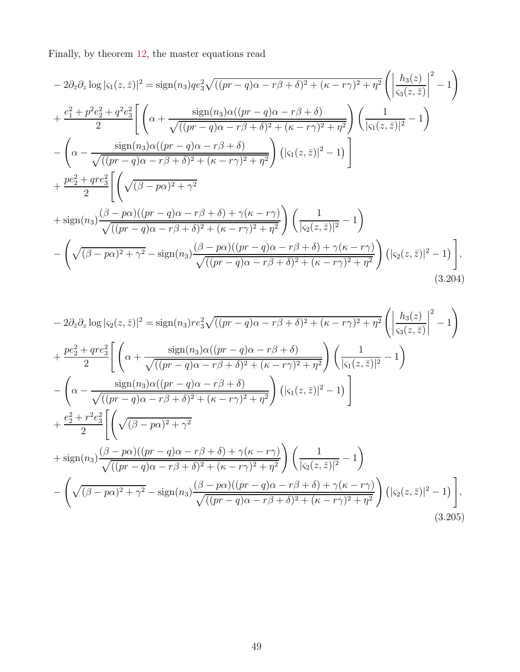Finally, by theorem [12,](#page-35-0) the master equations read

$$
-2\partial_{\bar{z}}\partial_{z}\log|\varsigma_{1}(z,\bar{z})|^{2} = \text{sign}(n_{3})qe_{3}^{2}\sqrt{((pr-q)\alpha - r\beta + \delta)^{2} + (\kappa - r\gamma)^{2} + \eta^{2}}\left(\left|\frac{h_{3}(z)}{\varsigma_{3}(z,\bar{z})}\right|^{2} - 1\right) + \frac{e_{1}^{2} + p^{2}e_{2}^{2} + q^{2}e_{3}^{2}}{2}\left[\left(\alpha + \frac{\text{sign}(n_{3})\alpha((pr-q)\alpha - r\beta + \delta)}{\sqrt{((pr-q)\alpha - r\beta + \delta)^{2} + (\kappa - r\gamma)^{2} + \eta^{2}}}\right)\left(\frac{1}{|\varsigma_{1}(z,\bar{z})|^{2}} - 1\right) - \left(\alpha - \frac{\text{sign}(n_{3})\alpha((pr-q)\alpha - r\beta + \delta)}{\sqrt{((pr-q)\alpha - r\beta + \delta)^{2} + (\kappa - r\gamma)^{2} + \eta^{2}}}\right)(|\varsigma_{1}(z,\bar{z})|^{2} - 1)\right] + \frac{pe_{2}^{2} + qre_{3}^{2}}{2}\left[\left(\sqrt{(\beta - p\alpha)^{2} + \gamma^{2}} + \frac{\sin(n_{3})\frac{(\beta - p\alpha)((pr-q)\alpha - r\beta + \delta) + \gamma(\kappa - r\gamma)}{\sqrt{((pr-q)\alpha - r\beta + \delta)^{2} + (\kappa - r\gamma)^{2} + \eta^{2}}}\right)\left(\frac{1}{|\varsigma_{2}(z,\bar{z})|^{2}} - 1\right) - \left(\sqrt{(\beta - p\alpha)^{2} + \gamma^{2}} - \text{sign}(n_{3})\frac{(\beta - p\alpha)((pr-q)\alpha - r\beta + \delta) + \gamma(\kappa - r\gamma)}{\sqrt{((pr-q)\alpha - r\beta + \delta)^{2} + (\kappa - r\gamma)^{2} + \eta^{2}}}\right)(|\varsigma_{2}(z,\bar{z})|^{2} - 1)\right],
$$
\n(3.204)

$$
-2\partial_{\bar{z}}\partial_{z}\log|\varsigma_{2}(z,\bar{z})|^{2} = \text{sign}(n_{3})re_{3}^{2}\sqrt{((pr-q)\alpha - r\beta + \delta)^{2} + (\kappa - r\gamma)^{2} + \eta^{2}}\left(\left|\frac{h_{3}(z)}{\varsigma_{3}(z,\bar{z})}\right|^{2} - 1\right) + \frac{pe_{2}^{2} + qre_{3}^{2}}{2}\left[\left(\alpha + \frac{\text{sign}(n_{3})\alpha((pr-q)\alpha - r\beta + \delta)}{\sqrt{((pr-q)\alpha - r\beta + \delta)^{2} + (\kappa - r\gamma)^{2} + \eta^{2}}}\right)\left(\frac{1}{|\varsigma_{1}(z,\bar{z})|^{2}} - 1\right) - \left(\alpha - \frac{\text{sign}(n_{3})\alpha((pr-q)\alpha - r\beta + \delta)}{\sqrt{((pr-q)\alpha - r\beta + \delta)^{2} + (\kappa - r\gamma)^{2} + \eta^{2}}}\right)\left(|\varsigma_{1}(z,\bar{z})|^{2} - 1\right)\right] + \frac{e_{2}^{2} + r^{2}e_{3}^{2}}{2}\left[\left(\sqrt{(\beta - p\alpha)^{2} + \gamma^{2}} + \frac{\sin(n_{3})\frac{(\beta - p\alpha)((pr-q)\alpha - r\beta + \delta) + \gamma(\kappa - r\gamma)}{\sqrt{((pr-q)\alpha - r\beta + \delta)^{2} + (\kappa - r\gamma)^{2} + \eta^{2}}}\right)\left(\frac{1}{|\varsigma_{2}(z,\bar{z})|^{2}} - 1\right) - \left(\sqrt{(\beta - p\alpha)^{2} + \gamma^{2}} - \text{sign}(n_{3})\frac{(\beta - p\alpha)((pr-q)\alpha - r\beta + \delta) + \gamma(\kappa - r\gamma)}{\sqrt{((pr-q)\alpha - r\beta + \delta)^{2} + (\kappa - r\gamma)^{2} + \eta^{2}}}\right)(|\varsigma_{2}(z,\bar{z})|^{2} - 1)\right],
$$
\n(3.205)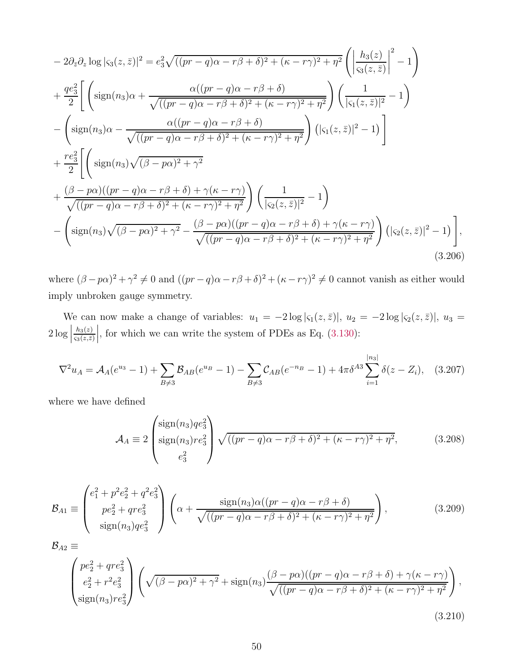$$
-2\partial_{\bar{z}}\partial_{z}\log|\varsigma_{3}(z,\bar{z})|^{2} = e_{3}^{2}\sqrt{((pr-q)\alpha - r\beta + \delta)^{2} + (\kappa - r\gamma)^{2} + \eta^{2}}\left(\left|\frac{h_{3}(z)}{\varsigma_{3}(z,\bar{z})}\right|^{2} - 1\right)
$$
  
+ 
$$
\frac{qe_{3}^{2}}{2}\left[\left(\text{sign}(n_{3})\alpha + \frac{\alpha((pr-q)\alpha - r\beta + \delta)}{\sqrt{((pr-q)\alpha - r\beta + \delta)^{2} + (\kappa - r\gamma)^{2} + \eta^{2}}}\right)\left(\frac{1}{|\varsigma_{1}(z,\bar{z})|^{2}} - 1\right)\right]
$$

$$
-\left(\text{sign}(n_{3})\alpha - \frac{\alpha((pr-q)\alpha - r\beta + \delta)}{\sqrt{((pr-q)\alpha - r\beta + \delta)^{2} + (\kappa - r\gamma)^{2} + \eta^{2}}}\right)\left(|\varsigma_{1}(z,\bar{z})|^{2} - 1\right)\right]
$$

$$
+\frac{re_{3}^{2}}{2}\left[\left(\text{sign}(n_{3})\sqrt{(\beta - p\alpha)^{2} + \gamma^{2}}\right)
$$

$$
+\frac{(\beta - p\alpha)((pr-q)\alpha - r\beta + \delta) + \gamma(\kappa - r\gamma)}{\sqrt{((pr-q)\alpha - r\beta + \delta)^{2} + (\kappa - r\gamma)^{2} + \eta^{2}}}\right)\left(\frac{1}{|\varsigma_{2}(z,\bar{z})|^{2}} - 1\right)
$$

$$
-\left(\text{sign}(n_{3})\sqrt{(\beta - p\alpha)^{2} + \gamma^{2}} - \frac{(\beta - p\alpha)((pr-q)\alpha - r\beta + \delta) + \gamma(\kappa - r\gamma)}{\sqrt{((pr-q)\alpha - r\beta + \delta)^{2} + (\kappa - r\gamma)^{2} + \eta^{2}}}\right)\left(|\varsigma_{2}(z,\bar{z})|^{2} - 1\right)\right],
$$
(3.206)

where  $(\beta - p\alpha)^2 + \gamma^2 \neq 0$  and  $((pr - q)\alpha - r\beta + \delta)^2 + (\kappa - r\gamma)^2 \neq 0$  cannot vanish as either would imply unbroken gauge symmetry.

We can now make a change of variables:  $u_1 = -2 \log |\varsigma_1(z, \bar{z})|$ ,  $u_2 = -2 \log |\varsigma_2(z, \bar{z})|$ ,  $u_3 =$  $2 \log |$  $h_3(z)$  $\varsigma_3(z,\bar{z})$ , for which we can write the system of PDEs as Eq.  $(3.130)$ :

$$
\nabla^2 u_A = \mathcal{A}_A(e^{u_3} - 1) + \sum_{B \neq 3} \mathcal{B}_{AB}(e^{u_B} - 1) - \sum_{B \neq 3} \mathcal{C}_{AB}(e^{-n_B} - 1) + 4\pi \delta^{A3} \sum_{i=1}^{|n_3|} \delta(z - Z_i), \quad (3.207)
$$

where we have defined

<span id="page-50-0"></span>
$$
\mathcal{A}_A \equiv 2 \begin{pmatrix} sign(n_3)q e_3^2 \\ sign(n_3)re_3^2 \\ e_3^2 \end{pmatrix} \sqrt{((pr - q)\alpha - r\beta + \delta)^2 + (\kappa - r\gamma)^2 + \eta^2},
$$
(3.208)

$$
\mathcal{B}_{A1} \equiv \begin{pmatrix} e_1^2 + p^2 e_2^2 + q^2 e_3^2 \\ p e_2^2 + q r e_3^2 \\ sign(n_3) q e_3^2 \end{pmatrix} \left( \alpha + \frac{\text{sign}(n_3) \alpha ((pr - q) \alpha - r \beta + \delta)}{\sqrt{((pr - q) \alpha - r \beta + \delta)^2 + (\kappa - r \gamma)^2 + \eta^2}} \right), \tag{3.209}
$$

$$
\mathcal{B}_{A2} \equiv \begin{pmatrix} pe_2^2 + qre_3^2 \ e_2^2 + r^2e_3^2 \ \text{sign}(n_3)re_3^2 \end{pmatrix} \left( \sqrt{(\beta - p\alpha)^2 + \gamma^2} + \text{sign}(n_3) \frac{(\beta - p\alpha)((pr - q)\alpha - r\beta + \delta) + \gamma(\kappa - r\gamma)}{\sqrt{((pr - q)\alpha - r\beta + \delta)^2 + (\kappa - r\gamma)^2 + \eta^2}} \right), \tag{3.210}
$$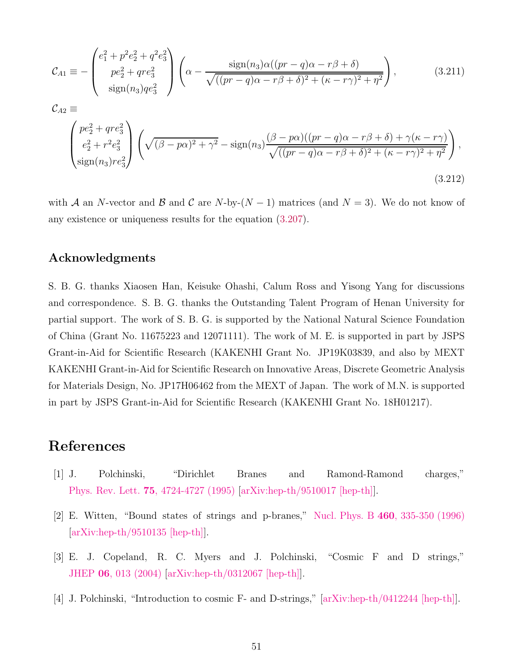$$
\mathcal{C}_{A1} \equiv -\begin{pmatrix} e_1^2 + p^2 e_2^2 + q^2 e_3^2 \\ p e_2^2 + q r e_3^2 \\ \text{sign}(n_3) q e_3^2 \end{pmatrix} \left( \alpha - \frac{\text{sign}(n_3) \alpha ((pr - q) \alpha - r \beta + \delta)}{\sqrt{((pr - q) \alpha - r \beta + \delta)^2 + (\kappa - r \gamma)^2 + \eta^2}} \right), \tag{3.211}
$$
\n
$$
\mathcal{C}_{A2} \equiv
$$
\n
$$
\begin{pmatrix} p e_2^2 + q r e_3^2 \\ e_2^2 + r^2 e_3^2 \\ \text{sign}(n_3) r e_3^2 \end{pmatrix} \left( \sqrt{(\beta - p \alpha)^2 + \gamma^2} - \text{sign}(n_3) \frac{(\beta - p \alpha)((pr - q) \alpha - r \beta + \delta) + \gamma(\kappa - r \gamma)}{\sqrt{((pr - q) \alpha - r \beta + \delta)^2 + (\kappa - r \gamma)^2 + \eta^2}} \right), \tag{3.212}
$$

with A an N-vector and B and C are N-by- $(N-1)$  matrices (and  $N=3$ ). We do not know of any existence or uniqueness results for the equation [\(3.207\)](#page-50-0).

## Acknowledgments

S. B. G. thanks Xiaosen Han, Keisuke Ohashi, Calum Ross and Yisong Yang for discussions and correspondence. S. B. G. thanks the Outstanding Talent Program of Henan University for partial support. The work of S. B. G. is supported by the National Natural Science Foundation of China (Grant No. 11675223 and 12071111). The work of M. E. is supported in part by JSPS Grant-in-Aid for Scientific Research (KAKENHI Grant No. JP19K03839, and also by MEXT KAKENHI Grant-in-Aid for Scientific Research on Innovative Areas, Discrete Geometric Analysis for Materials Design, No. JP17H06462 from the MEXT of Japan. The work of M.N. is supported in part by JSPS Grant-in-Aid for Scientific Research (KAKENHI Grant No. 18H01217).

## References

- <span id="page-51-0"></span>[1] J. Polchinski, "Dirichlet Branes and Ramond-Ramond charges," Phys. Rev. Lett. 75[, 4724-4727 \(1995\)](http://dx.doi.org/10.1103/PhysRevLett.75.4724) [\[arXiv:hep-th/9510017 \[hep-th\]\]](http://www.arxiv.org/abs/arXiv:hep-th/9510017).
- [2] E. Witten, "Bound states of strings and p-branes," Nucl. Phys. B 460[, 335-350 \(1996\)](http://dx.doi.org/10.1016/0550-3213(95)00610-9)  $[\text{arXiv:hep-th}/9510135$   $[\text{hep-th}].$
- [3] E. J. Copeland, R. C. Myers and J. Polchinski, "Cosmic F and D strings," JHEP 06[, 013 \(2004\)](http://dx.doi.org/10.1088/1126-6708/2004/06/013) [\[arXiv:hep-th/0312067 \[hep-th\]\]](http://www.arxiv.org/abs/arXiv:hep-th/0312067).
- [4] J. Polchinski, "Introduction to cosmic F- and D-strings," [\[arXiv:hep-th/0412244 \[hep-th\]\]](http://www.arxiv.org/abs/arXiv:hep-th/0412244).